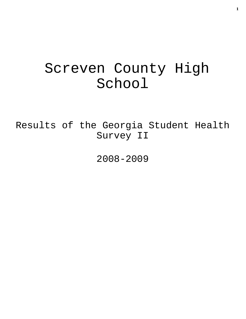# Screven County High School

Results of the Georgia Student Health Survey II

2008-2009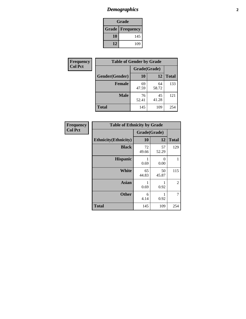# *Demographics* **2**

| Grade                    |     |  |  |
|--------------------------|-----|--|--|
| <b>Grade   Frequency</b> |     |  |  |
| 10                       | 145 |  |  |
| 12                       | 109 |  |  |

| <b>Frequency</b> | <b>Table of Gender by Grade</b> |              |             |              |
|------------------|---------------------------------|--------------|-------------|--------------|
| <b>Col Pct</b>   |                                 | Grade(Grade) |             |              |
|                  | Gender(Gender)                  | 10           | 12          | <b>Total</b> |
|                  | <b>Female</b>                   | 69<br>47.59  | 64<br>58.72 | 133          |
|                  | <b>Male</b>                     | 76<br>52.41  | 45<br>41.28 | 121          |
|                  | <b>Total</b>                    | 145          | 109         | 254          |

| <b>Frequency</b> |
|------------------|
| <b>Col Pct</b>   |

| <b>Table of Ethnicity by Grade</b> |              |             |              |  |  |
|------------------------------------|--------------|-------------|--------------|--|--|
|                                    | Grade(Grade) |             |              |  |  |
| <b>Ethnicity</b> (Ethnicity)       | 10           | 12          | <b>Total</b> |  |  |
| <b>Black</b>                       | 72<br>49.66  | 57<br>52.29 | 129          |  |  |
| <b>Hispanic</b>                    | 1<br>0.69    | 0<br>0.00   | 1            |  |  |
| <b>White</b>                       | 65<br>44.83  | 50<br>45.87 | 115          |  |  |
| <b>Asian</b>                       | 1<br>0.69    | 0.92        | 2            |  |  |
| <b>Other</b>                       | 6<br>4.14    | 1<br>0.92   | 7            |  |  |
| <b>Total</b>                       | 145          | 109         | 254          |  |  |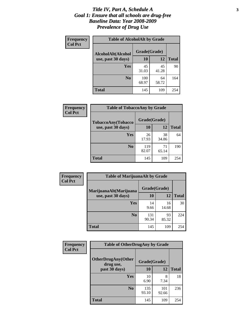#### *Title IV, Part A, Schedule A* **3** *Goal 1: Ensure that all schools are drug-free Baseline Data: Year 2008-2009 Prevalence of Drug Use*

| Frequency<br><b>Col Pct</b> | <b>Table of AlcoholAlt by Grade</b> |              |             |              |  |
|-----------------------------|-------------------------------------|--------------|-------------|--------------|--|
|                             | AlcoholAlt(Alcohol                  | Grade(Grade) |             |              |  |
|                             | use, past 30 days)                  | <b>10</b>    | 12          | <b>Total</b> |  |
|                             | <b>Yes</b>                          | 45<br>31.03  | 45<br>41.28 | 90           |  |
|                             | N <sub>0</sub>                      | 100<br>68.97 | 64<br>58.72 | 164          |  |
|                             | <b>Total</b>                        | 145          | 109         | 254          |  |

| Frequency<br><b>Col Pct</b> | <b>Table of TobaccoAny by Grade</b> |              |             |              |  |
|-----------------------------|-------------------------------------|--------------|-------------|--------------|--|
|                             | <b>TobaccoAny(Tobacco</b>           | Grade(Grade) |             |              |  |
|                             | use, past 30 days)                  | <b>10</b>    | 12          | <b>Total</b> |  |
|                             | Yes                                 | 26<br>17.93  | 38<br>34.86 | 64           |  |
|                             | N <sub>0</sub>                      | 119<br>82.07 | 71<br>65.14 | 190          |  |
|                             | Total                               | 145          | 109         | 254          |  |

| Frequency<br><b>Col Pct</b> | <b>Table of MarijuanaAlt by Grade</b> |              |             |              |  |
|-----------------------------|---------------------------------------|--------------|-------------|--------------|--|
|                             | MarijuanaAlt(Marijuana                | Grade(Grade) |             |              |  |
|                             | use, past 30 days)                    | 10           | 12          | <b>Total</b> |  |
|                             | Yes                                   | 14<br>9.66   | 16<br>14.68 | 30           |  |
|                             | N <sub>0</sub>                        | 131<br>90.34 | 93<br>85.32 | 224          |  |
|                             | <b>Total</b>                          | 145          | 109         | 254          |  |

| Frequency<br><b>Col Pct</b> | <b>Table of OtherDrugAny by Grade</b>  |              |              |              |  |
|-----------------------------|----------------------------------------|--------------|--------------|--------------|--|
|                             | <b>OtherDrugAny(Other</b><br>drug use, | Grade(Grade) |              |              |  |
|                             | past 30 days)                          | 10           | 12           | <b>Total</b> |  |
|                             | Yes                                    | 10<br>6.90   | 8<br>7.34    | 18           |  |
|                             | N <sub>0</sub>                         | 135<br>93.10 | 101<br>92.66 | 236          |  |
|                             | <b>Total</b>                           | 145          | 109          | 254          |  |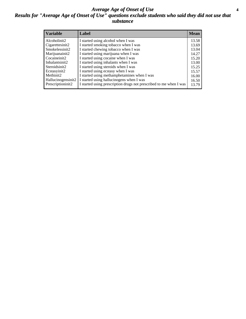#### *Average Age of Onset of Use* **4** *Results for "Average Age of Onset of Use" questions exclude students who said they did not use that substance*

| <b>Variable</b>       | Label                                                              | <b>Mean</b> |
|-----------------------|--------------------------------------------------------------------|-------------|
| Alcoholinit2          | I started using alcohol when I was                                 | 13.58       |
| Cigarettesinit2       | I started smoking tobacco when I was                               | 13.69       |
| Smokelessinit2        | I started chewing tobacco when I was                               | 13.04       |
| Marijuanainit2        | I started using marijuana when I was                               | 14.27       |
| Cocaineinit2          | I started using cocaine when I was                                 | 15.20       |
| Inhalantsinit2        | I started using inhalants when I was                               | 13.00       |
| Steroidsinit2         | I started using steroids when I was                                | 15.25       |
| Ecstasyinit2          | I started using ecstasy when I was                                 | 15.57       |
| Methinit <sub>2</sub> | I started using methamphetamines when I was                        | 16.00       |
| Hallucinogensinit2    | I started using hallucinogens when I was                           | 16.50       |
| Prescriptioninit2     | I started using prescription drugs not prescribed to me when I was | 13.79       |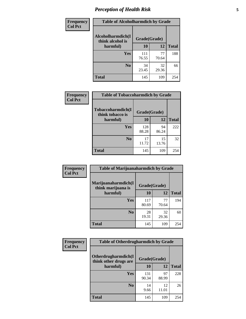# *Perception of Health Risk* **5**

| <b>Frequency</b> | <b>Table of Alcoholharmdich by Grade</b> |              |             |              |  |
|------------------|------------------------------------------|--------------|-------------|--------------|--|
| <b>Col Pct</b>   | Alcoholharmdich(I<br>think alcohol is    | Grade(Grade) |             |              |  |
|                  | harmful)                                 | 10           | 12          | <b>Total</b> |  |
|                  | <b>Yes</b>                               | 111<br>76.55 | 77<br>70.64 | 188          |  |
|                  | N <sub>0</sub>                           | 34<br>23.45  | 32<br>29.36 | 66           |  |
|                  | <b>Total</b>                             | 145          | 109         | 254          |  |

| Frequency      | <b>Table of Tobaccoharmdich by Grade</b> |              |             |              |
|----------------|------------------------------------------|--------------|-------------|--------------|
| <b>Col Pct</b> | Tobaccoharmdich(I<br>think tobacco is    | Grade(Grade) |             |              |
|                | harmful)                                 | 10           | 12          | <b>Total</b> |
|                | Yes                                      | 128<br>88.28 | 94<br>86.24 | 222          |
|                | N <sub>0</sub>                           | 17<br>11.72  | 15<br>13.76 | 32           |
|                | <b>Total</b>                             | 145          | 109         | 254          |

| <b>Frequency</b> | <b>Table of Marijuanaharmdich by Grade</b> |              |             |              |
|------------------|--------------------------------------------|--------------|-------------|--------------|
| <b>Col Pct</b>   | Marijuanaharmdich(I<br>think marijuana is  | Grade(Grade) |             |              |
|                  | harmful)                                   | 10           | 12          | <b>Total</b> |
|                  | <b>Yes</b>                                 | 117<br>80.69 | 77<br>70.64 | 194          |
|                  | N <sub>0</sub>                             | 28<br>19.31  | 32<br>29.36 | 60           |
|                  | <b>Total</b>                               | 145          | 109         | 254          |

| Frequency      | <b>Table of Otherdrugharmdich by Grade</b>   |              |             |              |  |  |
|----------------|----------------------------------------------|--------------|-------------|--------------|--|--|
| <b>Col Pct</b> | Otherdrugharmdich(I<br>think other drugs are | Grade(Grade) |             |              |  |  |
|                | harmful)                                     | 10           | 12          | <b>Total</b> |  |  |
|                | <b>Yes</b>                                   | 131<br>90.34 | 97<br>88.99 | 228          |  |  |
|                | N <sub>0</sub>                               | 14<br>9.66   | 12<br>11.01 | 26           |  |  |
|                | <b>Total</b>                                 | 145          | 109         | 254          |  |  |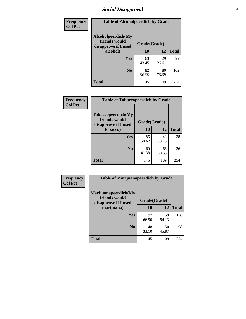# *Social Disapproval* **6**

| Frequency      | <b>Table of Alcoholpeerdich by Grade</b>                    |              |             |              |
|----------------|-------------------------------------------------------------|--------------|-------------|--------------|
| <b>Col Pct</b> | Alcoholpeerdich(My<br>friends would<br>disapprove if I used | Grade(Grade) |             |              |
|                | alcohol)                                                    | 10           | 12          | <b>Total</b> |
|                | <b>Yes</b>                                                  | 63<br>43.45  | 29<br>26.61 | 92           |
|                | N <sub>0</sub>                                              | 82<br>56.55  | 80<br>73.39 | 162          |
|                | <b>Total</b>                                                | 145          | 109         | 254          |

| <b>Frequency</b> |
|------------------|
| <b>Col Pct</b>   |

| <b>Table of Tobaccopeerdich by Grade</b>                    |              |       |              |  |
|-------------------------------------------------------------|--------------|-------|--------------|--|
| Tobaccopeerdich(My<br>friends would<br>disapprove if I used | Grade(Grade) |       |              |  |
| tobacco)                                                    | 10           | 12    | <b>Total</b> |  |
| Yes                                                         | 85           | 43    | 128          |  |
|                                                             | 58.62        | 39.45 |              |  |
| $\bf N$ <sub>0</sub>                                        | 60           | 66    | 126          |  |
|                                                             | 41.38        | 60.55 |              |  |
| <b>Total</b>                                                | 145          | 109   | 254          |  |

| Frequency      | <b>Table of Marijuanapeerdich by Grade</b>                    |              |             |              |  |
|----------------|---------------------------------------------------------------|--------------|-------------|--------------|--|
| <b>Col Pct</b> | Marijuanapeerdich(My<br>friends would<br>disapprove if I used | Grade(Grade) |             |              |  |
|                | marijuana)                                                    | 10           | 12          | <b>Total</b> |  |
|                | <b>Yes</b>                                                    | 97<br>66.90  | 59<br>54.13 | 156          |  |
|                | N <sub>0</sub>                                                | 48<br>33.10  | 50<br>45.87 | 98           |  |
|                | <b>Total</b>                                                  | 145          | 109         | 254          |  |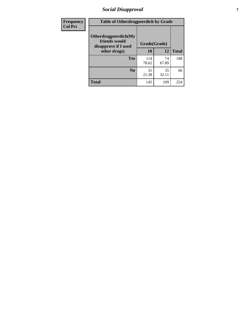# *Social Disapproval* **7**

| Frequency      | <b>Table of Otherdrugpeerdich by Grade</b>                    |              |             |              |  |
|----------------|---------------------------------------------------------------|--------------|-------------|--------------|--|
| <b>Col Pct</b> | Otherdrugpeerdich(My<br>friends would<br>disapprove if I used | Grade(Grade) |             |              |  |
|                | other drugs)                                                  | 10           | 12          | <b>Total</b> |  |
|                | Yes                                                           | 114<br>78.62 | 74<br>67.89 | 188          |  |
|                | N <sub>0</sub>                                                | 31<br>21.38  | 35<br>32.11 | 66           |  |
|                | <b>Total</b>                                                  | 145          | 109         | 254          |  |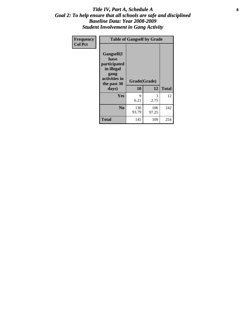### Title IV, Part A, Schedule A **8** *Goal 2: To help ensure that all schools are safe and disciplined Baseline Data: Year 2008-2009 Student Involvement in Gang Activity*

| Frequency      | <b>Table of Gangself by Grade</b>                                                                         |                    |              |              |
|----------------|-----------------------------------------------------------------------------------------------------------|--------------------|--------------|--------------|
| <b>Col Pct</b> | <b>Gangself</b> (I<br>have<br>participated<br>in illegal<br>gang<br>activities in<br>the past 30<br>days) | Grade(Grade)<br>10 | 12           | <b>Total</b> |
|                | Yes                                                                                                       | 9<br>6.21          | 3<br>2.75    | 12           |
|                | N <sub>0</sub>                                                                                            | 136<br>93.79       | 106<br>97.25 | 242          |
|                | <b>Total</b>                                                                                              | 145                | 109          | 254          |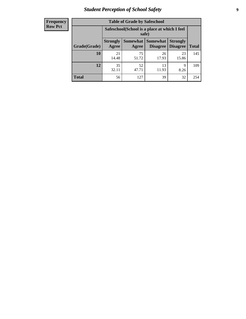# *Student Perception of School Safety* **9**

#### **Frequency Row Pct**

| <b>Table of Grade by Safeschool</b> |                          |                                                                                                                      |             |             |     |  |  |  |
|-------------------------------------|--------------------------|----------------------------------------------------------------------------------------------------------------------|-------------|-------------|-----|--|--|--|
|                                     |                          | Safeschool (School is a place at which I feel<br>safe)                                                               |             |             |     |  |  |  |
| Grade(Grade)                        | <b>Strongly</b><br>Agree | <b>Somewhat</b><br><b>Somewhat</b><br><b>Strongly</b><br><b>Disagree</b><br><b>Disagree</b><br><b>Total</b><br>Agree |             |             |     |  |  |  |
| <b>10</b>                           | 21<br>14.48              | 75<br>51.72                                                                                                          | 26<br>17.93 | 23<br>15.86 | 145 |  |  |  |
| 12                                  | 35<br>32.11              | 52<br>47.71                                                                                                          | 13<br>11.93 | 9<br>8.26   | 109 |  |  |  |
| Total                               | 56                       | 127                                                                                                                  | 39          | 32          | 254 |  |  |  |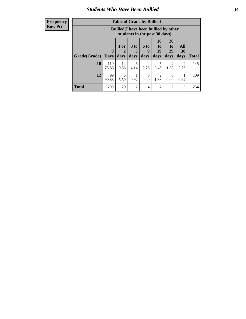### *Students Who Have Been Bullied* **10**

#### **Frequency Row Pct**

| <b>Table of Grade by Bullied</b> |                  |                                                                               |                              |                        |                        |                        |                          |              |
|----------------------------------|------------------|-------------------------------------------------------------------------------|------------------------------|------------------------|------------------------|------------------------|--------------------------|--------------|
|                                  |                  | <b>Bullied</b> (I have been bullied by other<br>students in the past 30 days) |                              |                        |                        |                        |                          |              |
| Grade(Grade)                     | 0<br><b>Days</b> | 1 or<br>days                                                                  | 3 <sub>to</sub><br>5<br>days | 6 to<br>9<br>days      | 10<br>to<br>19<br>days | 20<br>to<br>29<br>days | <b>All</b><br>30<br>days | <b>Total</b> |
| 10                               | 110<br>75.86     | 14<br>9.66                                                                    | 6<br>4.14                    | $\overline{4}$<br>2.76 | 5<br>3.45              | $\overline{2}$<br>1.38 | 4<br>2.76                | 145          |
| 12                               | 99<br>90.83      | 6<br>5.50                                                                     | 0.92                         | $\Omega$<br>0.00       | 2<br>1.83              | $\theta$<br>0.00       | 0.92                     | 109          |
| <b>Total</b>                     | 209              | 20                                                                            | 7                            | $\overline{4}$         | 7                      | $\overline{2}$         | 5                        | 254          |

 $\blacksquare$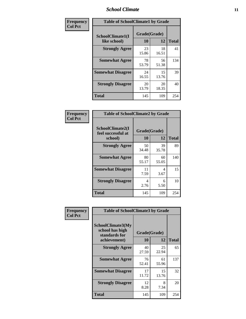### *School Climate* **11**

| Frequency      | <b>Table of SchoolClimate1 by Grade</b> |                    |             |              |  |  |
|----------------|-----------------------------------------|--------------------|-------------|--------------|--|--|
| <b>Col Pct</b> | SchoolClimate1(I<br>like school)        | Grade(Grade)<br>10 | 12          | <b>Total</b> |  |  |
|                | <b>Strongly Agree</b>                   | 23<br>15.86        | 18<br>16.51 | 41           |  |  |
|                | <b>Somewhat Agree</b>                   | 78<br>53.79        | 56<br>51.38 | 134          |  |  |
|                | <b>Somewhat Disagree</b>                | 24<br>16.55        | 15<br>13.76 | 39           |  |  |
|                | <b>Strongly Disagree</b>                | 20<br>13.79        | 20<br>18.35 | 40           |  |  |
|                | <b>Total</b>                            | 145                | 109         | 254          |  |  |

| Frequency      | <b>Table of SchoolClimate2 by Grade</b>           |                    |             |              |  |
|----------------|---------------------------------------------------|--------------------|-------------|--------------|--|
| <b>Col Pct</b> | SchoolClimate2(I<br>feel successful at<br>school) | Grade(Grade)<br>10 | 12          | <b>Total</b> |  |
|                | <b>Strongly Agree</b>                             | 50<br>34.48        | 39<br>35.78 | 89           |  |
|                | <b>Somewhat Agree</b>                             | 80<br>55.17        | 60<br>55.05 | 140          |  |
|                | <b>Somewhat Disagree</b>                          | 11<br>7.59         | 4<br>3.67   | 15           |  |
|                | <b>Strongly Disagree</b>                          | 4<br>2.76          | 6<br>5.50   | 10           |  |
|                | <b>Total</b>                                      | 145                | 109         | 254          |  |

| Frequency      |                                                                              | <b>Table of SchoolClimate3 by Grade</b> |             |              |  |  |
|----------------|------------------------------------------------------------------------------|-----------------------------------------|-------------|--------------|--|--|
| <b>Col Pct</b> | <b>SchoolClimate3(My</b><br>school has high<br>standards for<br>achievement) | Grade(Grade)<br><b>10</b>               | 12          | <b>Total</b> |  |  |
|                | <b>Strongly Agree</b>                                                        | 40<br>27.59                             | 25<br>22.94 | 65           |  |  |
|                | <b>Somewhat Agree</b>                                                        | 76<br>52.41                             | 61<br>55.96 | 137          |  |  |
|                | <b>Somewhat Disagree</b>                                                     | 17<br>11.72                             | 15<br>13.76 | 32           |  |  |
|                | <b>Strongly Disagree</b>                                                     | 12<br>8.28                              | 8<br>7.34   | 20           |  |  |
|                | Total                                                                        | 145                                     | 109         | 254          |  |  |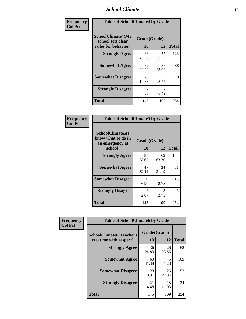### *School Climate* **12**

| Frequency      | <b>Table of SchoolClimate4 by Grade</b>                              |                    |             |              |
|----------------|----------------------------------------------------------------------|--------------------|-------------|--------------|
| <b>Col Pct</b> | <b>SchoolClimate4(My</b><br>school sets clear<br>rules for behavior) | Grade(Grade)<br>10 | 12          | <b>Total</b> |
|                | <b>Strongly Agree</b>                                                | 66<br>45.52        | 57<br>52.29 | 123          |
|                | <b>Somewhat Agree</b>                                                | 52<br>35.86        | 36<br>33.03 | 88           |
|                | <b>Somewhat Disagree</b>                                             | 20<br>13.79        | 9<br>8.26   | 29           |
|                | <b>Strongly Disagree</b>                                             | 7<br>4.83          | 6.42        | 14           |
|                | <b>Total</b>                                                         | 145                | 109         | 254          |

| <b>Table of SchoolClimate5 by Grade</b>                   |              |             |              |  |
|-----------------------------------------------------------|--------------|-------------|--------------|--|
| SchoolClimate5(I<br>know what to do in<br>an emergency at | Grade(Grade) |             |              |  |
| school)                                                   | 10           | 12          | <b>Total</b> |  |
| <b>Strongly Agree</b>                                     | 85<br>58.62  | 69<br>63.30 | 154          |  |
| <b>Somewhat Agree</b>                                     | 47<br>32.41  | 34<br>31.19 | 81           |  |
| <b>Somewhat Disagree</b>                                  | 10<br>6.90   | 3<br>2.75   | 13           |  |
| <b>Strongly Disagree</b>                                  | 3<br>2.07    | 3<br>2.75   | 6            |  |
| Total                                                     | 145          | 109         | 254          |  |

| Frequency      | <b>Table of SchoolClimate6 by Grade</b>                  |                    |             |              |
|----------------|----------------------------------------------------------|--------------------|-------------|--------------|
| <b>Col Pct</b> | <b>SchoolClimate6(Teachers</b><br>treat me with respect) | Grade(Grade)<br>10 | 12          | <b>Total</b> |
|                | <b>Strongly Agree</b>                                    | 36<br>24.83        | 26<br>23.85 | 62           |
|                | <b>Somewhat Agree</b>                                    | 60<br>41.38        | 45<br>41.28 | 105          |
|                | <b>Somewhat Disagree</b>                                 | 28<br>19.31        | 25<br>22.94 | 53           |
|                | <b>Strongly Disagree</b>                                 | 21<br>14.48        | 13<br>11.93 | 34           |
|                | <b>Total</b>                                             | 145                | 109         | 254          |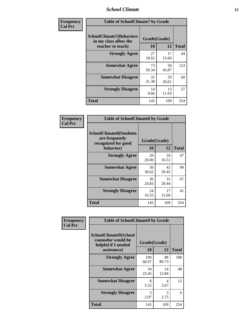### *School Climate* **13**

| Frequency      |                                                                               | <b>Table of SchoolClimate7 by Grade</b> |             |              |  |
|----------------|-------------------------------------------------------------------------------|-----------------------------------------|-------------|--------------|--|
| <b>Col Pct</b> | <b>SchoolClimate7(Behaviors</b><br>in my class allow the<br>teacher to teach) | Grade(Grade)<br><b>10</b>               | 12          | <b>Total</b> |  |
|                | <b>Strongly Agree</b>                                                         | 27<br>18.62                             | 17<br>15.60 | 44           |  |
|                | <b>Somewhat Agree</b>                                                         | 73<br>50.34                             | 50<br>45.87 | 123          |  |
|                | <b>Somewhat Disagree</b>                                                      | 31<br>21.38                             | 29<br>26.61 | 60           |  |
|                | <b>Strongly Disagree</b>                                                      | 14<br>9.66                              | 13<br>11.93 | 27           |  |
|                | <b>Total</b>                                                                  | 145                                     | 109         | 254          |  |

| Frequency      | <b>Table of SchoolClimate8 by Grade</b>                                              |                    |             |              |
|----------------|--------------------------------------------------------------------------------------|--------------------|-------------|--------------|
| <b>Col Pct</b> | <b>SchoolClimate8(Students</b><br>are frequently<br>recognized for good<br>behavior) | Grade(Grade)<br>10 | 12          | <b>Total</b> |
|                | <b>Strongly Agree</b>                                                                | 29<br>20.00        | 18<br>16.51 | 47           |
|                | <b>Somewhat Agree</b>                                                                | 56<br>38.62        | 43<br>39.45 | 99           |
|                | <b>Somewhat Disagree</b>                                                             | 36<br>24.83        | 31<br>28.44 | 67           |
|                | <b>Strongly Disagree</b>                                                             | 24<br>16.55        | 17<br>15.60 | 41           |
|                | <b>Total</b>                                                                         | 145                | 109         | 254          |

| Frequency      | <b>Table of SchoolClimate9 by Grade</b>                                           |                    |             |              |
|----------------|-----------------------------------------------------------------------------------|--------------------|-------------|--------------|
| <b>Col Pct</b> | SchoolClimate9(School<br>counselor would be<br>helpful if I needed<br>assistance) | Grade(Grade)<br>10 | 12          | <b>Total</b> |
|                | <b>Strongly Agree</b>                                                             | 100<br>68.97       | 88<br>80.73 | 188          |
|                | <b>Somewhat Agree</b>                                                             | 34<br>23.45        | 14<br>12.84 | 48           |
|                | <b>Somewhat Disagree</b>                                                          | 8<br>5.52          | 4<br>3.67   | 12           |
|                | <b>Strongly Disagree</b>                                                          | 3<br>2.07          | 3<br>2.75   | 6            |
|                | Total                                                                             | 145                | 109         | 254          |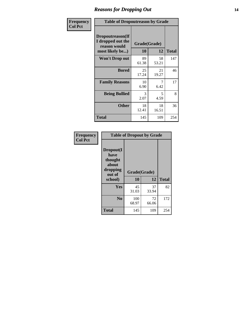### *Reasons for Dropping Out* **14**

| Frequency      | <b>Table of Dropoutreason by Grade</b>                                   |             |                    |              |
|----------------|--------------------------------------------------------------------------|-------------|--------------------|--------------|
| <b>Col Pct</b> | Dropoutreason(If<br>I dropped out the<br>reason would<br>most likely be) | 10          | Grade(Grade)<br>12 | <b>Total</b> |
|                | Won't Drop out                                                           | 89<br>61.38 | 58<br>53.21        | 147          |
|                | <b>Bored</b>                                                             | 25<br>17.24 | 21<br>19.27        | 46           |
|                | <b>Family Reasons</b>                                                    | 10<br>6.90  | 7<br>6.42          | 17           |
|                | <b>Being Bullied</b>                                                     | 3<br>2.07   | 5<br>4.59          | 8            |
|                | <b>Other</b>                                                             | 18<br>12.41 | 18<br>16.51        | 36           |
|                | <b>Total</b>                                                             | 145         | 109                | 254          |

| Frequency      |                                                                        | <b>Table of Dropout by Grade</b> |             |              |  |  |  |
|----------------|------------------------------------------------------------------------|----------------------------------|-------------|--------------|--|--|--|
| <b>Col Pct</b> | Dropout(I<br>have<br>thought<br>about<br>dropping<br>out of<br>school) | Grade(Grade)<br>10               | 12          | <b>Total</b> |  |  |  |
|                | Yes                                                                    | 45<br>31.03                      | 37<br>33.94 | 82           |  |  |  |
|                | N <sub>0</sub>                                                         | 100<br>68.97                     | 72<br>66.06 | 172          |  |  |  |
|                | <b>Total</b>                                                           | 145                              | 109         | 254          |  |  |  |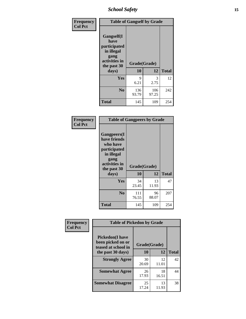*School Safety* **15**

| Frequency      |                                                                                                  | <b>Table of Gangself by Grade</b> |              |              |
|----------------|--------------------------------------------------------------------------------------------------|-----------------------------------|--------------|--------------|
| <b>Col Pct</b> | <b>Gangself</b> (I<br>have<br>participated<br>in illegal<br>gang<br>activities in<br>the past 30 | Grade(Grade)<br>10                | 12           | <b>Total</b> |
|                | days)                                                                                            |                                   |              |              |
|                | Yes                                                                                              | 9<br>6.21                         | 3<br>2.75    | 12           |
|                | N <sub>0</sub>                                                                                   | 136<br>93.79                      | 106<br>97.25 | 242          |
|                | <b>Total</b>                                                                                     | 145                               | 109          | 254          |

| Frequency<br><b>Col Pct</b> | <b>Table of Gangpeers by Grade</b>                                                                                             |                    |             |              |
|-----------------------------|--------------------------------------------------------------------------------------------------------------------------------|--------------------|-------------|--------------|
|                             | <b>Gangpeers</b> (I<br>have friends<br>who have<br>participated<br>in illegal<br>gang<br>activities in<br>the past 30<br>days) | Grade(Grade)<br>10 | 12          | <b>Total</b> |
|                             | <b>Yes</b>                                                                                                                     | 34<br>23.45        | 13<br>11.93 | 47           |
|                             | N <sub>0</sub>                                                                                                                 | 111<br>76.55       | 96<br>88.07 | 207          |
|                             | <b>Total</b>                                                                                                                   | 145                | 109         | 254          |

| Frequency      | <b>Table of Pickedon by Grade</b>                                  |              |             |              |
|----------------|--------------------------------------------------------------------|--------------|-------------|--------------|
| <b>Col Pct</b> | <b>Pickedon(I have</b><br>been picked on or<br>teased at school in | Grade(Grade) |             |              |
|                | the past 30 days)                                                  | 10           | 12          | <b>Total</b> |
|                | <b>Strongly Agree</b>                                              | 30<br>20.69  | 12<br>11.01 | 42           |
|                | <b>Somewhat Agree</b>                                              | 26<br>17.93  | 18<br>16.51 | 44           |
|                | <b>Somewhat Disagree</b>                                           | 25<br>17.24  | 13<br>11.93 | 38           |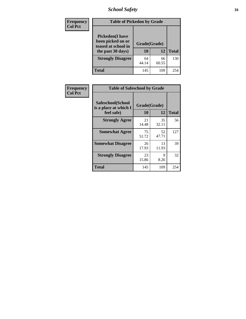# *School Safety* **16**

| <b>Frequency</b> | <b>Table of Pickedon by Grade</b>                                                        |                    |             |              |
|------------------|------------------------------------------------------------------------------------------|--------------------|-------------|--------------|
| <b>Col Pct</b>   | <b>Pickedon</b> (I have<br>been picked on or<br>teased at school in<br>the past 30 days) | Grade(Grade)<br>10 | 12          | <b>Total</b> |
|                  | <b>Strongly Disagree</b>                                                                 | 64<br>44.14        | 66<br>60.55 | 130          |
|                  | Total                                                                                    | 145                | 109         | 254          |

| Frequency      | <b>Table of Safeschool by Grade</b>                      |                    |              |     |
|----------------|----------------------------------------------------------|--------------------|--------------|-----|
| <b>Col Pct</b> | Safeschool(School<br>is a place at which I<br>feel safe) | Grade(Grade)<br>10 | <b>Total</b> |     |
|                | <b>Strongly Agree</b>                                    | 21<br>14.48        | 35<br>32.11  | 56  |
|                | <b>Somewhat Agree</b>                                    | 75<br>51.72        | 52<br>47.71  | 127 |
|                | <b>Somewhat Disagree</b>                                 | 26<br>17.93        | 13<br>11.93  | 39  |
|                | <b>Strongly Disagree</b>                                 | 23<br>15.86        | 9<br>8.26    | 32  |
|                | Total                                                    | 145                | 109          | 254 |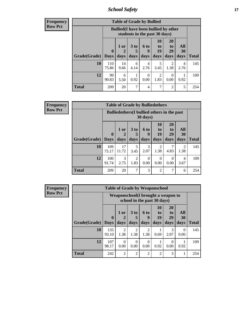*School Safety* **17**

**Frequency Row Pct**

| <b>Table of Grade by Bullied</b> |              |                                                                               |                              |                   |                        |                               |                          |              |  |  |  |  |
|----------------------------------|--------------|-------------------------------------------------------------------------------|------------------------------|-------------------|------------------------|-------------------------------|--------------------------|--------------|--|--|--|--|
|                                  |              | <b>Bullied</b> (I have been bullied by other<br>students in the past 30 days) |                              |                   |                        |                               |                          |              |  |  |  |  |
| Grade(Grade)   Days              | $\mathbf 0$  | 1 or<br>2<br>days                                                             | 3 <sub>to</sub><br>5<br>days | 6 to<br>q<br>days | 10<br>to<br>19<br>days | <b>20</b><br>to<br>29<br>days | All<br><b>30</b><br>days | <b>Total</b> |  |  |  |  |
| 10                               | 110<br>75.86 | 14<br>9.66                                                                    | 6<br>4.14                    | 4<br>2.76         | 5<br>3.45              | 2<br>1.38                     | 4<br>2.76                | 145          |  |  |  |  |
| 12                               | 99<br>90.83  | 6<br>5.50                                                                     | 0.92                         | 0<br>0.00         | 2<br>1.83              | $\Omega$<br>0.00              | 0.92                     | 109          |  |  |  |  |
| <b>Total</b>                     | 209          | 20                                                                            | 7                            | 4                 | 7                      | 2                             | 5                        | 254          |  |  |  |  |

| <b>Frequency</b> |
|------------------|
| Row Pct          |

| <b>Table of Grade by Bulliedothers</b> |              |                                                                |                         |                          |                               |                               |                        |              |  |  |  |  |
|----------------------------------------|--------------|----------------------------------------------------------------|-------------------------|--------------------------|-------------------------------|-------------------------------|------------------------|--------------|--|--|--|--|
|                                        |              | <b>Bulliedothers</b> (I bullied others in the past<br>30 days) |                         |                          |                               |                               |                        |              |  |  |  |  |
| Grade(Grade)   Days                    | $\mathbf{0}$ | 1 or<br>2<br>days                                              | 3 <sub>to</sub><br>days | <b>6 to</b><br>g<br>days | <b>10</b><br>to<br>19<br>days | <b>20</b><br>to<br>29<br>days | All<br>30<br>days      | <b>Total</b> |  |  |  |  |
| 10                                     | 109<br>75.17 | 17<br>11.72                                                    | 5<br>3.45               | 3<br>2.07                | 2<br>1.38                     | 4.83                          | $\mathfrak{D}$<br>1.38 | 145          |  |  |  |  |
| 12                                     | 100<br>91.74 | 3<br>2.75                                                      | $\overline{2}$<br>1.83  | 0<br>0.00                | 0<br>0.00                     | 0<br>0.00                     | 4<br>3.67              | 109          |  |  |  |  |
| <b>Total</b>                           | 209          | 20                                                             | 7                       | 3                        | $\overline{2}$                |                               | 6                      | 254          |  |  |  |  |

| Frequency      |              |                                                                   |                        | <b>Table of Grade by Weaponschool</b> |                        |                |                       |                  |              |
|----------------|--------------|-------------------------------------------------------------------|------------------------|---------------------------------------|------------------------|----------------|-----------------------|------------------|--------------|
| <b>Row Pct</b> |              | Weaponschool(I brought a weapon to<br>school in the past 30 days) |                        |                                       |                        |                |                       |                  |              |
|                |              | $\mathbf{0}$                                                      | 1 or                   | 3 to                                  | 6 to<br>9              | 10<br>to<br>19 | <b>20</b><br>to<br>29 | All<br>30        |              |
|                | Grade(Grade) | <b>Days</b>                                                       | days                   | days                                  | days                   | days           | days                  | days             | <b>Total</b> |
|                | 10           | 135<br>93.10                                                      | $\mathfrak{D}$<br>1.38 | $\overline{2}$<br>1.38                | $\mathfrak{D}$<br>1.38 | 0.69           | 3<br>2.07             | $\Omega$<br>0.00 | 145          |
|                | 12           | 107<br>98.17                                                      | $\Omega$<br>0.00       | 0<br>0.00                             | $\Omega$<br>0.00       | 0.92           | $\Omega$<br>0.00      | 0.92             | 109          |
|                | <b>Total</b> | 242                                                               | $\overline{2}$         | $\mathfrak{D}$                        | $\mathfrak{D}$         | $\overline{2}$ | 3                     | 1                | 254          |

Ŧ.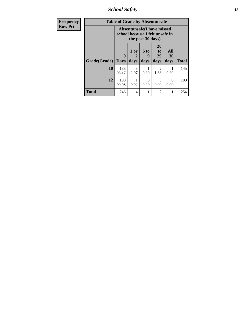*School Safety* **18**

| Frequency      | <b>Table of Grade by Absentunsafe</b> |                                                                      |                   |                   |                        |                   |              |  |  |  |
|----------------|---------------------------------------|----------------------------------------------------------------------|-------------------|-------------------|------------------------|-------------------|--------------|--|--|--|
| <b>Row Pct</b> |                                       | <b>Absentunsafe(I have missed</b><br>school because I felt unsafe in |                   |                   |                        |                   |              |  |  |  |
|                | Grade(Grade)                          | $\mathbf{0}$<br><b>Days</b>                                          | 1 or<br>2<br>days | 6 to<br>g<br>days | 20<br>to<br>29<br>days | All<br>30<br>days | <b>Total</b> |  |  |  |
|                | 10                                    | 138<br>95.17                                                         | 3<br>2.07         | 0.69              | $\mathfrak{D}$<br>1.38 | 0.69              | 145          |  |  |  |
|                | 12                                    | 108<br>99.08                                                         | 0.92              | 0<br>0.00         | $\mathcal{L}$<br>0.00  | 0<br>0.00         | 109          |  |  |  |
|                | <b>Total</b>                          | 246                                                                  | 4                 |                   | $\overline{2}$         |                   | 254          |  |  |  |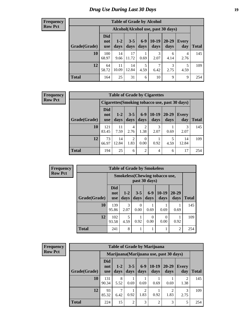#### **Frequency Row Pct**

| <b>Table of Grade by Alcohol</b> |                                 |                 |                 |               |                 |                                     |              |       |  |  |  |  |
|----------------------------------|---------------------------------|-----------------|-----------------|---------------|-----------------|-------------------------------------|--------------|-------|--|--|--|--|
|                                  |                                 |                 |                 |               |                 | Alcohol (Alcohol use, past 30 days) |              |       |  |  |  |  |
| Grade(Grade)                     | <b>Did</b><br>not<br><b>use</b> | $1 - 2$<br>days | $3 - 5$<br>days | $6-9$<br>days | $10-19$<br>days | $20 - 29$<br>days                   | Every<br>day | Total |  |  |  |  |
| 10                               | 100<br>68.97                    | 14<br>9.66      | 17<br>11.72     | 0.69          | 3<br>2.07       | 6<br>4.14                           | 4<br>2.76    | 145   |  |  |  |  |
| 12                               | 64<br>58.72                     | 11<br>10.09     | 14<br>12.84     | 5<br>4.59     | 7<br>6.42       | 3<br>2.75                           | 5<br>4.59    | 109   |  |  |  |  |
| <b>Total</b>                     | 164                             | 25              | 31              | 6             | 10              | 9                                   | 9            | 254   |  |  |  |  |

#### **Frequency Row Pct**

| <b>Table of Grade by Cigarettes</b> |                                                |                 |                 |                  |                 |                   |              |       |  |  |  |  |
|-------------------------------------|------------------------------------------------|-----------------|-----------------|------------------|-----------------|-------------------|--------------|-------|--|--|--|--|
|                                     | Cigarettes (Smoking tobacco use, past 30 days) |                 |                 |                  |                 |                   |              |       |  |  |  |  |
| Grade(Grade)                        | <b>Did</b><br>not<br><b>use</b>                | $1 - 2$<br>days | $3 - 5$<br>days | $6 - 9$<br>days  | $10-19$<br>days | $20 - 29$<br>days | Every<br>day | Total |  |  |  |  |
| 10                                  | 121<br>83.45                                   | 11<br>7.59      | 4<br>2.76       | 2<br>1.38        | 3<br>2.07       | 0.69              | 2.07         | 145   |  |  |  |  |
| 12                                  | 73<br>66.97                                    | 14<br>12.84     | 2<br>1.83       | $\Omega$<br>0.00 | 0.92            | 4.59              | 14<br>12.84  | 109   |  |  |  |  |
| Total                               | 194                                            | 25              | 6               | 2                | 4               | 6                 | 17           | 254   |  |  |  |  |

| Frequency      |              |                          | <b>Table of Grade by Smokeless</b> |                 |                  |                                       |                   |              |
|----------------|--------------|--------------------------|------------------------------------|-----------------|------------------|---------------------------------------|-------------------|--------------|
| <b>Row Pct</b> |              |                          |                                    |                 | past 30 days)    | <b>Smokeless</b> (Chewing tobaccouse, |                   |              |
|                | Grade(Grade) | <b>Did</b><br>not<br>use | $1 - 2$<br>days                    | $3 - 5$<br>days | $6-9$<br>days    | $10-19$<br>days                       | $20 - 29$<br>days | <b>Total</b> |
|                | 10           | 139<br>95.86             | 3<br>2.07                          | 0<br>0.00       | 0.69             | 0.69                                  | 0.69              | 145          |
|                | 12           | 102<br>93.58             | 5<br>4.59                          | 0.92            | $\Omega$<br>0.00 | $\Omega$<br>0.00                      | 0.92              | 109          |
|                | <b>Total</b> | 241                      | 8                                  |                 |                  |                                       | $\overline{2}$    | 254          |

| <b>Frequency</b> |
|------------------|
| <b>Row Pct</b>   |

| <b>Table of Grade by Marijuana</b> |                                 |               |                 |                 |                                         |               |                     |       |  |  |  |  |
|------------------------------------|---------------------------------|---------------|-----------------|-----------------|-----------------------------------------|---------------|---------------------|-------|--|--|--|--|
|                                    |                                 |               |                 |                 | Marijuana (Marijuana use, past 30 days) |               |                     |       |  |  |  |  |
| Grade(Grade)                       | <b>Did</b><br>not<br><b>use</b> | $1-2$<br>days | $3 - 5$<br>days | $6 - 9$<br>days | $10-19$<br>days                         | 20-29<br>days | <b>Every</b><br>day | Total |  |  |  |  |
| 10                                 | 131<br>90.34                    | 8<br>5.52     | 0.69            | 0.69            | 0.69                                    | 0.69          | 2<br>1.38           | 145   |  |  |  |  |
| 12                                 | 93<br>85.32                     | ┑<br>6.42     | 0.92            | 2<br>1.83       | 0.92                                    | ↑<br>1.83     | 3<br>2.75           | 109   |  |  |  |  |
| <b>Total</b>                       | 224                             | 15            | 2               | 3               | $\overline{2}$                          | 3             | 5                   | 254   |  |  |  |  |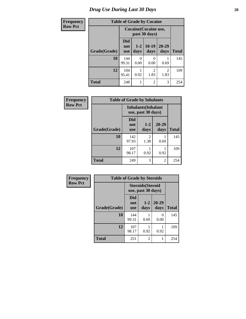# *Drug Use During Last 30 Days* 20

| Frequency      |              |                                 |                                        | <b>Table of Grade by Cocaine</b> |               |              |  |  |  |
|----------------|--------------|---------------------------------|----------------------------------------|----------------------------------|---------------|--------------|--|--|--|
| <b>Row Pct</b> |              |                                 | Cocaine (Cocaine use,<br>past 30 days) |                                  |               |              |  |  |  |
|                | Grade(Grade) | <b>Did</b><br>not<br><b>use</b> | $1 - 2$<br>days                        | $10-19$<br>days                  | 20-29<br>days | <b>Total</b> |  |  |  |
|                | 10           | 144<br>99.31                    | $\Omega$<br>0.00                       | 0<br>0.00                        | 0.69          | 145          |  |  |  |
|                | 12           | 104<br>95.41                    | 0.92                                   | $\mathfrak{D}$<br>1.83           | 2<br>1.83     | 109          |  |  |  |
|                | <b>Total</b> | 248                             |                                        | $\overline{2}$                   | 3             | 254          |  |  |  |

| Frequency      | <b>Table of Grade by Inhalants</b> |                                                  |                 |               |              |
|----------------|------------------------------------|--------------------------------------------------|-----------------|---------------|--------------|
| <b>Row Pct</b> |                                    | <b>Inhalants</b> (Inhalant<br>use, past 30 days) |                 |               |              |
|                | Grade(Grade)                       | <b>Did</b><br>not<br><b>use</b>                  | $1 - 2$<br>days | 20-29<br>days | <b>Total</b> |
|                | 10                                 | 142<br>97.93                                     | 2<br>1.38       | 0.69          | 145          |
|                | 12                                 | 107<br>98.17                                     | 0.92            | 0.92          | 109          |
|                | Total                              | 249                                              | 3               | 2             | 254          |

| <b>Frequency</b> | <b>Table of Grade by Steroids</b> |                                                |                 |                   |              |  |  |
|------------------|-----------------------------------|------------------------------------------------|-----------------|-------------------|--------------|--|--|
| <b>Row Pct</b>   |                                   | <b>Steroids</b> (Steroid<br>use, past 30 days) |                 |                   |              |  |  |
|                  | Grade(Grade)                      | Did<br>not<br><b>use</b>                       | $1 - 2$<br>days | $20 - 29$<br>days | <b>Total</b> |  |  |
|                  | 10                                | 144<br>99.31                                   | 0.69            | 0.00              | 145          |  |  |
|                  | 12                                | 107<br>98.17                                   | 0.92            | 0.92              | 109          |  |  |
|                  | <b>Total</b>                      | 251                                            | 2               |                   | 254          |  |  |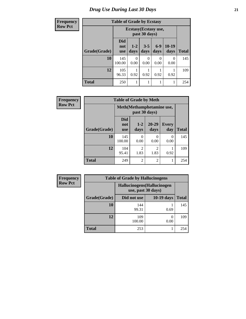# *Drug Use During Last 30 Days* **21**

| <b>Frequency</b> | <b>Table of Grade by Ecstasy</b> |                                        |                  |                           |                  |                  |              |
|------------------|----------------------------------|----------------------------------------|------------------|---------------------------|------------------|------------------|--------------|
| <b>Row Pct</b>   |                                  | Ecstasy (Ecstasy use,<br>past 30 days) |                  |                           |                  |                  |              |
|                  | Grade(Grade)                     | <b>Did</b><br>not<br><b>use</b>        | $1 - 2$<br>days  | $3 - 5$<br>days           | $6-9$<br>days    | $10-19$<br>days  | <b>Total</b> |
|                  | 10                               | 145<br>100.00                          | $\Omega$<br>0.00 | $\mathbf{\Omega}$<br>0.00 | $\Omega$<br>0.00 | $\Omega$<br>0.00 | 145          |
|                  | 12                               | 105<br>96.33                           | 0.92             | 0.92                      | 0.92             | 0.92             | 109          |
|                  | <b>Total</b>                     | 250                                    |                  |                           |                  |                  | 254          |

| Frequency      | <b>Table of Grade by Meth</b> |                                 |                        |                        |                     |              |
|----------------|-------------------------------|---------------------------------|------------------------|------------------------|---------------------|--------------|
| <b>Row Pct</b> |                               | Meth(Methamphetamine use,       |                        |                        |                     |              |
|                | Grade(Grade)                  | <b>Did</b><br>not<br><b>use</b> | $1-2$<br>days          | 20-29<br>days          | <b>Every</b><br>day | <b>Total</b> |
|                | 10                            | 145<br>100.00                   | 0<br>0.00              | 0<br>0.00              | 0<br>0.00           | 145          |
|                | 12                            | 104<br>95.41                    | $\overline{c}$<br>1.83 | $\overline{2}$<br>1.83 | 0.92                | 109          |
|                | <b>Total</b>                  | 249                             | $\overline{2}$         | $\overline{2}$         |                     | 254          |

| <b>Frequency</b> |              | <b>Table of Grade by Hallucinogens</b>            |            |              |  |
|------------------|--------------|---------------------------------------------------|------------|--------------|--|
| <b>Row Pct</b>   |              | Hallucinogens (Hallucinogen<br>use, past 30 days) |            |              |  |
|                  | Grade(Grade) | Did not use                                       | 10-19 days | <b>Total</b> |  |
|                  | 10           | 144<br>99.31                                      | 0.69       | 145          |  |
|                  | 12           | 109<br>100.00                                     | 0.00       | 109          |  |
|                  | <b>Total</b> | 253                                               |            | 254          |  |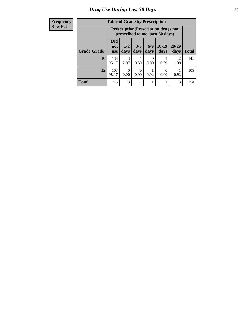| <b>Frequency</b> |  |
|------------------|--|
| <b>Row Pct</b>   |  |

| <b>Table of Grade by Prescription</b> |                          |                                                                                |                  |                           |                 |                        |              |
|---------------------------------------|--------------------------|--------------------------------------------------------------------------------|------------------|---------------------------|-----------------|------------------------|--------------|
|                                       |                          | <b>Prescription</b> (Prescription drugs not<br>prescribed to me, past 30 days) |                  |                           |                 |                        |              |
| Grade(Grade)                          | Did<br>not<br><b>use</b> | $1 - 2$<br>days                                                                | $3 - 5$<br>days  | $6-9$<br>days             | $10-19$<br>days | $20 - 29$<br>days      | <b>Total</b> |
| 10                                    | 138<br>95.17             | 3<br>2.07                                                                      | 0.69             | $\mathbf{\Omega}$<br>0.00 | 0.69            | $\mathfrak{D}$<br>1.38 | 145          |
| 12                                    | 107<br>98.17             | 0.00                                                                           | $\Omega$<br>0.00 | 0.92                      | 0.00            | 0.92                   | 109          |
| <b>Total</b>                          | 245                      | 3                                                                              |                  |                           |                 | 3                      | 254          |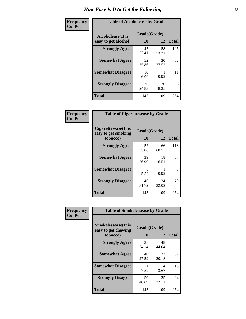| Frequency      | <b>Table of Alcoholease by Grade</b>                                    |             |             |              |  |
|----------------|-------------------------------------------------------------------------|-------------|-------------|--------------|--|
| <b>Col Pct</b> | Grade(Grade)<br><b>Alcoholease</b> (It is<br>10<br>easy to get alcohol) |             | 12          | <b>Total</b> |  |
|                | <b>Strongly Agree</b>                                                   | 47<br>32.41 | 58<br>53.21 | 105          |  |
|                | <b>Somewhat Agree</b>                                                   | 52<br>35.86 | 30<br>27.52 | 82           |  |
|                | <b>Somewhat Disagree</b>                                                | 10<br>6.90  | 0.92        | 11           |  |
|                | <b>Strongly Disagree</b>                                                | 36<br>24.83 | 20<br>18.35 | 56           |  |
|                | <b>Total</b>                                                            | 145         | 109         | 254          |  |

| Frequency      | <b>Table of Cigarettesease by Grade</b>                  |                    |             |              |
|----------------|----------------------------------------------------------|--------------------|-------------|--------------|
| <b>Col Pct</b> | Cigarettesease (It is<br>easy to get smoking<br>tobacco) | Grade(Grade)<br>10 | 12          | <b>Total</b> |
|                | <b>Strongly Agree</b>                                    | 52<br>35.86        | 66<br>60.55 | 118          |
|                | <b>Somewhat Agree</b>                                    | 39<br>26.90        | 18<br>16.51 | 57           |
|                | <b>Somewhat Disagree</b>                                 | 8<br>5.52          | 0.92        | 9            |
|                | <b>Strongly Disagree</b>                                 | 46<br>31.72        | 24<br>22.02 | 70           |
|                | <b>Total</b>                                             | 145                | 109         | 254          |

| Frequency      | <b>Table of Smokelessease by Grade</b>                         |                    |             |              |  |  |
|----------------|----------------------------------------------------------------|--------------------|-------------|--------------|--|--|
| <b>Col Pct</b> | <b>Smokelessease</b> (It is<br>easy to get chewing<br>tobacco) | Grade(Grade)<br>10 | 12          | <b>Total</b> |  |  |
|                | <b>Strongly Agree</b>                                          | 35<br>24.14        | 48<br>44.04 | 83           |  |  |
|                | <b>Somewhat Agree</b>                                          | 40<br>27.59        | 22<br>20.18 | 62           |  |  |
|                | <b>Somewhat Disagree</b>                                       | 11<br>7.59         | 4<br>3.67   | 15           |  |  |
|                | <b>Strongly Disagree</b>                                       | 59<br>40.69        | 35<br>32.11 | 94           |  |  |
|                | <b>Total</b>                                                   | 145                | 109         | 254          |  |  |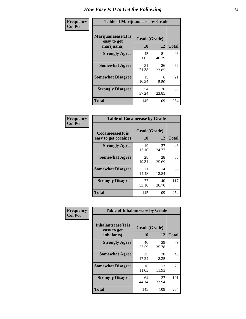| Frequency      | <b>Table of Marijuanaease by Grade</b>           |                    |             |              |  |
|----------------|--------------------------------------------------|--------------------|-------------|--------------|--|
| <b>Col Pct</b> | Marijuanaease(It is<br>easy to get<br>marijuana) | Grade(Grade)<br>10 | 12          | <b>Total</b> |  |
|                | <b>Strongly Agree</b>                            | 45<br>31.03        | 51<br>46.79 | 96           |  |
|                | <b>Somewhat Agree</b>                            | 31<br>21.38        | 26<br>23.85 | 57           |  |
|                | <b>Somewhat Disagree</b>                         | 15<br>10.34        | 6<br>5.50   | 21           |  |
|                | <b>Strongly Disagree</b>                         | 54<br>37.24        | 26<br>23.85 | 80           |  |
|                | <b>Total</b>                                     | 145                | 109         | 254          |  |

| <b>Table of Cocaineease by Grade</b>              |                    |              |     |  |  |  |
|---------------------------------------------------|--------------------|--------------|-----|--|--|--|
| <b>Cocaineease</b> (It is<br>easy to get cocaine) | Grade(Grade)<br>10 | <b>Total</b> |     |  |  |  |
| <b>Strongly Agree</b>                             | 19<br>13.10        | 27<br>24.77  | 46  |  |  |  |
| <b>Somewhat Agree</b>                             | 28<br>19.31        | 28<br>25.69  | 56  |  |  |  |
| <b>Somewhat Disagree</b>                          | 21<br>14.48        | 14<br>12.84  | 35  |  |  |  |
| <b>Strongly Disagree</b>                          | 77<br>53.10        | 40<br>36.70  | 117 |  |  |  |
| <b>Total</b>                                      | 145                | 109          | 254 |  |  |  |

| Frequency      | <b>Table of Inhalantsease by Grade</b>                   |                    |                   |     |
|----------------|----------------------------------------------------------|--------------------|-------------------|-----|
| <b>Col Pct</b> | <b>Inhalantsease</b> (It is<br>easy to get<br>inhalants) | Grade(Grade)<br>10 | <b>Total</b>      |     |
|                | <b>Strongly Agree</b>                                    | 40<br>27.59        | 12<br>39<br>35.78 | 79  |
|                | <b>Somewhat Agree</b>                                    | 25<br>17.24        | 20<br>18.35       | 45  |
|                | <b>Somewhat Disagree</b>                                 | 16<br>11.03        | 13<br>11.93       | 29  |
|                | <b>Strongly Disagree</b>                                 | 64<br>44.14        | 37<br>33.94       | 101 |
|                | <b>Total</b>                                             | 145                | 109               | 254 |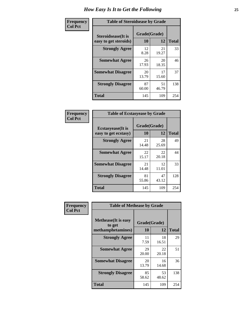| Frequency      | <b>Table of Steroidsease by Grade</b>               |                    |             |              |  |  |  |  |  |  |  |  |
|----------------|-----------------------------------------------------|--------------------|-------------|--------------|--|--|--|--|--|--|--|--|
| <b>Col Pct</b> | <b>Steroidsease</b> (It is<br>easy to get steroids) | Grade(Grade)<br>10 | 12          | <b>Total</b> |  |  |  |  |  |  |  |  |
|                | <b>Strongly Agree</b>                               | 12<br>8.28         | 21<br>19.27 | 33           |  |  |  |  |  |  |  |  |
|                | <b>Somewhat Agree</b>                               | 26<br>17.93        | 20<br>18.35 | 46           |  |  |  |  |  |  |  |  |
|                | <b>Somewhat Disagree</b>                            | 20<br>13.79        | 17<br>15.60 | 37           |  |  |  |  |  |  |  |  |
|                | <b>Strongly Disagree</b>                            | 87<br>60.00        | 51<br>46.79 | 138          |  |  |  |  |  |  |  |  |
|                | Total                                               | 145                | 109         | 254          |  |  |  |  |  |  |  |  |

| Frequency      | <b>Table of Ecstasyease by Grade</b>              |                    |              |     |  |  |  |  |  |  |  |  |
|----------------|---------------------------------------------------|--------------------|--------------|-----|--|--|--|--|--|--|--|--|
| <b>Col Pct</b> | <b>Ecstasyease</b> (It is<br>easy to get ecstasy) | Grade(Grade)<br>10 | <b>Total</b> |     |  |  |  |  |  |  |  |  |
|                | <b>Strongly Agree</b>                             | 21<br>14.48        | 28<br>25.69  | 49  |  |  |  |  |  |  |  |  |
|                | <b>Somewhat Agree</b>                             | 22<br>15.17        | 22<br>20.18  | 44  |  |  |  |  |  |  |  |  |
|                | <b>Somewhat Disagree</b>                          | 21<br>14.48        | 12<br>11.01  | 33  |  |  |  |  |  |  |  |  |
|                | <b>Strongly Disagree</b>                          | 81<br>55.86        | 47<br>43.12  | 128 |  |  |  |  |  |  |  |  |
|                | Total                                             | 145                | 109          | 254 |  |  |  |  |  |  |  |  |

| Frequency      | <b>Table of Methease by Grade</b>                          |                    |             |              |
|----------------|------------------------------------------------------------|--------------------|-------------|--------------|
| <b>Col Pct</b> | <b>Methease</b> (It is easy<br>to get<br>methamphetamines) | Grade(Grade)<br>10 | 12          | <b>Total</b> |
|                | <b>Strongly Agree</b>                                      | 11<br>7.59         | 18<br>16.51 | 29           |
|                | <b>Somewhat Agree</b>                                      | 29<br>20.00        | 22<br>20.18 | 51           |
|                | <b>Somewhat Disagree</b>                                   | 20<br>13.79        | 16<br>14.68 | 36           |
|                | <b>Strongly Disagree</b>                                   | 85<br>58.62        | 53<br>48.62 | 138          |
|                | <b>Total</b>                                               | 145                | 109         | 254          |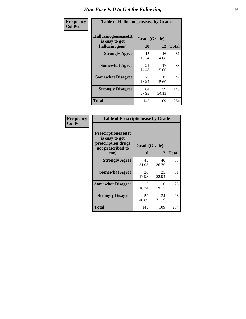| <b>Frequency</b> | <b>Table of Hallucinogensease by Grade</b>               |                    |             |              |  |  |  |  |  |  |  |  |  |
|------------------|----------------------------------------------------------|--------------------|-------------|--------------|--|--|--|--|--|--|--|--|--|
| <b>Col Pct</b>   | Hallucinogensease(It<br>is easy to get<br>hallucinogens) | Grade(Grade)<br>10 | 12          | <b>Total</b> |  |  |  |  |  |  |  |  |  |
|                  | <b>Strongly Agree</b>                                    | 15<br>10.34        | 16<br>14.68 | 31           |  |  |  |  |  |  |  |  |  |
|                  | <b>Somewhat Agree</b>                                    | 21<br>14.48        | 17<br>15.60 | 38           |  |  |  |  |  |  |  |  |  |
|                  | <b>Somewhat Disagree</b>                                 | 25<br>17.24        | 17<br>15.60 | 42           |  |  |  |  |  |  |  |  |  |
|                  | <b>Strongly Disagree</b>                                 | 84<br>57.93        | 59<br>54.13 | 143          |  |  |  |  |  |  |  |  |  |
|                  | <b>Total</b>                                             | 145                | 109         | 254          |  |  |  |  |  |  |  |  |  |

| Frequency<br>Col Pct |
|----------------------|
|                      |

| <b>Table of Prescriptionease by Grade</b>                                                       |             |                    |              |  |  |  |  |  |  |  |  |
|-------------------------------------------------------------------------------------------------|-------------|--------------------|--------------|--|--|--|--|--|--|--|--|
| <b>Prescriptionease</b> (It<br>is easy to get<br>prescription drugs<br>not prescribed to<br>me) | 10          | Grade(Grade)<br>12 | <b>Total</b> |  |  |  |  |  |  |  |  |
| <b>Strongly Agree</b>                                                                           | 45<br>31.03 | 40<br>36.70        | 85           |  |  |  |  |  |  |  |  |
| <b>Somewhat Agree</b>                                                                           | 26<br>17.93 | 25<br>22.94        | 51           |  |  |  |  |  |  |  |  |
| <b>Somewhat Disagree</b>                                                                        | 15<br>10.34 | 10<br>9.17         | 25           |  |  |  |  |  |  |  |  |
| <b>Strongly Disagree</b>                                                                        | 59<br>40.69 | 34<br>31.19        | 93           |  |  |  |  |  |  |  |  |
| Total                                                                                           | 145         | 109                | 254          |  |  |  |  |  |  |  |  |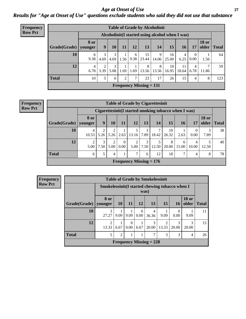### *Age at Onset of Use* **27** *Results for "Age at Onset of Use" questions exclude students who said they did not use that substance*

| Frequency      |              |                        |                                                  |           |      |           | <b>Table of Grade by Alcoholinit</b> |            |             |             |                  |                       |              |
|----------------|--------------|------------------------|--------------------------------------------------|-----------|------|-----------|--------------------------------------|------------|-------------|-------------|------------------|-----------------------|--------------|
| <b>Row Pct</b> |              |                        | Alcoholinit (I started using alcohol when I was) |           |      |           |                                      |            |             |             |                  |                       |              |
|                | Grade(Grade) | <b>8 or</b><br>younger | 9                                                | 10        | 11   | 12        | 13                                   | 14         | 15          | 16          | 17               | <b>18 or</b><br>older | <b>Total</b> |
|                | 10           | 6<br>9.38              | 3<br>4.69                                        | 3<br>4.69 | 1.56 | 6<br>9.38 | 15<br>23.44                          | 9<br>14.06 | 16<br>25.00 | 4<br>6.25   | $\Omega$<br>0.00 | 1.56                  | 64           |
|                | 12           | $\overline{4}$<br>6.78 | 2<br>3.39                                        | 3<br>5.08 | 1.69 | 1.69      | 8<br>13.56                           | 8<br>13.56 | 10<br>16.95 | 11<br>18.64 | 4<br>6.78        | 7<br>11.86            | 59           |
|                | <b>Total</b> | 10                     | 5                                                | 6         | 2    | 7         | 23                                   | 17         | 26          | 15          | 4                | 8                     | 123          |
|                |              |                        |                                                  |           |      |           | Frequency Missing $= 131$            |            |             |             |                  |                       |              |

| <b>Frequency</b> |
|------------------|
| <b>Row Pct</b>   |

|              | <b>Table of Grade by Cigarettesinit</b> |           |                        |                  |                           |           |            |                                                      |            |                  |                       |              |  |
|--------------|-----------------------------------------|-----------|------------------------|------------------|---------------------------|-----------|------------|------------------------------------------------------|------------|------------------|-----------------------|--------------|--|
|              |                                         |           |                        |                  |                           |           |            | Cigarettesinit(I started smoking tobacco when I was) |            |                  |                       |              |  |
| Grade(Grade) | <b>8 or</b><br>younger                  | 9         | 10                     | 11               | 12                        | 13        | 14         | 15                                                   | 16         | 17               | <b>18 or</b><br>older | <b>Total</b> |  |
| 10           | 10.53                                   | 2<br>5.26 | 2<br>5.26              | 2.63             | 13.16                     | 3<br>7.89 | 7<br>18.42 | 10<br>26.32                                          | 2.63       | $\Omega$<br>0.00 | 7.89                  | 38           |  |
| 12           | 2<br>5.00                               | 3<br>7.50 | $\overline{2}$<br>5.00 | $\theta$<br>0.00 | ↑<br>5.00                 | 3<br>7.50 | 12.50      | 8<br>20.00                                           | 6<br>15.00 | 4<br>10.00       | 12.50                 | 40           |  |
| <b>Total</b> | 6                                       | 5         | 4                      |                  | 7                         | 6         | 12         | 18                                                   | 7          | $\overline{4}$   | 8                     | 78           |  |
|              |                                         |           |                        |                  | Frequency Missing $= 176$ |           |            |                                                      |            |                  |                       |              |  |

| Frequency      |              |                         |                                                         |                  |                  | <b>Table of Grade by Smokelessinit</b> |                 |                  |                       |              |  |  |  |
|----------------|--------------|-------------------------|---------------------------------------------------------|------------------|------------------|----------------------------------------|-----------------|------------------|-----------------------|--------------|--|--|--|
| <b>Row Pct</b> |              |                         | Smokelessinit (I started chewing tobacco when I<br>was) |                  |                  |                                        |                 |                  |                       |              |  |  |  |
|                | Grade(Grade) | 8 or<br>vounger         | <b>10</b>                                               | 11               | 12               | 13                                     | 15 <sup>1</sup> | 16               | <b>18 or</b><br>older | <b>Total</b> |  |  |  |
|                | 10           | 3<br>27.27              | 9.09                                                    | 9.09             | $\Omega$<br>0.00 | 4<br>36.36                             | 9.09            | $\Omega$<br>0.00 | 9.09                  | 11           |  |  |  |
|                | 12           | $\mathfrak{D}$<br>13.33 | 6.67                                                    | $\theta$<br>0.00 | 6.67             | 3<br>20.00                             | 13.33           | 3<br>20.00       | 3<br>20.00            | 15           |  |  |  |
|                | <b>Total</b> | 5                       | 2                                                       |                  |                  | 7                                      | 3               | 3                | 4                     | 26           |  |  |  |
|                |              |                         |                                                         |                  |                  | Frequency Missing $= 228$              |                 |                  |                       |              |  |  |  |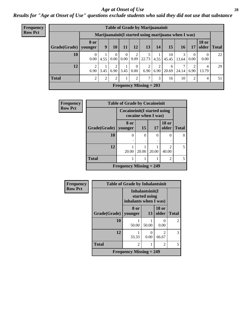#### *Age at Onset of Use* **28**

*Results for "Age at Onset of Use" questions exclude students who said they did not use that substance*

| <b>Frequency</b> |                        | <b>Table of Grade by Marijuanainit</b> |                |                        |                        |                  |                                                     |           |             |           |                  |                       |              |  |
|------------------|------------------------|----------------------------------------|----------------|------------------------|------------------------|------------------|-----------------------------------------------------|-----------|-------------|-----------|------------------|-----------------------|--------------|--|
| <b>Row Pct</b>   |                        |                                        |                |                        |                        |                  | Marijuanainit(I started using marijuana when I was) |           |             |           |                  |                       |              |  |
|                  | Grade(Grade)   younger | <b>8 or</b>                            | 9              | 10                     | 11                     | 12               | 13                                                  | 14        | 15          | <b>16</b> | 17               | <b>18 or</b><br>older | <b>Total</b> |  |
|                  | 10                     | $\theta$<br>0.00                       | 4.55           | $\overline{0}$<br>0.00 | $\overline{0}$<br>0.00 | 2<br>9.09        | 22.73                                               | 4.55      | 10<br>45.45 | 13.64     | $\theta$<br>0.00 | $\theta$<br>0.00      | 22           |  |
|                  | 12                     | 2<br>6.90                              | 3.45           | 2<br>6.90              | 3.45                   | $\Omega$<br>0.00 | 6.90                                                | 2<br>6.90 | 6<br>20.69  | 24.14     | 6.90             | 4<br>13.79            | 29           |  |
|                  | <b>Total</b>           | 2                                      | $\overline{c}$ | 2                      |                        | 2                | ⇁                                                   | 3         | 16          | 10        | 2                | 4                     | 51           |  |
|                  |                        |                                        |                |                        |                        |                  | <b>Frequency Missing = 203</b>                      |           |             |           |                  |                       |              |  |

| Frequency      | <b>Table of Grade by Cocaineinit</b>                       |                           |       |       |                                      |                |  |
|----------------|------------------------------------------------------------|---------------------------|-------|-------|--------------------------------------|----------------|--|
| <b>Row Pct</b> | <b>Cocaineinit</b> (I started using<br>cocaine when I was) |                           |       |       |                                      |                |  |
|                | Grade(Grade)                                               | 8 or<br>vounger           | 15    | 17    | <b>18 or</b><br>older                | <b>Total</b>   |  |
|                | 10                                                         | 0                         | 0     | 0     | $\mathbf{0}$                         |                |  |
|                | 12                                                         | 20.00                     | 20.00 | 20.00 | $\mathcal{D}_{\mathcal{L}}$<br>40.00 | $\overline{2}$ |  |
|                | <b>Total</b>                                               | 1                         |       |       | 2                                    | 5              |  |
|                |                                                            | Frequency Missing $= 249$ |       |       |                                      |                |  |

| Frequency      |                        | <b>Table of Grade by Inhalantsinit</b>                    |       |                           |                |  |  |
|----------------|------------------------|-----------------------------------------------------------|-------|---------------------------|----------------|--|--|
| <b>Row Pct</b> |                        | Inhalantsinit(I<br>started using<br>inhalants when I was) |       |                           |                |  |  |
|                | Grade(Grade)   younger | 8 or                                                      | 13    | <b>18 or</b><br>older     | <b>Total</b>   |  |  |
|                | 10                     | 50.00                                                     | 50.00 | $\mathbf{\Omega}$<br>0.00 | $\overline{2}$ |  |  |
|                | 12                     | 33.33                                                     | 0.00  | 2<br>66.67                | 3              |  |  |
|                | <b>Total</b>           | $\overline{2}$                                            |       | 2                         | 5              |  |  |
|                |                        | <b>Frequency Missing <math>= 249</math></b>               |       |                           |                |  |  |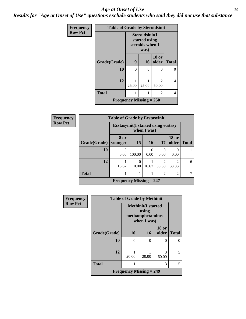#### *Age at Onset of Use* **29**

┃

*Results for "Age at Onset of Use" questions exclude students who said they did not use that substance*

| <b>Frequency</b> | <b>Table of Grade by Steroidsinit</b> |                                                            |           |                         |              |  |  |  |
|------------------|---------------------------------------|------------------------------------------------------------|-----------|-------------------------|--------------|--|--|--|
| <b>Row Pct</b>   |                                       | Steroidsinit(I<br>started using<br>steroids when I<br>was) |           |                         |              |  |  |  |
|                  | Grade(Grade)                          | 9                                                          | <b>16</b> | <b>18 or</b><br>older   | <b>Total</b> |  |  |  |
|                  | 10                                    | 0                                                          | 0<br>٠    | ∩                       | 0            |  |  |  |
|                  | 12                                    | 25.00                                                      | 25.00     | $\mathfrak{D}$<br>50.00 | 4            |  |  |  |
|                  | <b>Total</b>                          |                                                            | 1         | 2                       | 4            |  |  |  |
|                  | Frequency Missing $= 250$             |                                                            |           |                         |              |  |  |  |

| <b>Frequency</b> |              | <b>Table of Grade by Ecstasyinit</b>                       |           |           |                                      |                         |              |  |
|------------------|--------------|------------------------------------------------------------|-----------|-----------|--------------------------------------|-------------------------|--------------|--|
| <b>Row Pct</b>   |              | <b>Ecstasyinit</b> (I started using ecstasy<br>when I was) |           |           |                                      |                         |              |  |
|                  | Grade(Grade) | 8 or<br>younger                                            | <b>15</b> | <b>16</b> | 17                                   | <b>18 or</b><br>older   | <b>Total</b> |  |
|                  | 10           | 0<br>0.00                                                  | 100.00    | 0<br>0.00 | $\Omega$<br>0.00                     | 0<br>0.00               |              |  |
|                  | 12           | 16.67                                                      | 0.00      | 16.67     | $\mathcal{D}_{\mathcal{L}}$<br>33.33 | $\mathfrak{D}$<br>33.33 | 6            |  |
|                  | <b>Total</b> |                                                            |           |           | 2                                    | 2                       |              |  |
|                  |              | Frequency Missing $= 247$                                  |           |           |                                      |                         |              |  |

| <b>Frequency</b> | <b>Table of Grade by Methinit</b> |           |                                                                       |                       |              |  |  |  |
|------------------|-----------------------------------|-----------|-----------------------------------------------------------------------|-----------------------|--------------|--|--|--|
| <b>Row Pct</b>   |                                   |           | <b>Methinit(I started</b><br>using<br>methamphetamines<br>when I was) |                       |              |  |  |  |
|                  | Grade(Grade)                      | <b>10</b> | <b>16</b>                                                             | <b>18 or</b><br>older | <b>Total</b> |  |  |  |
|                  | 10                                | 0<br>٠    | 0<br>٠                                                                | 0                     | 0            |  |  |  |
|                  | 12                                | 20.00     | 20.00                                                                 | 3<br>60.00            | 5            |  |  |  |
|                  | <b>Total</b>                      |           |                                                                       | 3                     | 5            |  |  |  |
|                  | <b>Frequency Missing = 249</b>    |           |                                                                       |                       |              |  |  |  |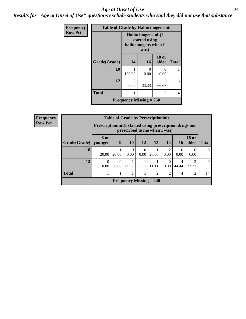#### Age at Onset of Use **30**

*Results for "Age at Onset of Use" questions exclude students who said they did not use that substance*

| Frequency      | <b>Table of Grade by Hallucinogensinit</b> |                                                              |           |                         |              |  |  |  |  |
|----------------|--------------------------------------------|--------------------------------------------------------------|-----------|-------------------------|--------------|--|--|--|--|
| <b>Row Pct</b> |                                            | Hallucinogensinit(I<br>started using<br>hallucinogens when I |           |                         |              |  |  |  |  |
|                | Grade(Grade)                               | 14                                                           | <b>16</b> | <b>18 or</b><br>older   | <b>Total</b> |  |  |  |  |
|                | 10                                         | 100.00                                                       | 0<br>0.00 | $\mathbf{0}$<br>0.00    |              |  |  |  |  |
|                | 12                                         | 0<br>0.00                                                    | 33.33     | $\mathfrak{D}$<br>66.67 | 3            |  |  |  |  |
|                | <b>Total</b>                               |                                                              |           | 2                       | 4            |  |  |  |  |
|                | Frequency Missing $= 250$                  |                                                              |           |                         |              |  |  |  |  |

| Frequency      | <b>Table of Grade by Prescriptioninit</b> |                                                                                            |                  |                           |           |               |                         |                 |                       |              |
|----------------|-------------------------------------------|--------------------------------------------------------------------------------------------|------------------|---------------------------|-----------|---------------|-------------------------|-----------------|-----------------------|--------------|
| <b>Row Pct</b> |                                           | Prescription in it (I started using prescription drugs not<br>prescribed to me when I was) |                  |                           |           |               |                         |                 |                       |              |
|                | Grade(Grade)                              | 8 or<br>vounger                                                                            | 9                | <b>10</b>                 | <b>12</b> | 13            | 14                      | 16 <sup>1</sup> | <b>18 or</b><br>older | Total        |
|                | 10                                        | 20.00                                                                                      | 20.00            | $\Omega$<br>0.00          | 0<br>0.00 | 20.00         | $\overline{c}$<br>40.00 | 0.00            | 0.00                  |              |
|                | 12                                        | $\Omega$<br>0.00                                                                           | $\theta$<br>0.00 | 11.11                     | 11.1      | 11.11         | $\Omega$<br>0.00        | 4<br>44.44      | 22.22                 | $\mathbf{Q}$ |
|                | <b>Total</b>                              |                                                                                            |                  |                           |           | $\mathcal{D}$ | $\overline{2}$          | 4               | $\mathfrak{D}$        | 14           |
|                |                                           |                                                                                            |                  | Frequency Missing $= 240$ |           |               |                         |                 |                       |              |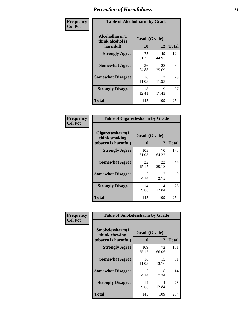| Frequency      | <b>Table of Alcoholharm by Grade</b>          |                    |             |              |  |
|----------------|-----------------------------------------------|--------------------|-------------|--------------|--|
| <b>Col Pct</b> | Alcoholharm(I<br>think alcohol is<br>harmful) | Grade(Grade)<br>10 | 12          | <b>Total</b> |  |
|                | <b>Strongly Agree</b>                         | 75<br>51.72        | 49<br>44.95 | 124          |  |
|                | <b>Somewhat Agree</b>                         | 36<br>24.83        | 28<br>25.69 | 64           |  |
|                | <b>Somewhat Disagree</b>                      | 16<br>11.03        | 13<br>11.93 | 29           |  |
|                | <b>Strongly Disagree</b>                      | 18<br>12.41        | 19<br>17.43 | 37           |  |
|                | <b>Total</b>                                  | 145                | 109         | 254          |  |

| <b>Table of Cigarettesharm by Grade</b>                  |                    |             |              |  |  |  |  |
|----------------------------------------------------------|--------------------|-------------|--------------|--|--|--|--|
| Cigarettesharm(I<br>think smoking<br>tobacco is harmful) | Grade(Grade)<br>10 | 12          | <b>Total</b> |  |  |  |  |
| <b>Strongly Agree</b>                                    | 103<br>71.03       | 70<br>64.22 | 173          |  |  |  |  |
| <b>Somewhat Agree</b>                                    | 22<br>15.17        | 22<br>20.18 | 44           |  |  |  |  |
| <b>Somewhat Disagree</b>                                 | 6<br>4.14          | 3<br>2.75   | 9            |  |  |  |  |
| <b>Strongly Disagree</b>                                 | 14<br>9.66         | 14<br>12.84 | 28           |  |  |  |  |
| <b>Total</b>                                             | 145                | 109         | 254          |  |  |  |  |

| Frequency      | <b>Table of Smokelessharm by Grade</b>                  |                    |             |              |  |  |
|----------------|---------------------------------------------------------|--------------------|-------------|--------------|--|--|
| <b>Col Pct</b> | Smokelessharm(I<br>think chewing<br>tobacco is harmful) | Grade(Grade)<br>10 | 12          | <b>Total</b> |  |  |
|                | <b>Strongly Agree</b>                                   | 109<br>75.17       | 72<br>66.06 | 181          |  |  |
|                | <b>Somewhat Agree</b>                                   | 16<br>11.03        | 15<br>13.76 | 31           |  |  |
|                | <b>Somewhat Disagree</b>                                | 6<br>4.14          | 8<br>7.34   | 14           |  |  |
|                | <b>Strongly Disagree</b>                                | 14<br>9.66         | 14<br>12.84 | 28           |  |  |
|                | <b>Total</b>                                            | 145                | 109         | 254          |  |  |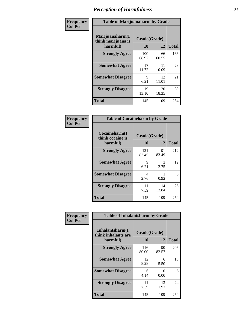| Frequency      |                                                   | <b>Table of Marijuanaharm by Grade</b> |             |              |  |  |
|----------------|---------------------------------------------------|----------------------------------------|-------------|--------------|--|--|
| <b>Col Pct</b> | Marijuanaharm(I<br>think marijuana is<br>harmful) | Grade(Grade)<br>10                     | 12          | <b>Total</b> |  |  |
|                | <b>Strongly Agree</b>                             | 100<br>68.97                           | 66<br>60.55 | 166          |  |  |
|                | <b>Somewhat Agree</b>                             | 17<br>11.72                            | 11<br>10.09 | 28           |  |  |
|                | <b>Somewhat Disagree</b>                          | 9<br>6.21                              | 12<br>11.01 | 21           |  |  |
|                | <b>Strongly Disagree</b>                          | 19<br>13.10                            | 20<br>18.35 | 39           |  |  |
|                | <b>Total</b>                                      | 145                                    | 109         | 254          |  |  |

| <b>Table of Cocaineharm by Grade</b>          |                    |             |              |  |  |  |  |
|-----------------------------------------------|--------------------|-------------|--------------|--|--|--|--|
| Cocaineharm(I<br>think cocaine is<br>harmful) | Grade(Grade)<br>10 | 12          | <b>Total</b> |  |  |  |  |
| <b>Strongly Agree</b>                         | 121<br>83.45       | 91<br>83.49 | 212          |  |  |  |  |
| <b>Somewhat Agree</b>                         | 9<br>6.21          | 3<br>2.75   | 12           |  |  |  |  |
| <b>Somewhat Disagree</b>                      | 4<br>2.76          | 0.92        | 5            |  |  |  |  |
| <b>Strongly Disagree</b>                      | 11<br>7.59         | 14<br>12.84 | 25           |  |  |  |  |
| <b>Total</b>                                  | 145                | 109         | 254          |  |  |  |  |

| Frequency      | <b>Table of Inhalantsharm by Grade</b>             |                           |             |              |
|----------------|----------------------------------------------------|---------------------------|-------------|--------------|
| <b>Col Pct</b> | Inhalantsharm(I<br>think inhalants are<br>harmful) | Grade(Grade)<br><b>10</b> | 12          | <b>Total</b> |
|                | <b>Strongly Agree</b>                              | 116<br>80.00              | 90<br>82.57 | 206          |
|                | <b>Somewhat Agree</b>                              | 12<br>8.28                | 6<br>5.50   | 18           |
|                | <b>Somewhat Disagree</b>                           | 6<br>4.14                 | 0<br>0.00   | 6            |
|                | <b>Strongly Disagree</b>                           | 11<br>7.59                | 13<br>11.93 | 24           |
|                | <b>Total</b>                                       | 145                       | 109         | 254          |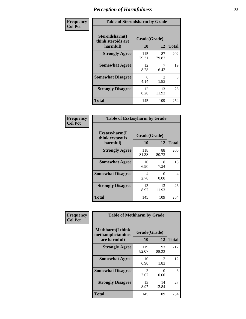| Frequency      | <b>Table of Steroidsharm by Grade</b>            |                    |                        |              |
|----------------|--------------------------------------------------|--------------------|------------------------|--------------|
| <b>Col Pct</b> | Steroidsharm(I<br>think steroids are<br>harmful) | Grade(Grade)<br>10 | 12                     | <b>Total</b> |
|                | <b>Strongly Agree</b>                            | 115<br>79.31       | 87<br>79.82            | 202          |
|                | <b>Somewhat Agree</b>                            | 12<br>8.28         | 7<br>6.42              | 19           |
|                | <b>Somewhat Disagree</b>                         | 6<br>4.14          | $\mathfrak{D}$<br>1.83 | 8            |
|                | <b>Strongly Disagree</b>                         | 12<br>8.28         | 13<br>11.93            | 25           |
|                | <b>Total</b>                                     | 145                | 109                    | 254          |

| <b>Table of Ecstasyharm by Grade</b>          |                    |             |              |  |
|-----------------------------------------------|--------------------|-------------|--------------|--|
| Ecstasyharm(I<br>think ecstasy is<br>harmful) | Grade(Grade)<br>10 | 12          | <b>Total</b> |  |
| <b>Strongly Agree</b>                         | 118<br>81.38       | 88<br>80.73 | 206          |  |
| <b>Somewhat Agree</b>                         | 10<br>6.90         | 8<br>7.34   | 18           |  |
| <b>Somewhat Disagree</b>                      | 4<br>2.76          | 0<br>0.00   | 4            |  |
| <b>Strongly Disagree</b>                      | 13<br>8.97         | 13<br>11.93 | 26           |  |
| <b>Total</b>                                  | 145                | 109         | 254          |  |

| Frequency      | <b>Table of Methharm by Grade</b>                           |                    |                        |              |
|----------------|-------------------------------------------------------------|--------------------|------------------------|--------------|
| <b>Col Pct</b> | <b>Methharm(I think</b><br>methamphetamines<br>are harmful) | Grade(Grade)<br>10 | 12                     | <b>Total</b> |
|                | <b>Strongly Agree</b>                                       | 119<br>82.07       | 93<br>85.32            | 212          |
|                | <b>Somewhat Agree</b>                                       | 10<br>6.90         | $\mathfrak{D}$<br>1.83 | 12           |
|                | <b>Somewhat Disagree</b>                                    | 3<br>2.07          | 0<br>0.00              | 3            |
|                | <b>Strongly Disagree</b>                                    | 13<br>8.97         | 14<br>12.84            | 27           |
|                | <b>Total</b>                                                | 145                | 109                    | 254          |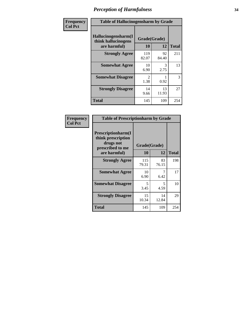| Frequency      | <b>Table of Hallucinogensharm by Grade</b>                 |                    |             |              |
|----------------|------------------------------------------------------------|--------------------|-------------|--------------|
| <b>Col Pct</b> | Hallucinogensharm(I<br>think hallucinogens<br>are harmful) | Grade(Grade)<br>10 | 12          | <b>Total</b> |
|                | <b>Strongly Agree</b>                                      | 119<br>82.07       | 92<br>84.40 | 211          |
|                | <b>Somewhat Agree</b>                                      | 10<br>6.90         | 3<br>2.75   | 13           |
|                | <b>Somewhat Disagree</b>                                   | 2<br>1.38          | 0.92        | 3            |
|                | <b>Strongly Disagree</b>                                   | 14<br>9.66         | 13<br>11.93 | 27           |
|                | <b>Total</b>                                               | 145                | 109         | 254          |

| <b>Table of Prescriptionharm by Grade</b>                                         |              |             |              |  |  |
|-----------------------------------------------------------------------------------|--------------|-------------|--------------|--|--|
| <b>Prescriptionharm(I)</b><br>think prescription<br>drugs not<br>prescribed to me | Grade(Grade) |             |              |  |  |
| are harmful)                                                                      | 10           | 12          | <b>Total</b> |  |  |
| <b>Strongly Agree</b>                                                             | 115<br>79.31 | 83<br>76.15 | 198          |  |  |
| <b>Somewhat Agree</b>                                                             | 10<br>6.90   | 7<br>6.42   | 17           |  |  |
| <b>Somewhat Disagree</b>                                                          | 5<br>3.45    | 5<br>4.59   | 10           |  |  |
| <b>Strongly Disagree</b>                                                          | 15<br>10.34  | 14<br>12.84 | 29           |  |  |
| <b>Total</b>                                                                      | 145          | 109         | 254          |  |  |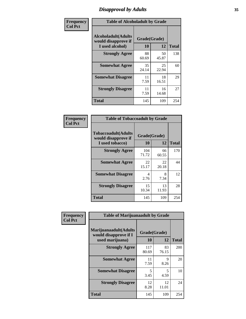# *Disapproval by Adults* **35**

| Frequency<br><b>Col Pct</b> | <b>Table of Alcoholadult by Grade</b>                                 |             |                    |              |
|-----------------------------|-----------------------------------------------------------------------|-------------|--------------------|--------------|
|                             | <b>Alcoholadult</b> (Adults<br>would disapprove if<br>I used alcohol) | 10          | Grade(Grade)<br>12 | <b>Total</b> |
|                             | <b>Strongly Agree</b>                                                 | 88<br>60.69 | 50<br>45.87        | 138          |
|                             | <b>Somewhat Agree</b>                                                 | 35<br>24.14 | 25<br>22.94        | 60           |
|                             | <b>Somewhat Disagree</b>                                              | 11<br>7.59  | 18<br>16.51        | 29           |
|                             | <b>Strongly Disagree</b>                                              | 11<br>7.59  | 16<br>14.68        | 27           |
|                             | <b>Total</b>                                                          | 145         | 109                | 254          |

| <b>Table of Tobaccoadult by Grade</b>                                 |                    |             |              |  |
|-----------------------------------------------------------------------|--------------------|-------------|--------------|--|
| <b>Tobaccoadult</b> (Adults<br>would disapprove if<br>I used tobacco) | Grade(Grade)<br>10 | 12          | <b>Total</b> |  |
| <b>Strongly Agree</b>                                                 | 104<br>71.72       | 66<br>60.55 | 170          |  |
| <b>Somewhat Agree</b>                                                 | 22<br>15.17        | 22<br>20.18 | 44           |  |
| <b>Somewhat Disagree</b>                                              | 4<br>2.76          | 8<br>7.34   | 12           |  |
| <b>Strongly Disagree</b>                                              | 15<br>10.34        | 13<br>11.93 | 28           |  |
| <b>Total</b>                                                          | 145                | 109         | 254          |  |

| Frequency      | <b>Table of Marijuanaadult by Grade</b>                           |                    |             |              |
|----------------|-------------------------------------------------------------------|--------------------|-------------|--------------|
| <b>Col Pct</b> | Marijuanaadult(Adults<br>would disapprove if I<br>used marijuana) | Grade(Grade)<br>10 | 12          | <b>Total</b> |
|                | <b>Strongly Agree</b>                                             | 117<br>80.69       | 83<br>76.15 | 200          |
|                | <b>Somewhat Agree</b>                                             | 11<br>7.59         | 9<br>8.26   | 20           |
|                | <b>Somewhat Disagree</b>                                          | 5<br>3.45          | 5<br>4.59   | 10           |
|                | <b>Strongly Disagree</b>                                          | 12<br>8.28         | 12<br>11.01 | 24           |
|                | <b>Total</b>                                                      | 145                | 109         | 254          |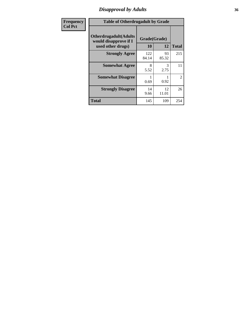# *Disapproval by Adults* **36**

| <b>Frequency</b> | <b>Table of Otherdrugadult by Grade</b>                |              |             |                |
|------------------|--------------------------------------------------------|--------------|-------------|----------------|
| <b>Col Pct</b>   | <b>Otherdrugadult</b> (Adults<br>would disapprove if I | Grade(Grade) |             |                |
|                  | used other drugs)                                      | 10           | 12          | <b>Total</b>   |
|                  | <b>Strongly Agree</b>                                  | 122<br>84.14 | 93<br>85.32 | 215            |
|                  | <b>Somewhat Agree</b>                                  | 8<br>5.52    | 3<br>2.75   | 11             |
|                  | <b>Somewhat Disagree</b>                               | 0.69         | 0.92        | $\overline{2}$ |
|                  | <b>Strongly Disagree</b>                               | 14<br>9.66   | 12<br>11.01 | 26             |
|                  | <b>Total</b>                                           | 145          | 109         | 254            |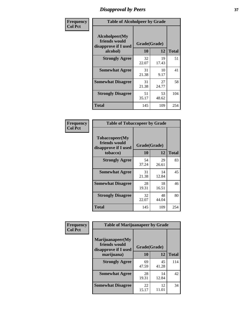# *Disapproval by Peers* **37**

| Frequency      | <b>Table of Alcoholpeer by Grade</b>                    |              |             |              |  |
|----------------|---------------------------------------------------------|--------------|-------------|--------------|--|
| <b>Col Pct</b> | Alcoholpeer(My<br>friends would<br>disapprove if I used | Grade(Grade) |             |              |  |
|                | alcohol)                                                | 10           | 12          | <b>Total</b> |  |
|                | <b>Strongly Agree</b>                                   | 32<br>22.07  | 19<br>17.43 | 51           |  |
|                | <b>Somewhat Agree</b>                                   | 31<br>21.38  | 10<br>9.17  | 41           |  |
|                | <b>Somewhat Disagree</b>                                | 31<br>21.38  | 27<br>24.77 | 58           |  |
|                | <b>Strongly Disagree</b>                                | 51<br>35.17  | 53<br>48.62 | 104          |  |
|                | Total                                                   | 145          | 109         | 254          |  |

| Frequency      | <b>Table of Tobaccopeer by Grade</b>                                |                    |             |              |  |
|----------------|---------------------------------------------------------------------|--------------------|-------------|--------------|--|
| <b>Col Pct</b> | Tobaccopeer(My<br>friends would<br>disapprove if I used<br>tobacco) | Grade(Grade)<br>10 | 12          | <b>Total</b> |  |
|                | <b>Strongly Agree</b>                                               | 54<br>37.24        | 29<br>26.61 | 83           |  |
|                | <b>Somewhat Agree</b>                                               | 31<br>21.38        | 14<br>12.84 | 45           |  |
|                | <b>Somewhat Disagree</b>                                            | 28<br>19.31        | 18<br>16.51 | 46           |  |
|                | <b>Strongly Disagree</b>                                            | 32<br>22.07        | 48<br>44.04 | 80           |  |
|                | Total                                                               | 145                | 109         | 254          |  |

| Frequency      | <b>Table of Marijuanapeer by Grade</b>                    |              |             |              |
|----------------|-----------------------------------------------------------|--------------|-------------|--------------|
| <b>Col Pct</b> | Marijuanapeer(My<br>friends would<br>disapprove if I used | Grade(Grade) |             |              |
|                | marijuana)                                                | 10           | 12          | <b>Total</b> |
|                | <b>Strongly Agree</b>                                     | 69<br>47.59  | 45<br>41.28 | 114          |
|                | <b>Somewhat Agree</b>                                     | 28<br>19.31  | 14<br>12.84 | 42           |
|                | <b>Somewhat Disagree</b>                                  | 22<br>15.17  | 12<br>11.01 | 34           |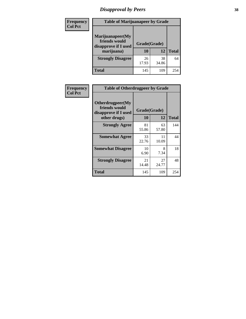# *Disapproval by Peers* **38**

| <b>Frequency</b> | <b>Table of Marijuanapeer by Grade</b>                                  |                           |             |              |  |
|------------------|-------------------------------------------------------------------------|---------------------------|-------------|--------------|--|
| <b>Col Pct</b>   | Marijuanapeer(My<br>friends would<br>disapprove if I used<br>marijuana) | Grade(Grade)<br><b>10</b> | 12          | <b>Total</b> |  |
|                  | <b>Strongly Disagree</b>                                                | 26<br>17.93               | 38<br>34.86 | 64           |  |
|                  | <b>Total</b>                                                            | 145                       | 109         | 254          |  |

| <b>Frequency</b> | <b>Table of Otherdrugpeer by Grade</b>                                    |                           |             |              |
|------------------|---------------------------------------------------------------------------|---------------------------|-------------|--------------|
| <b>Col Pct</b>   | Otherdrugpeer(My<br>friends would<br>disapprove if I used<br>other drugs) | Grade(Grade)<br><b>10</b> | 12          | <b>Total</b> |
|                  |                                                                           |                           |             |              |
|                  | <b>Strongly Agree</b>                                                     | 81<br>55.86               | 63<br>57.80 | 144          |
|                  | <b>Somewhat Agree</b>                                                     | 33<br>22.76               | 11<br>10.09 | 44           |
|                  | <b>Somewhat Disagree</b>                                                  | 10<br>6.90                | 8<br>7.34   | 18           |
|                  | <b>Strongly Disagree</b>                                                  | 21<br>14.48               | 27<br>24.77 | 48           |
|                  | <b>Total</b>                                                              | 145                       | 109         | 254          |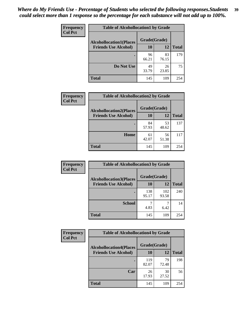| Frequency      | <b>Table of Alcohollocation1 by Grade</b> |              |             |              |
|----------------|-------------------------------------------|--------------|-------------|--------------|
| <b>Col Pct</b> | <b>Alcohollocation1(Places</b>            | Grade(Grade) |             |              |
|                | <b>Friends Use Alcohol)</b>               | 10           | 12          | <b>Total</b> |
|                |                                           | 96<br>66.21  | 83<br>76.15 | 179          |
|                | Do Not Use                                | 49<br>33.79  | 26<br>23.85 | 75           |
|                | <b>Total</b>                              | 145          | 109         | 254          |

| Frequency      | <b>Table of Alcohollocation2 by Grade</b>                     |                    |             |              |
|----------------|---------------------------------------------------------------|--------------------|-------------|--------------|
| <b>Col Pct</b> | <b>Alcohollocation2(Places</b><br><b>Friends Use Alcohol)</b> | Grade(Grade)<br>10 | <b>12</b>   | <b>Total</b> |
|                |                                                               | 84<br>57.93        | 53<br>48.62 | 137          |
|                | Home                                                          | 61<br>42.07        | 56<br>51.38 | 117          |
|                | <b>Total</b>                                                  | 145                | 109         | 254          |

| Frequency<br><b>Col Pct</b> | <b>Table of Alcohollocation 3 by Grade</b>                    |                    |              |              |  |
|-----------------------------|---------------------------------------------------------------|--------------------|--------------|--------------|--|
|                             | <b>Alcohollocation3(Places</b><br><b>Friends Use Alcohol)</b> | Grade(Grade)<br>10 | 12           | <b>Total</b> |  |
|                             |                                                               | 138<br>95.17       | 102<br>93.58 | 240          |  |
|                             | <b>School</b>                                                 | 4.83               | 6.42         | 14           |  |
|                             | <b>Total</b>                                                  | 145                | 109          | 254          |  |

| <b>Frequency</b> | <b>Table of Alcohollocation4 by Grade</b> |              |             |              |  |
|------------------|-------------------------------------------|--------------|-------------|--------------|--|
| <b>Col Pct</b>   | <b>Alcohollocation4(Places</b>            | Grade(Grade) |             |              |  |
|                  | <b>Friends Use Alcohol)</b>               | 10           | 12          | <b>Total</b> |  |
|                  |                                           | 119<br>82.07 | 79<br>72.48 | 198          |  |
|                  | Car                                       | 26<br>17.93  | 30<br>27.52 | 56           |  |
|                  | <b>Total</b>                              | 145          | 109         | 254          |  |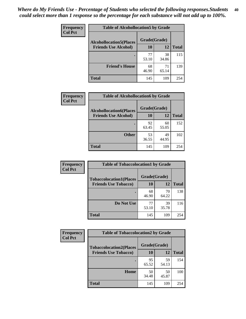| Frequency<br><b>Col Pct</b> | <b>Table of Alcohollocation5 by Grade</b><br>Grade(Grade)<br><b>Alcohollocation5(Places</b> |             |             |              |
|-----------------------------|---------------------------------------------------------------------------------------------|-------------|-------------|--------------|
|                             |                                                                                             |             |             |              |
|                             | <b>Friends Use Alcohol)</b>                                                                 | 10          | 12          | <b>Total</b> |
|                             |                                                                                             | 77<br>53.10 | 38<br>34.86 | 115          |
|                             | <b>Friend's House</b>                                                                       | 68<br>46.90 | 71<br>65.14 | 139          |
|                             | <b>Total</b>                                                                                | 145         | 109         | 254          |

| <b>Frequency</b> | <b>Table of Alcohollocation6 by Grade</b> |                           |             |              |
|------------------|-------------------------------------------|---------------------------|-------------|--------------|
| <b>Col Pct</b>   | <b>Alcohollocation6(Places</b>            | Grade(Grade)<br><b>10</b> | 12          | <b>Total</b> |
|                  | <b>Friends Use Alcohol)</b>               |                           |             |              |
|                  |                                           | 92<br>63.45               | 60<br>55.05 | 152          |
|                  | <b>Other</b>                              | 53<br>36.55               | 49<br>44.95 | 102          |
|                  | Total                                     | 145                       | 109         | 254          |

| <b>Frequency</b> | <b>Table of Tobaccolocation1 by Grade</b> |              |             |              |
|------------------|-------------------------------------------|--------------|-------------|--------------|
| <b>Col Pct</b>   | <b>Tobaccolocation1(Places</b>            | Grade(Grade) |             |              |
|                  | <b>Friends Use Tobacco)</b>               | 10           | 12          | <b>Total</b> |
|                  |                                           | 68<br>46.90  | 70<br>64.22 | 138          |
|                  | Do Not Use                                | 77<br>53.10  | 39<br>35.78 | 116          |
|                  | <b>Total</b>                              | 145          | 109         | 254          |

| Frequency      | <b>Table of Tobaccolocation2 by Grade</b> |              |             |              |  |
|----------------|-------------------------------------------|--------------|-------------|--------------|--|
| <b>Col Pct</b> | <b>Tobaccolocation2(Places</b>            | Grade(Grade) |             |              |  |
|                | <b>Friends Use Tobacco)</b>               | 10           | 12          | <b>Total</b> |  |
|                |                                           | 95<br>65.52  | 59<br>54.13 | 154          |  |
|                | Home                                      | 50<br>34.48  | 50<br>45.87 | 100          |  |
|                | <b>Total</b>                              | 145          | 109         | 254          |  |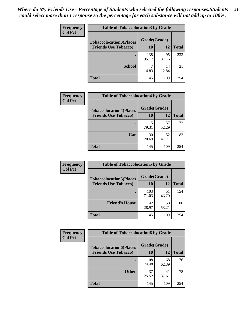| Frequency      | <b>Table of Tobaccolocation 3 by Grade</b> |              |             |              |  |
|----------------|--------------------------------------------|--------------|-------------|--------------|--|
| <b>Col Pct</b> | <b>Tobaccolocation3(Places</b>             | Grade(Grade) |             |              |  |
|                | <b>Friends Use Tobacco)</b>                | 10           | <b>12</b>   | <b>Total</b> |  |
|                |                                            | 138<br>95.17 | 95<br>87.16 | 233          |  |
|                | <b>School</b>                              | 4.83         | 14<br>12.84 | 21           |  |
|                | <b>Total</b>                               | 145          | 109         | 254          |  |

| Frequency      | <b>Table of Tobaccolocation4 by Grade</b> |              |             |              |
|----------------|-------------------------------------------|--------------|-------------|--------------|
| <b>Col Pct</b> | <b>Tobaccolocation4(Places</b>            | Grade(Grade) |             |              |
|                | <b>Friends Use Tobacco)</b>               | 10           | 12          | <b>Total</b> |
|                |                                           | 115<br>79.31 | 57<br>52.29 | 172          |
|                | Car                                       | 30<br>20.69  | 52<br>47.71 | 82           |
|                | <b>Total</b>                              | 145          | 109         | 254          |

| Frequency      | <b>Table of Tobaccolocation5 by Grade</b> |              |             |              |
|----------------|-------------------------------------------|--------------|-------------|--------------|
| <b>Col Pct</b> | <b>Tobaccolocation5(Places</b>            | Grade(Grade) |             |              |
|                | <b>Friends Use Tobacco)</b>               | 10           | 12          | <b>Total</b> |
|                |                                           | 103<br>71.03 | 51<br>46.79 | 154          |
|                | <b>Friend's House</b>                     | 42<br>28.97  | 58<br>53.21 | 100          |
|                | <b>Total</b>                              | 145          | 109         | 254          |

| Frequency      | <b>Table of Tobaccolocation6 by Grade</b> |              |             |              |  |
|----------------|-------------------------------------------|--------------|-------------|--------------|--|
| <b>Col Pct</b> | <b>Tobaccolocation6(Places</b>            | Grade(Grade) |             |              |  |
|                | <b>Friends Use Tobacco)</b>               | 10           | 12          | <b>Total</b> |  |
|                |                                           | 108<br>74.48 | 68<br>62.39 | 176          |  |
|                | <b>Other</b>                              | 37<br>25.52  | 41<br>37.61 | 78           |  |
|                | <b>Total</b>                              | 145          | 109         | 254          |  |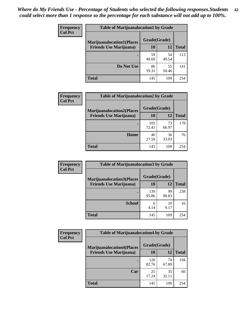| <b>Frequency</b> | <b>Table of Marijuanalocation1 by Grade</b> |              |             |              |
|------------------|---------------------------------------------|--------------|-------------|--------------|
| <b>Col Pct</b>   | <b>Marijuanalocation1(Places</b>            | Grade(Grade) |             |              |
|                  | <b>Friends Use Marijuana</b> )              | 10           | 12          | <b>Total</b> |
|                  |                                             | 59<br>40.69  | 54<br>49.54 | 113          |
|                  | Do Not Use                                  | 86<br>59.31  | 55<br>50.46 | 141          |
|                  | <b>Total</b>                                | 145          | 109         | 254          |

| <b>Frequency</b> | <b>Table of Marijuanalocation2 by Grade</b>                        |                    |             |              |
|------------------|--------------------------------------------------------------------|--------------------|-------------|--------------|
| <b>Col Pct</b>   | <b>Marijuanalocation2(Places</b><br><b>Friends Use Marijuana</b> ) | Grade(Grade)<br>10 | 12          | <b>Total</b> |
|                  |                                                                    | 105<br>72.41       | 73<br>66.97 | 178          |
|                  | <b>Home</b>                                                        | 40<br>27.59        | 36<br>33.03 | 76           |
|                  | <b>Total</b>                                                       | 145                | 109         | 254          |

| Frequency<br><b>Col Pct</b> | <b>Table of Marijuanalocation3 by Grade</b> |              |             |              |
|-----------------------------|---------------------------------------------|--------------|-------------|--------------|
|                             | <b>Marijuanalocation3(Places</b>            | Grade(Grade) |             |              |
|                             | <b>Friends Use Marijuana</b> )              | 10           | 12          | <b>Total</b> |
|                             |                                             | 139<br>95.86 | 99<br>90.83 | 238          |
|                             |                                             |              |             |              |
|                             | <b>School</b>                               | 6<br>4.14    | 10<br>9.17  | 16           |
|                             | <b>Total</b>                                | 145          | 109         | 254          |

| <b>Frequency</b> | <b>Table of Marijuanalocation4 by Grade</b> |              |             |              |  |
|------------------|---------------------------------------------|--------------|-------------|--------------|--|
| <b>Col Pct</b>   | <b>Marijuanalocation4(Places</b>            | Grade(Grade) |             |              |  |
|                  | <b>Friends Use Marijuana</b> )              | <b>10</b>    | 12          | <b>Total</b> |  |
|                  |                                             | 120<br>82.76 | 74<br>67.89 | 194          |  |
|                  | Car                                         | 25<br>17.24  | 35<br>32.11 | 60           |  |
|                  | <b>Total</b>                                | 145          | 109         | 254          |  |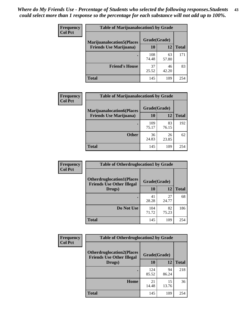| <b>Frequency</b> | <b>Table of Marijuanalocation5 by Grade</b> |              |             |              |
|------------------|---------------------------------------------|--------------|-------------|--------------|
| <b>Col Pct</b>   | <b>Marijuanalocation5</b> (Places           | Grade(Grade) |             |              |
|                  | <b>Friends Use Marijuana</b> )              | 10           | 12          | <b>Total</b> |
|                  |                                             | 108<br>74.48 | 63<br>57.80 | 171          |
|                  | <b>Friend's House</b>                       | 37<br>25.52  | 46<br>42.20 | 83           |
|                  | <b>Total</b>                                | 145          | 109         | 254          |

| <b>Frequency</b> | <b>Table of Marijuanalocation6 by Grade</b>                        |                    |             |              |
|------------------|--------------------------------------------------------------------|--------------------|-------------|--------------|
| <b>Col Pct</b>   | <b>Marijuanalocation6(Places</b><br><b>Friends Use Marijuana</b> ) | Grade(Grade)<br>10 | 12          | <b>Total</b> |
|                  |                                                                    | 109<br>75.17       | 83<br>76.15 | 192          |
|                  | <b>Other</b>                                                       | 36<br>24.83        | 26<br>23.85 | 62           |
|                  | <b>Total</b>                                                       | 145                | 109         | 254          |

| Frequency      | <b>Table of Otherdruglocation1 by Grade</b>                          |              |             |              |
|----------------|----------------------------------------------------------------------|--------------|-------------|--------------|
| <b>Col Pct</b> | <b>Otherdruglocation1(Places</b><br><b>Friends Use Other Illegal</b> | Grade(Grade) |             |              |
|                | Drugs)                                                               | 10           | 12          | <b>Total</b> |
|                |                                                                      | 41<br>28.28  | 27<br>24.77 | 68           |
|                | Do Not Use                                                           | 104<br>71.72 | 82<br>75.23 | 186          |
|                | <b>Total</b>                                                         | 145          | 109         | 254          |

| <b>Frequency</b> | <b>Table of Otherdruglocation2 by Grade</b>                          |              |             |              |
|------------------|----------------------------------------------------------------------|--------------|-------------|--------------|
| <b>Col Pct</b>   | <b>Otherdruglocation2(Places</b><br><b>Friends Use Other Illegal</b> | Grade(Grade) |             |              |
|                  | Drugs)                                                               | 10           | 12          | <b>Total</b> |
|                  |                                                                      | 124<br>85.52 | 94<br>86.24 | 218          |
|                  | Home                                                                 | 21<br>14.48  | 15<br>13.76 | 36           |
|                  | <b>Total</b>                                                         | 145          | 109         | 254          |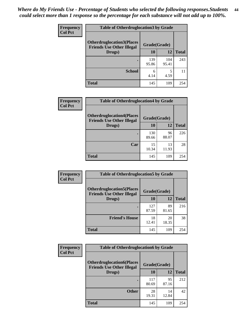| <b>Frequency</b> | <b>Table of Otherdruglocation 3 by Grade</b>                          |              |              |              |
|------------------|-----------------------------------------------------------------------|--------------|--------------|--------------|
| <b>Col Pct</b>   | <b>Otherdruglocation3(Places)</b><br><b>Friends Use Other Illegal</b> | Grade(Grade) |              |              |
|                  | Drugs)                                                                | 10           | 12           | <b>Total</b> |
|                  | $\bullet$                                                             | 139<br>95.86 | 104<br>95.41 | 243          |
|                  | <b>School</b>                                                         | 6<br>4.14    | 5<br>4.59    |              |
|                  | <b>Total</b>                                                          | 145          | 109          | 254          |

| Frequency      | <b>Table of Otherdruglocation4 by Grade</b>                          |              |             |              |
|----------------|----------------------------------------------------------------------|--------------|-------------|--------------|
| <b>Col Pct</b> | <b>Otherdruglocation4(Places</b><br><b>Friends Use Other Illegal</b> | Grade(Grade) |             |              |
|                | Drugs)                                                               | 10           | 12          | <b>Total</b> |
|                |                                                                      | 130<br>89.66 | 96<br>88.07 | 226          |
|                | Car                                                                  | 15<br>10.34  | 13<br>11.93 | 28           |
|                | <b>Total</b>                                                         | 145          | 109         | 254          |

| <b>Frequency</b> | <b>Table of Otherdruglocation5 by Grade</b>                          |              |             |              |
|------------------|----------------------------------------------------------------------|--------------|-------------|--------------|
| <b>Col Pct</b>   | <b>Otherdruglocation5(Places</b><br><b>Friends Use Other Illegal</b> | Grade(Grade) |             |              |
|                  | Drugs)                                                               | 10           | 12          | <b>Total</b> |
|                  |                                                                      | 127<br>87.59 | 89<br>81.65 | 216          |
|                  | <b>Friend's House</b>                                                | 18<br>12.41  | 20<br>18.35 | 38           |
|                  | <b>Total</b>                                                         | 145          | 109         | 254          |

| <b>Frequency</b> | <b>Table of Otherdruglocation6 by Grade</b>                          |              |             |              |
|------------------|----------------------------------------------------------------------|--------------|-------------|--------------|
| <b>Col Pct</b>   | <b>Otherdruglocation6(Places</b><br><b>Friends Use Other Illegal</b> | Grade(Grade) |             |              |
|                  | Drugs)                                                               | <b>10</b>    | 12          | <b>Total</b> |
|                  |                                                                      | 117<br>80.69 | 95<br>87.16 | 212          |
|                  | <b>Other</b>                                                         | 28<br>19.31  | 14<br>12.84 | 42           |
|                  | <b>Total</b>                                                         | 145          | 109         | 254          |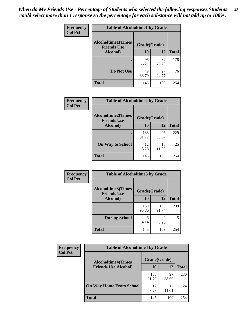| Frequency      | <b>Table of Alcoholtime1 by Grade</b>           |              |             |              |
|----------------|-------------------------------------------------|--------------|-------------|--------------|
| <b>Col Pct</b> | <b>Alcoholtime1(Times</b><br><b>Friends Use</b> | Grade(Grade) |             |              |
|                | Alcohol)                                        | 10           | 12          | <b>Total</b> |
|                |                                                 | 96<br>66.21  | 82<br>75.23 | 178          |
|                | Do Not Use                                      | 49<br>33.79  | 27<br>24.77 | 76           |
|                | <b>Total</b>                                    | 145          | 109         | 254          |

| Frequency<br><b>Col Pct</b> | <b>Table of Alcoholtime2 by Grade</b>           |              |             |              |
|-----------------------------|-------------------------------------------------|--------------|-------------|--------------|
|                             | <b>Alcoholtime2(Times</b><br><b>Friends Use</b> | Grade(Grade) |             |              |
|                             | Alcohol)                                        | 10           | 12          | <b>Total</b> |
|                             |                                                 | 133<br>91.72 | 96<br>88.07 | 229          |
|                             | <b>On Way to School</b>                         | 12<br>8.28   | 13<br>11.93 | 25           |
|                             | <b>Total</b>                                    | 145          | 109         | 254          |

| <b>Frequency</b> | <b>Table of Alcoholtime3 by Grade</b>           |              |              |              |
|------------------|-------------------------------------------------|--------------|--------------|--------------|
| <b>Col Pct</b>   | <b>Alcoholtime3(Times</b><br><b>Friends Use</b> | Grade(Grade) |              |              |
|                  | Alcohol)                                        | 10           | 12           | <b>Total</b> |
|                  | $\bullet$                                       | 139<br>95.86 | 100<br>91.74 | 239          |
|                  | <b>During School</b>                            | 6<br>4.14    | 9<br>8.26    | 15           |
|                  | <b>Total</b>                                    | 145          | 109          | 254          |

| <b>Frequency</b><br><b>Col Pct</b> | <b>Table of Alcoholtime4 by Grade</b> |              |             |              |
|------------------------------------|---------------------------------------|--------------|-------------|--------------|
|                                    | <b>Alcoholtime4(Times</b>             | Grade(Grade) |             |              |
|                                    | <b>Friends Use Alcohol)</b>           | 10           | 12          | <b>Total</b> |
|                                    |                                       | 133<br>91.72 | 97<br>88.99 | 230          |
|                                    | <b>On Way Home From School</b>        | 12<br>8.28   | 12<br>11.01 | 24           |
|                                    | <b>Total</b>                          | 145          | 109         | 254          |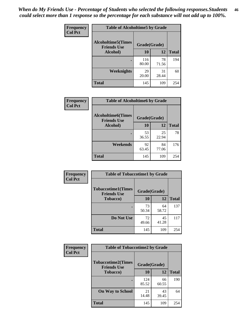*When do My Friends Use - Percentage of Students who selected the following responses.Students could select more than 1 response so the percentage for each substance will not add up to 100%.* **46**

| <b>Frequency</b> | <b>Table of Alcoholtime5 by Grade</b>           |              |             |              |
|------------------|-------------------------------------------------|--------------|-------------|--------------|
| <b>Col Pct</b>   | <b>Alcoholtime5(Times</b><br><b>Friends Use</b> | Grade(Grade) |             |              |
|                  | Alcohol)                                        | 10           | 12          | <b>Total</b> |
|                  |                                                 | 116<br>80.00 | 78<br>71.56 | 194          |
|                  | Weeknights                                      | 29<br>20.00  | 31<br>28.44 | 60           |
|                  | <b>Total</b>                                    | 145          | 109         | 254          |

| Frequency      | <b>Table of Alcoholtime6 by Grade</b>           |              |             |              |
|----------------|-------------------------------------------------|--------------|-------------|--------------|
| <b>Col Pct</b> | <b>Alcoholtime6(Times</b><br><b>Friends Use</b> | Grade(Grade) |             |              |
|                | Alcohol)                                        | 10           | 12          | <b>Total</b> |
|                |                                                 | 53<br>36.55  | 25<br>22.94 | 78           |
|                | Weekends                                        | 92<br>63.45  | 84<br>77.06 | 176          |
|                | <b>Total</b>                                    | 145          | 109         | 254          |

| Frequency      | <b>Table of Tobaccotime1 by Grade</b>           |              |             |              |
|----------------|-------------------------------------------------|--------------|-------------|--------------|
| <b>Col Pct</b> | <b>Tobaccotime1(Times</b><br><b>Friends Use</b> | Grade(Grade) |             |              |
|                | <b>Tobacco</b> )                                | 10           | 12          | <b>Total</b> |
|                | $\bullet$                                       | 73<br>50.34  | 64<br>58.72 | 137          |
|                | Do Not Use                                      | 72<br>49.66  | 45<br>41.28 | 117          |
|                | <b>Total</b>                                    | 145          | 109         | 254          |

| <b>Frequency</b> | <b>Table of Tobaccotime2 by Grade</b>           |              |             |              |
|------------------|-------------------------------------------------|--------------|-------------|--------------|
| <b>Col Pct</b>   | <b>Tobaccotime2(Times</b><br><b>Friends Use</b> | Grade(Grade) |             |              |
|                  | <b>Tobacco</b> )                                | 10           | 12          | <b>Total</b> |
|                  |                                                 | 124<br>85.52 | 66<br>60.55 | 190          |
|                  | <b>On Way to School</b>                         | 21<br>14.48  | 43<br>39.45 | 64           |
|                  | <b>Total</b>                                    | 145          | 109         | 254          |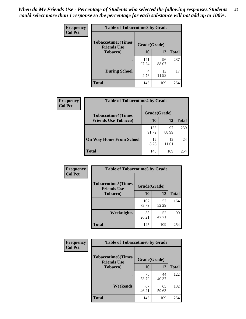*When do My Friends Use - Percentage of Students who selected the following responses.Students could select more than 1 response so the percentage for each substance will not add up to 100%.* **47**

| <b>Frequency</b> | <b>Table of Tobaccotime3 by Grade</b>           |              |             |              |  |
|------------------|-------------------------------------------------|--------------|-------------|--------------|--|
| <b>Col Pct</b>   | <b>Tobaccotime3(Times</b><br><b>Friends Use</b> | Grade(Grade) |             |              |  |
|                  | <b>Tobacco</b> )                                | 10           | 12          | <b>Total</b> |  |
|                  |                                                 | 141<br>97.24 | 96<br>88.07 | 237          |  |
|                  | <b>During School</b>                            | 4<br>2.76    | 13<br>11.93 | 17           |  |
|                  | <b>Total</b>                                    | 145          | 109         | 254          |  |

| Frequency<br><b>Col Pct</b> | <b>Table of Tobaccotime4 by Grade</b> |              |             |              |
|-----------------------------|---------------------------------------|--------------|-------------|--------------|
|                             | <b>Tobaccotime4(Times</b>             | Grade(Grade) |             |              |
|                             | <b>Friends Use Tobacco)</b>           | 10           | 12          | <b>Total</b> |
|                             |                                       | 133<br>91.72 | 97<br>88.99 | 230          |
|                             | <b>On Way Home From School</b>        | 12<br>8.28   | 12<br>11.01 | 24           |
|                             | Total                                 | 145          | 109         | 254          |

| Frequency      | <b>Table of Tobaccotime5 by Grade</b>           |              |             |              |
|----------------|-------------------------------------------------|--------------|-------------|--------------|
| <b>Col Pct</b> | <b>Tobaccotime5(Times</b><br><b>Friends Use</b> | Grade(Grade) |             |              |
|                | <b>Tobacco</b> )                                | 10           | 12          | <b>Total</b> |
|                |                                                 | 107<br>73.79 | 57<br>52.29 | 164          |
|                | Weeknights                                      | 38<br>26.21  | 52<br>47.71 | 90           |
|                | <b>Total</b>                                    | 145          | 109         | 254          |

| Frequency      | <b>Table of Tobaccotime6 by Grade</b>           |              |             |              |
|----------------|-------------------------------------------------|--------------|-------------|--------------|
| <b>Col Pct</b> | <b>Tobaccotime6(Times</b><br><b>Friends Use</b> | Grade(Grade) |             |              |
|                | <b>Tobacco</b> )                                | 10           | 12          | <b>Total</b> |
|                | ٠                                               | 78<br>53.79  | 44<br>40.37 | 122          |
|                | Weekends                                        | 67<br>46.21  | 65<br>59.63 | 132          |
|                | <b>Total</b>                                    | 145          | 109         | 254          |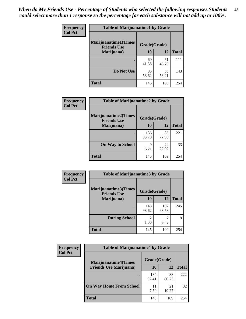| Frequency      | <b>Table of Marijuanatime1 by Grade</b>           |              |             |              |  |
|----------------|---------------------------------------------------|--------------|-------------|--------------|--|
| <b>Col Pct</b> | <b>Marijuanatime1(Times</b><br><b>Friends Use</b> | Grade(Grade) |             |              |  |
|                | Marijuana)                                        | 10           | 12          | <b>Total</b> |  |
|                |                                                   | 60<br>41.38  | 51<br>46.79 | 111          |  |
|                | Do Not Use                                        | 85<br>58.62  | 58<br>53.21 | 143          |  |
|                | <b>Total</b>                                      | 145          | 109         | 254          |  |

| Frequency      | <b>Table of Marijuanatime2 by Grade</b>           |              |             |              |
|----------------|---------------------------------------------------|--------------|-------------|--------------|
| <b>Col Pct</b> | <b>Marijuanatime2(Times</b><br><b>Friends Use</b> | Grade(Grade) |             |              |
|                | Marijuana)                                        | 10           | 12          | <b>Total</b> |
|                |                                                   | 136<br>93.79 | 85<br>77.98 | 221          |
|                | <b>On Way to School</b>                           | 9<br>6.21    | 24<br>22.02 | 33           |
|                | <b>Total</b>                                      | 145          | 109         | 254          |

| Frequency<br><b>Col Pct</b> | <b>Table of Marijuanatime3 by Grade</b>            |                                  |              |              |  |
|-----------------------------|----------------------------------------------------|----------------------------------|--------------|--------------|--|
|                             | <b>Marijuanatime3</b> (Times<br><b>Friends Use</b> | Grade(Grade)                     |              |              |  |
|                             | Marijuana)                                         | 10                               | 12           | <b>Total</b> |  |
|                             |                                                    | 143<br>98.62                     | 102<br>93.58 | 245          |  |
|                             | <b>During School</b>                               | $\overline{\mathcal{L}}$<br>1.38 | 6.42         | 9            |  |
|                             | <b>Total</b>                                       | 145                              | 109          | 254          |  |

| <b>Frequency</b><br><b>Col Pct</b> | <b>Table of Marijuanatime4 by Grade</b> |              |             |              |
|------------------------------------|-----------------------------------------|--------------|-------------|--------------|
|                                    | <b>Marijuanatime4(Times</b>             | Grade(Grade) |             |              |
|                                    | <b>Friends Use Marijuana</b> )          | 10           | 12          | <b>Total</b> |
|                                    |                                         | 134<br>92.41 | 88<br>80.73 | 222          |
|                                    | <b>On Way Home From School</b>          | 11<br>7.59   | 21<br>19.27 | 32           |
|                                    | <b>Total</b>                            | 145          | 109         | 254          |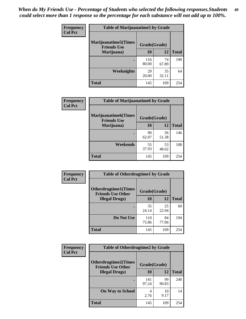| Frequency      | <b>Table of Marijuanatime5 by Grade</b>            |              |             |              |
|----------------|----------------------------------------------------|--------------|-------------|--------------|
| <b>Col Pct</b> | <b>Marijuanatime5</b> (Times<br><b>Friends Use</b> | Grade(Grade) |             |              |
|                | Marijuana)                                         | 10           | 12          | <b>Total</b> |
|                |                                                    | 116<br>80.00 | 74<br>67.89 | 190          |
|                | <b>Weeknights</b>                                  | 29<br>20.00  | 35<br>32.11 | 64           |
|                | <b>Total</b>                                       | 145          | 109         | 254          |

| Frequency      | <b>Table of Marijuanatime6 by Grade</b>    |              |             |              |
|----------------|--------------------------------------------|--------------|-------------|--------------|
| <b>Col Pct</b> | Marijuanatime6(Times<br><b>Friends Use</b> | Grade(Grade) |             |              |
|                | Marijuana)                                 | 10           | 12          | <b>Total</b> |
|                |                                            | 90<br>62.07  | 56<br>51.38 | 146          |
|                | Weekends                                   | 55<br>37.93  | 53<br>48.62 | 108          |
|                | <b>Total</b>                               | 145          | 109         | 254          |

| Frequency      | <b>Table of Otherdrugtime1 by Grade</b>                 |              |             |              |
|----------------|---------------------------------------------------------|--------------|-------------|--------------|
| <b>Col Pct</b> | <b>Otherdrugtime1(Times</b><br><b>Friends Use Other</b> | Grade(Grade) |             |              |
|                | <b>Illegal Drugs</b> )                                  | 10           | 12          | <b>Total</b> |
|                |                                                         | 35<br>24.14  | 25<br>22.94 | 60           |
|                | Do Not Use                                              | 110<br>75.86 | 84<br>77.06 | 194          |
|                | Total                                                   | 145          | 109         | 254          |

| Frequency      | <b>Table of Otherdrugtime2 by Grade</b>                                 |              |             |              |
|----------------|-------------------------------------------------------------------------|--------------|-------------|--------------|
| <b>Col Pct</b> | <b>Otherdrugtime2(Times</b><br>Grade(Grade)<br><b>Friends Use Other</b> |              |             |              |
|                | <b>Illegal Drugs</b> )                                                  | 10           | 12          | <b>Total</b> |
|                |                                                                         | 141<br>97.24 | 99<br>90.83 | 240          |
|                | <b>On Way to School</b>                                                 | 4<br>2.76    | 10<br>9.17  | 14           |
|                | Total                                                                   | 145          | 109         | 254          |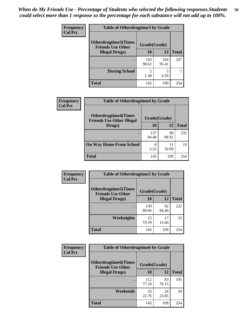| <b>Frequency</b> | <b>Table of Otherdrugtime3 by Grade</b>                                 |              |              |              |
|------------------|-------------------------------------------------------------------------|--------------|--------------|--------------|
| <b>Col Pct</b>   | <b>Otherdrugtime3(Times</b><br>Grade(Grade)<br><b>Friends Use Other</b> |              |              |              |
|                  | <b>Illegal Drugs</b> )                                                  | 10           | 12           | <b>Total</b> |
|                  |                                                                         | 143<br>98.62 | 104<br>95.41 | 247          |
|                  | <b>During School</b>                                                    | 2<br>1.38    | 5<br>4.59    | 7            |
|                  | Total                                                                   | 145          | 109          | 254          |

| <b>Frequency</b> | <b>Table of Otherdrugtime4 by Grade</b>                         |              |             |              |
|------------------|-----------------------------------------------------------------|--------------|-------------|--------------|
| <b>Col Pct</b>   | <b>Otherdrugtime4(Times</b><br><b>Friends Use Other Illegal</b> | Grade(Grade) |             |              |
|                  | Drugs)                                                          | 10           | 12          | <b>Total</b> |
|                  |                                                                 | 137<br>94.48 | 98<br>89.91 | 235          |
|                  | <b>On Way Home From School</b>                                  | 8<br>5.52    | 11<br>10.09 | 19           |
|                  | <b>Total</b>                                                    | 145          | 109         | 254          |

| <b>Frequency</b><br><b>Col Pct</b> | <b>Table of Otherdrugtime5 by Grade</b>                  |              |             |              |
|------------------------------------|----------------------------------------------------------|--------------|-------------|--------------|
|                                    | <b>Otherdrugtime5</b> (Times<br><b>Friends Use Other</b> | Grade(Grade) |             |              |
|                                    | <b>Illegal Drugs</b> )                                   | 10           | 12          | <b>Total</b> |
|                                    |                                                          | 130<br>89.66 | 92<br>84.40 | 222          |
|                                    | <b>Weeknights</b>                                        | 15<br>10.34  | 17<br>15.60 | 32           |
|                                    | Total                                                    | 145          | 109         | 254          |

| <b>Frequency</b> | <b>Table of Otherdrugtime6 by Grade</b>                                 |              |             |              |
|------------------|-------------------------------------------------------------------------|--------------|-------------|--------------|
| <b>Col Pct</b>   | <b>Otherdrugtime6(Times</b><br>Grade(Grade)<br><b>Friends Use Other</b> |              |             |              |
|                  | <b>Illegal Drugs</b> )                                                  | 10           | 12          | <b>Total</b> |
|                  |                                                                         | 112<br>77.24 | 83<br>76.15 | 195          |
|                  | Weekends                                                                | 33<br>22.76  | 26<br>23.85 | 59           |
|                  | Total                                                                   | 145          | 109         | 254          |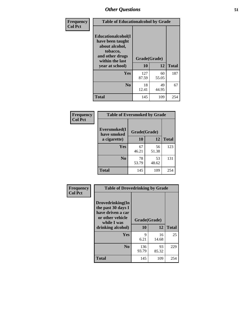| Frequency      | <b>Table of Educationalcohol by Grade</b>                                                                  |              |             |              |
|----------------|------------------------------------------------------------------------------------------------------------|--------------|-------------|--------------|
| <b>Col Pct</b> | Educationalcohol(I<br>have been taught<br>about alcohol,<br>tobacco,<br>and other drugs<br>within the last | Grade(Grade) |             |              |
|                | year at school)                                                                                            | 10           | 12          | <b>Total</b> |
|                | <b>Yes</b>                                                                                                 | 127<br>87.59 | 60<br>55.05 | 187          |
|                | N <sub>0</sub>                                                                                             | 18<br>12.41  | 49<br>44.95 | 67           |
|                | <b>Total</b>                                                                                               | 145          | 109         | 254          |

| Frequency      | <b>Table of Eversmoked by Grade</b> |              |             |              |
|----------------|-------------------------------------|--------------|-------------|--------------|
| <b>Col Pct</b> | Eversmoked(I<br>have smoked         | Grade(Grade) |             |              |
|                | a cigarette)                        | 10           | 12          | <b>Total</b> |
|                | <b>Yes</b>                          | 67<br>46.21  | 56<br>51.38 | 123          |
|                | N <sub>0</sub>                      | 78<br>53.79  | 53<br>48.62 | 131          |
|                | <b>Total</b>                        | 145          | 109         | 254          |

| Frequency      | <b>Table of Drovedrinking by Grade</b>                                                                              |                    |             |              |
|----------------|---------------------------------------------------------------------------------------------------------------------|--------------------|-------------|--------------|
| <b>Col Pct</b> | Drovedrinking(In<br>the past 30 days I<br>have driven a car<br>or other vehicle<br>while I was<br>drinking alcohol) | Grade(Grade)<br>10 | 12          | <b>Total</b> |
|                | Yes                                                                                                                 | 9<br>6.21          | 16<br>14.68 | 25           |
|                | N <sub>0</sub>                                                                                                      | 136<br>93.79       | 93<br>85.32 | 229          |
|                | <b>Total</b>                                                                                                        | 145                | 109         | 254          |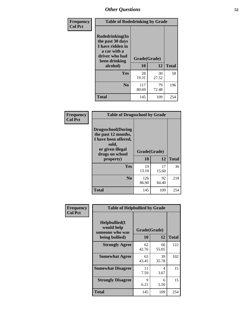| Frequency      | <b>Table of Rodedrinking by Grade</b>                                                                                  |                    |             |              |
|----------------|------------------------------------------------------------------------------------------------------------------------|--------------------|-------------|--------------|
| <b>Col Pct</b> | Rodedrinking(In<br>the past 30 days<br>I have ridden in<br>a car with a<br>driver who had<br>been drinking<br>alcohol) | Grade(Grade)<br>10 | 12          | <b>Total</b> |
|                |                                                                                                                        |                    |             |              |
|                | <b>Yes</b>                                                                                                             | 28<br>19.31        | 30<br>27.52 | 58           |
|                | N <sub>0</sub>                                                                                                         | 117<br>80.69       | 79<br>72.48 | 196          |
|                | <b>Total</b>                                                                                                           | 145                | 109         | 254          |

#### **Frequency Col Pct**

| <b>Table of Drugsschool by Grade</b>                                                                                      |              |             |              |
|---------------------------------------------------------------------------------------------------------------------------|--------------|-------------|--------------|
| <b>Drugsschool</b> (During<br>the past 12 months,<br>I have been offered,<br>sold,<br>or given illegal<br>drugs on school | Grade(Grade) |             |              |
| property)                                                                                                                 | 10           | 12          | <b>Total</b> |
| Yes                                                                                                                       | 19<br>13.10  | 17<br>15.60 | 36           |
| N <sub>0</sub>                                                                                                            | 126<br>86.90 | 92<br>84.40 | 218          |
| <b>Total</b>                                                                                                              | 145          | 109         | 254          |

| Frequency      | <b>Table of Helpbullied by Grade</b>                 |                    |             |              |
|----------------|------------------------------------------------------|--------------------|-------------|--------------|
| <b>Col Pct</b> | $Helpb$ ullied $(I$<br>would help<br>someone who was | Grade(Grade)<br>10 | 12          | <b>Total</b> |
|                | being bullied)                                       |                    |             |              |
|                | <b>Strongly Agree</b>                                | 62<br>42.76        | 60<br>55.05 | 122          |
|                | <b>Somewhat Agree</b>                                | 63<br>43.45        | 39<br>35.78 | 102          |
|                | <b>Somewhat Disagree</b>                             | 11<br>7.59         | 4<br>3.67   | 15           |
|                | <b>Strongly Disagree</b>                             | 9<br>6.21          | 6<br>5.50   | 15           |
|                | <b>Total</b>                                         | 145                | 109         | 254          |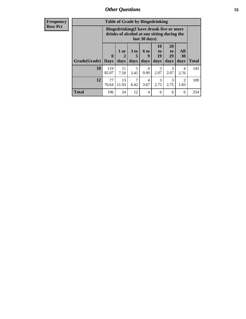| <b>Frequency</b> |
|------------------|
| <b>Row Pct</b>   |

| <b>Table of Grade by Bingedrinking</b> |              |                                                                                                         |             |                  |                |                |                        |              |
|----------------------------------------|--------------|---------------------------------------------------------------------------------------------------------|-------------|------------------|----------------|----------------|------------------------|--------------|
|                                        |              | Bingedrinking(I have drunk five or more<br>drinks of alcohol at one sitting during the<br>last 30 days) |             |                  |                |                |                        |              |
| Grade(Grade)                           | $\mathbf{0}$ | 1 or<br>2                                                                                               | $3$ to<br>5 | <b>6 to</b><br>9 | 10<br>to<br>19 | 20<br>to<br>29 | All<br>30              |              |
|                                        | <b>Days</b>  | days                                                                                                    | days        | days             | days           | days           | days                   | <b>Total</b> |
| 10                                     | 119<br>82.07 | 11<br>7.59                                                                                              | 5<br>3.45   | $\Omega$<br>0.00 | 3<br>2.07      | 3<br>2.07      | 4<br>2.76              | 145          |
| 12                                     | 77<br>70.64  | 13<br>11.93                                                                                             | 7<br>6.42   | 4<br>3.67        | 3<br>2.75      | 3<br>2.75      | $\overline{2}$<br>1.83 | 109          |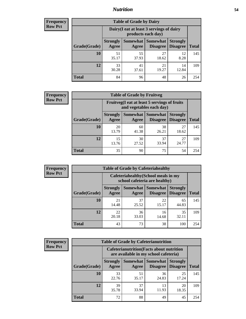### *Nutrition* **54**

| <b>Frequency</b> |
|------------------|
| <b>Row Pct</b>   |

| <b>Table of Grade by Dairy</b> |                          |                                                                 |                             |                                    |              |  |
|--------------------------------|--------------------------|-----------------------------------------------------------------|-----------------------------|------------------------------------|--------------|--|
|                                |                          | Dairy (I eat at least 3 servings of dairy<br>products each day) |                             |                                    |              |  |
| Grade(Grade)                   | <b>Strongly</b><br>Agree | Somewhat  <br>Agree                                             | <b>Somewhat</b><br>Disagree | <b>Strongly</b><br><b>Disagree</b> | <b>Total</b> |  |
| 10                             | 51<br>35.17              | 55<br>37.93                                                     | 27<br>18.62                 | 12<br>8.28                         | 145          |  |
| 12                             | 33<br>30.28              | 41<br>37.61                                                     | 21<br>19.27                 | 14<br>12.84                        | 109          |  |
| <b>Total</b>                   | 84                       | 96                                                              | 48                          | 26                                 | 254          |  |

| <b>Frequency</b> |  |
|------------------|--|
| <b>Row Pct</b>   |  |

| <b>Table of Grade by Fruitveg</b> |                          |                                                                          |                             |                                    |              |
|-----------------------------------|--------------------------|--------------------------------------------------------------------------|-----------------------------|------------------------------------|--------------|
|                                   |                          | Fruitveg(I eat at least 5 servings of fruits<br>and vegetables each day) |                             |                                    |              |
| Grade(Grade)                      | <b>Strongly</b><br>Agree | Somewhat  <br>Agree                                                      | <b>Somewhat</b><br>Disagree | <b>Strongly</b><br><b>Disagree</b> | <b>Total</b> |
| 10                                | 20<br>13.79              | 60<br>41.38                                                              | 38<br>26.21                 | 27<br>18.62                        | 145          |
| 12                                | 15<br>13.76              | 30<br>27.52                                                              | 37<br>33.94                 | 27<br>24.77                        | 109          |
| <b>Total</b>                      | 35                       | 90                                                                       | 75                          | 54                                 | 254          |

| <b>Frequency</b> |
|------------------|
| <b>Row Pct</b>   |

| <b>Table of Grade by Cafeteriahealthy</b> |                          |                                                                       |                                    |                                    |              |  |
|-------------------------------------------|--------------------------|-----------------------------------------------------------------------|------------------------------------|------------------------------------|--------------|--|
|                                           |                          | Cafeteriahealthy (School meals in my<br>school cafeteria are healthy) |                                    |                                    |              |  |
| Grade(Grade)                              | <b>Strongly</b><br>Agree | Somewhat  <br>Agree                                                   | <b>Somewhat</b><br><b>Disagree</b> | <b>Strongly</b><br><b>Disagree</b> | <b>Total</b> |  |
| 10                                        | 21<br>14.48              | 37<br>25.52                                                           | 22<br>15.17                        | 65<br>44.83                        | 145          |  |
| 12                                        | 22<br>20.18              | 36<br>33.03                                                           | 16<br>14.68                        | 35<br>32.11                        | 109          |  |
| <b>Total</b>                              | 43                       | 73                                                                    | 38                                 | 100                                | 254          |  |

| <b>Frequency</b> |
|------------------|
| <b>Row Pct</b>   |

| <b>Table of Grade by Cafeterianutrition</b>                                               |                          |             |                                      |                                    |              |  |
|-------------------------------------------------------------------------------------------|--------------------------|-------------|--------------------------------------|------------------------------------|--------------|--|
| <b>Cafeterianutrition</b> (Facts about nutrition<br>are available in my school cafeteria) |                          |             |                                      |                                    |              |  |
| Grade(Grade)                                                                              | <b>Strongly</b><br>Agree | Agree       | Somewhat Somewhat<br><b>Disagree</b> | <b>Strongly</b><br><b>Disagree</b> | <b>Total</b> |  |
| 10                                                                                        | 33<br>22.76              | 51<br>35.17 | 36<br>24.83                          | 25<br>17.24                        | 145          |  |
| 12                                                                                        | 39<br>35.78              | 37<br>33.94 | 13<br>11.93                          | 20<br>18.35                        | 109          |  |
| <b>Total</b>                                                                              | 72                       | 88          | 49                                   | 45                                 | 254          |  |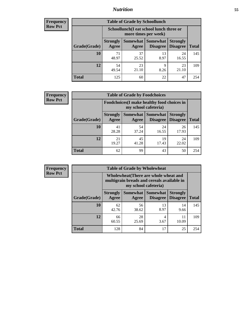### *Nutrition* **55**

| Frequency |
|-----------|
| Row Pct   |

| <b>Table of Grade by Schoollunch</b> |                          |                                                                 |                             |                                    |              |  |
|--------------------------------------|--------------------------|-----------------------------------------------------------------|-----------------------------|------------------------------------|--------------|--|
|                                      |                          | Schoollunch(I eat school lunch three or<br>more times per week) |                             |                                    |              |  |
| Grade(Grade)                         | <b>Strongly</b><br>Agree | Somewhat  <br>Agree                                             | <b>Somewhat</b><br>Disagree | <b>Strongly</b><br><b>Disagree</b> | <b>Total</b> |  |
| 10                                   | 71<br>48.97              | 37<br>25.52                                                     | 13<br>8.97                  | 24<br>16.55                        | 145          |  |
| 12                                   | 54<br>49.54              | 23<br>21.10                                                     | 9<br>8.26                   | 23<br>21.10                        | 109          |  |
| <b>Total</b>                         | 125                      | 60                                                              | 22                          | 47                                 | 254          |  |

| <b>Frequency</b> |  |
|------------------|--|
| <b>Row Pct</b>   |  |

| <b>Table of Grade by Foodchoices</b> |                          |                                                                     |                                      |                                    |              |
|--------------------------------------|--------------------------|---------------------------------------------------------------------|--------------------------------------|------------------------------------|--------------|
|                                      |                          | Foodchoices (I make healthy food choices in<br>my school cafeteria) |                                      |                                    |              |
| Grade(Grade)                         | <b>Strongly</b><br>Agree | Agree                                                               | <b>Somewhat Somewhat</b><br>Disagree | <b>Strongly</b><br><b>Disagree</b> | <b>Total</b> |
| 10                                   | 41<br>28.28              | 54<br>37.24                                                         | 24<br>16.55                          | 26<br>17.93                        | 145          |
| 12                                   | 21<br>19.27              | 45<br>41.28                                                         | 19<br>17.43                          | 24<br>22.02                        | 109          |
| <b>Total</b>                         | 62                       | 99                                                                  | 43                                   | 50                                 | 254          |

**Frequency Row Pct**

п

| 2y | <b>Table of Grade by Wholewheat</b> |                                                                                                             |             |                                        |                                    |              |  |
|----|-------------------------------------|-------------------------------------------------------------------------------------------------------------|-------------|----------------------------------------|------------------------------------|--------------|--|
|    |                                     | Wholewheat (There are whole wheat and<br>multigrain breads and cereals available in<br>my school cafeteria) |             |                                        |                                    |              |  |
|    | Grade(Grade)                        | <b>Strongly</b><br>Agree                                                                                    | Agree       | Somewhat   Somewhat<br><b>Disagree</b> | <b>Strongly</b><br><b>Disagree</b> | <b>Total</b> |  |
|    | 10                                  | 62<br>42.76                                                                                                 | 56<br>38.62 | 13<br>8.97                             | 14<br>9.66                         | 145          |  |
|    | 12                                  | 66<br>60.55                                                                                                 | 28<br>25.69 | 3.67                                   | 11<br>10.09                        | 109          |  |
|    | <b>Total</b>                        | 128                                                                                                         | 84          | 17                                     | 25                                 | 254          |  |

 $\blacksquare$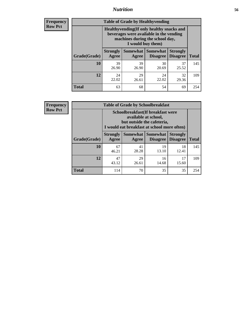### *Nutrition* **56**

**Frequency Row Pct**

| <b>Table of Grade by Healthyvending</b> |                                                                                                                                               |                          |                                    |                                    |              |  |  |
|-----------------------------------------|-----------------------------------------------------------------------------------------------------------------------------------------------|--------------------------|------------------------------------|------------------------------------|--------------|--|--|
|                                         | Healthyvending (If only healthy snacks and<br>beverages were available in the vending<br>machines during the school day,<br>I would buy them) |                          |                                    |                                    |              |  |  |
| Grade(Grade)                            | <b>Strongly</b><br>Agree                                                                                                                      | <b>Somewhat</b><br>Agree | <b>Somewhat</b><br><b>Disagree</b> | <b>Strongly</b><br><b>Disagree</b> | <b>Total</b> |  |  |
| 10                                      | 39<br>26.90                                                                                                                                   | 39<br>26.90              | 30<br>20.69                        | 37<br>25.52                        | 145          |  |  |
| 12                                      | 24<br>22.02                                                                                                                                   | 29<br>26.61              | 24<br>22.02                        | 32<br>29.36                        | 109          |  |  |
| <b>Total</b>                            | 63                                                                                                                                            | 68                       | 54                                 | 69                                 | 254          |  |  |

**Frequency Row Pct**

| <b>Table of Grade by Schoolbreakfast</b> |                                                                                                                                        |             |                                        |                                    |              |  |  |
|------------------------------------------|----------------------------------------------------------------------------------------------------------------------------------------|-------------|----------------------------------------|------------------------------------|--------------|--|--|
|                                          | Schoolbreakfast(If breakfast were<br>available at school,<br>but outside the cafeteria,<br>I would eat breakfast at school more often) |             |                                        |                                    |              |  |  |
| Grade(Grade)                             | <b>Strongly</b><br>Agree                                                                                                               | Agree       | Somewhat   Somewhat<br><b>Disagree</b> | <b>Strongly</b><br><b>Disagree</b> | <b>Total</b> |  |  |
| 10                                       | 67<br>46.21                                                                                                                            | 41<br>28.28 | 19<br>13.10                            | 18<br>12.41                        | 145          |  |  |
| 12                                       | 47<br>43.12                                                                                                                            | 29<br>26.61 | 16<br>14.68                            | 17<br>15.60                        | 109          |  |  |
| <b>Total</b>                             | 114                                                                                                                                    | 70          | 35                                     | 35                                 | 254          |  |  |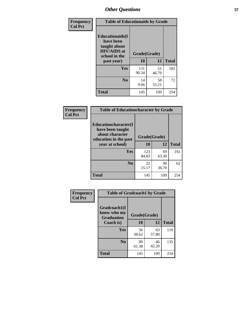| Frequency<br><b>Col Pct</b> | <b>Table of Educationaids by Grade</b>                                                                    |                    |             |              |
|-----------------------------|-----------------------------------------------------------------------------------------------------------|--------------------|-------------|--------------|
|                             | <b>Educationaids</b> (I<br>have been<br>taught about<br><b>HIV/AIDS</b> at<br>school in the<br>past year) | Grade(Grade)<br>10 | 12          | <b>Total</b> |
|                             | Yes                                                                                                       | 131<br>90.34       | 51<br>46.79 | 182          |
|                             | N <sub>0</sub>                                                                                            | 14<br>9.66         | 58<br>53.21 | 72           |
|                             | <b>Total</b>                                                                                              | 145                | 109         | 254          |

| Frequency      | <b>Table of Educationcharacter by Grade</b>                                                  |              |             |              |  |
|----------------|----------------------------------------------------------------------------------------------|--------------|-------------|--------------|--|
| <b>Col Pct</b> | <b>Educationcharacter(I)</b><br>have been taught<br>about character<br>education in the past | Grade(Grade) |             |              |  |
|                | year at school)                                                                              | 10           | 12          | <b>Total</b> |  |
|                | Yes                                                                                          | 123<br>84.83 | 69<br>63.30 | 192          |  |
|                | N <sub>0</sub>                                                                               | 22<br>15.17  | 40<br>36.70 | 62           |  |
|                | <b>Total</b>                                                                                 | 145          | 109         | 254          |  |

| Frequency      | <b>Table of Gradcoach1 by Grade</b>              |              |             |              |  |
|----------------|--------------------------------------------------|--------------|-------------|--------------|--|
| <b>Col Pct</b> | Gradcoach1(I<br>know who my<br><b>Graduation</b> | Grade(Grade) |             |              |  |
|                | Coach is)                                        | 10           | 12          | <b>Total</b> |  |
|                | Yes                                              | 56<br>38.62  | 63<br>57.80 | 119          |  |
|                | N <sub>0</sub>                                   | 89<br>61.38  | 46<br>42.20 | 135          |  |
|                | <b>Total</b>                                     | 145          | 109         | 254          |  |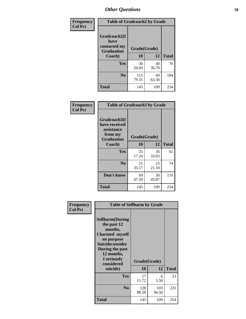| Frequency      | <b>Table of Gradcoach2 by Grade</b> |              |             |              |  |
|----------------|-------------------------------------|--------------|-------------|--------------|--|
| <b>Col Pct</b> |                                     |              |             |              |  |
|                | Gradcoach2(I<br>have                |              |             |              |  |
|                | contacted my<br><b>Graduation</b>   | Grade(Grade) |             |              |  |
|                | Coach)                              | 10           | 12          | <b>Total</b> |  |
|                | <b>Yes</b>                          | 30<br>20.69  | 40<br>36.70 | 70           |  |
|                | N <sub>0</sub>                      | 115<br>79.31 | 69<br>63.30 | 184          |  |
|                | <b>Total</b>                        | 145          | 109         | 254          |  |

| Frequency<br><b>Col Pct</b> | <b>Table of Gradcoach3 by Grade</b>                                         |              |             |              |
|-----------------------------|-----------------------------------------------------------------------------|--------------|-------------|--------------|
|                             | Gradcoach3(I<br>have received<br>assistance<br>from my<br><b>Graduation</b> | Grade(Grade) |             |              |
|                             | Coach)                                                                      | 10           | 12          | <b>Total</b> |
|                             | Yes                                                                         | 25<br>17.24  | 36<br>33.03 | 61           |
|                             | N <sub>0</sub>                                                              | 51<br>35.17  | 23<br>21.10 | 74           |
|                             | Don't know                                                                  | 69<br>47.59  | 50<br>45.87 | 119          |
|                             | <b>Total</b>                                                                | 145          | 109         | 254          |

| Frequency<br><b>Col Pct</b> | <b>Table of Selfharm by Grade</b>                                                                                                                                                      |                    |              |              |
|-----------------------------|----------------------------------------------------------------------------------------------------------------------------------------------------------------------------------------|--------------------|--------------|--------------|
|                             | <b>Selfharm</b> (During<br>the past 12<br>months,<br>I harmed myself<br>on purpose<br><b>Suicideconsider</b><br>During the past<br>12 months,<br>I seriously<br>considered<br>suicide) | Grade(Grade)<br>10 | 12           | <b>Total</b> |
|                             |                                                                                                                                                                                        |                    |              |              |
|                             | <b>Yes</b>                                                                                                                                                                             | 17<br>11.72        | 6<br>5.50    | 23           |
|                             | N <sub>0</sub>                                                                                                                                                                         | 128<br>88.28       | 103<br>94.50 | 231          |
|                             | <b>Total</b>                                                                                                                                                                           | 145                | 109          | 254          |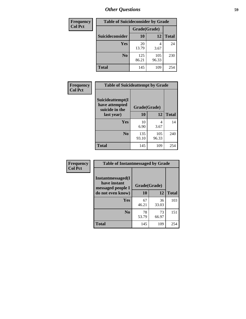| <b>Frequency</b> | <b>Table of Suicideconsider by Grade</b> |              |              |              |
|------------------|------------------------------------------|--------------|--------------|--------------|
| <b>Col Pct</b>   |                                          | Grade(Grade) |              |              |
|                  | <b>Suicideconsider</b>                   | <b>10</b>    | 12           | <b>Total</b> |
|                  | <b>Yes</b>                               | 20<br>13.79  | 4<br>3.67    | 24           |
|                  | N <sub>0</sub>                           | 125<br>86.21 | 105<br>96.33 | 230          |
|                  | <b>Total</b>                             | 145          | 109          | 254          |

| Frequency      | <b>Table of Suicideattempt by Grade</b>              |              |              |              |
|----------------|------------------------------------------------------|--------------|--------------|--------------|
| <b>Col Pct</b> | Suicideattempt(I<br>have attempted<br>suicide in the | Grade(Grade) |              |              |
|                | last year)                                           | 10           | 12           | <b>Total</b> |
|                | Yes                                                  | 10<br>6.90   | 4<br>3.67    | 14           |
|                | N <sub>0</sub>                                       | 135<br>93.10 | 105<br>96.33 | 240          |
|                | <b>Total</b>                                         | 145          | 109          | 254          |

| Frequency      | <b>Table of Instantmessaged by Grade</b>               |              |             |              |
|----------------|--------------------------------------------------------|--------------|-------------|--------------|
| <b>Col Pct</b> | Instantmessaged(I<br>have instant<br>messaged people I | Grade(Grade) |             |              |
|                | do not even know)                                      | 10           | 12          | <b>Total</b> |
|                | <b>Yes</b>                                             | 67<br>46.21  | 36<br>33.03 | 103          |
|                | N <sub>0</sub>                                         | 78<br>53.79  | 73<br>66.97 | 151          |
|                | <b>Total</b>                                           | 145          | 109         | 254          |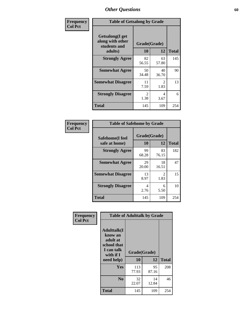| Frequency      | <b>Table of Getsalong by Grade</b>                          |                       |             |              |  |  |  |  |  |
|----------------|-------------------------------------------------------------|-----------------------|-------------|--------------|--|--|--|--|--|
| <b>Col Pct</b> | <b>Getsalong</b> (I get<br>along with other<br>students and |                       |             |              |  |  |  |  |  |
|                | adults)                                                     | 10                    | 12          | <b>Total</b> |  |  |  |  |  |
|                | <b>Strongly Agree</b>                                       | 82<br>56.55           | 63<br>57.80 | 145          |  |  |  |  |  |
|                | <b>Somewhat Agree</b>                                       | 50<br>34.48           | 40<br>36.70 | 90           |  |  |  |  |  |
|                | <b>Somewhat Disagree</b>                                    | 11<br>7.59            | 2<br>1.83   | 13           |  |  |  |  |  |
|                | <b>Strongly Disagree</b>                                    | $\mathcal{L}$<br>1.38 | 4<br>3.67   | 6            |  |  |  |  |  |
|                | <b>Total</b>                                                | 145                   | 109         | 254          |  |  |  |  |  |

| Frequency      | <b>Table of Safehome by Grade</b> |                    |                                     |              |  |  |  |  |
|----------------|-----------------------------------|--------------------|-------------------------------------|--------------|--|--|--|--|
| <b>Col Pct</b> | Safehome(I feel<br>safe at home)  | Grade(Grade)<br>10 | 12                                  | <b>Total</b> |  |  |  |  |
|                | <b>Strongly Agree</b>             | 99<br>68.28        | 83<br>76.15                         | 182          |  |  |  |  |
|                | <b>Somewhat Agree</b>             | 29<br>20.00        | 18<br>16.51                         | 47           |  |  |  |  |
|                | <b>Somewhat Disagree</b>          | 13<br>8.97         | $\mathcal{D}_{\mathcal{L}}$<br>1.83 | 15           |  |  |  |  |
|                | <b>Strongly Disagree</b>          | 4<br>2.76          | 6<br>5.50                           | 10           |  |  |  |  |
|                | <b>Total</b>                      | 145                | 109                                 | 254          |  |  |  |  |

| Frequency      |                                                                                     | <b>Table of Adulttalk by Grade</b> |             |              |
|----------------|-------------------------------------------------------------------------------------|------------------------------------|-------------|--------------|
| <b>Col Pct</b> | <b>Adulttalk(I</b><br>know an<br>adult at<br>school that<br>I can talk<br>with if I | Grade(Grade)                       |             |              |
|                | need help)                                                                          | 10                                 | 12          | <b>Total</b> |
|                | <b>Yes</b>                                                                          | 113<br>77.93                       | 95<br>87.16 | 208          |
|                | N <sub>0</sub>                                                                      | 32<br>22.07                        | 14<br>12.84 | 46           |
|                | <b>Total</b>                                                                        | 145                                | 109         | 254          |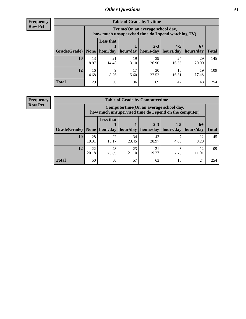**Frequency Row Pct**

| <b>Table of Grade by Tytime</b> |             |                                                                                                           |             |             |             |             |              |  |  |  |  |
|---------------------------------|-------------|-----------------------------------------------------------------------------------------------------------|-------------|-------------|-------------|-------------|--------------|--|--|--|--|
|                                 |             | Tvtime(On an average school day,<br>how much unsupervised time do I spend watching TV)                    |             |             |             |             |              |  |  |  |  |
|                                 |             | <b>Less that</b><br>$2 - 3$<br>$4 - 5$<br>$6+$<br>hour/day   hour/day   hours/day   hours/day   hours/day |             |             |             |             |              |  |  |  |  |
| Grade(Grade)   None             |             |                                                                                                           |             |             |             |             | <b>Total</b> |  |  |  |  |
| 10                              | 13<br>8.97  | 21<br>14.48                                                                                               | 19<br>13.10 | 39<br>26.90 | 24<br>16.55 | 29<br>20.00 | 145          |  |  |  |  |
| 12                              | 16<br>14.68 | Q<br>8.26                                                                                                 | 17<br>15.60 | 30<br>27.52 | 18<br>16.51 | 19<br>17.43 | 109          |  |  |  |  |
| <b>Total</b>                    | 29          | 30                                                                                                        | 36          | 69          | 42          | 48          | 254          |  |  |  |  |

**Frequency Row Pct**

| <b>Table of Grade by Computertime</b> |             |                                                                                                                              |             |             |           |             |     |  |  |  |
|---------------------------------------|-------------|------------------------------------------------------------------------------------------------------------------------------|-------------|-------------|-----------|-------------|-----|--|--|--|
|                                       |             | Computertime (On an average school day,<br>how much unsupervised time do I spend on the computer)                            |             |             |           |             |     |  |  |  |
| Grade(Grade)                          | None $ $    | <b>Less that</b><br>$4 - 5$<br>$2 - 3$<br>$6+$<br>hours/day<br>hours/day<br>hour/day   hour/day<br>hours/day<br><b>Total</b> |             |             |           |             |     |  |  |  |
| 10                                    | 28<br>19.31 | 22<br>15.17                                                                                                                  | 34<br>23.45 | 42<br>28.97 | 4.83      | 12<br>8.28  | 145 |  |  |  |
| 12                                    | 22<br>20.18 | 28<br>25.69                                                                                                                  | 23<br>21.10 | 21<br>19.27 | 3<br>2.75 | 12<br>11.01 | 109 |  |  |  |
| <b>Total</b>                          | 50          | 50                                                                                                                           | 57          | 63          | 10        | 24          | 254 |  |  |  |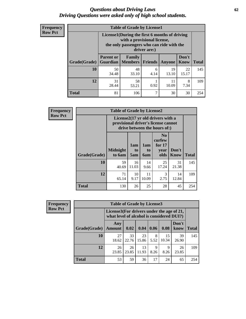#### *Questions about Driving Laws* **62** *Driving Questions were asked only of high school students.*

| <b>Frequency</b> |
|------------------|
| <b>Row Pct</b>   |

| <b>Table of Grade by License1</b> |                                                                |                                                                                                                                           |           |             |             |     |  |  |  |  |
|-----------------------------------|----------------------------------------------------------------|-------------------------------------------------------------------------------------------------------------------------------------------|-----------|-------------|-------------|-----|--|--|--|--|
|                                   |                                                                | License1(During the first 6 months of driving<br>with a provisional license,<br>the only passengers who can ride with the<br>driver are:) |           |             |             |     |  |  |  |  |
| Grade(Grade)                      | <b>Parent or</b><br>Guardian                                   | Don't<br><b>Family</b><br><b>Total</b><br>  Members<br><b>Friends</b><br>Know<br><b>Anyone</b>                                            |           |             |             |     |  |  |  |  |
| 10                                | 50<br>34.48                                                    | 48<br>33.10                                                                                                                               | 6<br>4.14 | 19<br>13.10 | 22<br>15.17 | 145 |  |  |  |  |
| 12                                | 58<br>31<br>8<br>11<br>0.92<br>10.09<br>28.44<br>7.34<br>53.21 |                                                                                                                                           |           |             |             |     |  |  |  |  |
| Total                             | 81                                                             | 106                                                                                                                                       | 7         | 30          | 30          | 254 |  |  |  |  |

| <b>Frequency</b> |              | <b>Table of Grade by License2</b>                                                                        |                  |                  |                                                      |                      |              |  |  |  |  |
|------------------|--------------|----------------------------------------------------------------------------------------------------------|------------------|------------------|------------------------------------------------------|----------------------|--------------|--|--|--|--|
| <b>Row Pct</b>   |              | License2(17 yr old drivers with a<br>provisional driver's license cannot<br>drive between the hours of:) |                  |                  |                                                      |                      |              |  |  |  |  |
|                  | Grade(Grade) | <b>Midnight</b><br>to 6am                                                                                | 1am<br>to<br>5am | 1am<br>to<br>6am | N <sub>0</sub><br>curfew<br>for $17$<br>year<br>olds | Don't<br><b>Know</b> | <b>Total</b> |  |  |  |  |
|                  | 10           | 59<br>40.69                                                                                              | 16<br>11.03      | 14<br>9.66       | 25<br>17.24                                          | 31<br>21.38          | 145          |  |  |  |  |
|                  | 12           | 71<br>65.14                                                                                              | 10<br>9.17       | 11<br>10.09      | 3<br>2.75                                            | 14<br>12.84          | 109          |  |  |  |  |
|                  | <b>Total</b> | 130                                                                                                      | 26               | 25               | 28                                                   | 45                   | 254          |  |  |  |  |

| Frequency      | <b>Table of Grade by License3</b> |                                                                                        |             |             |           |             |               |              |  |
|----------------|-----------------------------------|----------------------------------------------------------------------------------------|-------------|-------------|-----------|-------------|---------------|--------------|--|
| <b>Row Pct</b> |                                   | License3(For drivers under the age of 21,<br>what level of alcohol is considered DUI?) |             |             |           |             |               |              |  |
|                | Grade(Grade)                      | Any<br><b>Amount</b>                                                                   | 0.02        | 0.04        | 0.06      | 0.08        | Don't<br>know | <b>Total</b> |  |
|                | 10                                | 27<br>18.62                                                                            | 33<br>22.76 | 23<br>15.86 | 8<br>5.52 | 15<br>10.34 | 39<br>26.90   | 145          |  |
|                | 12                                | 26<br>23.85                                                                            | 26<br>23.85 | 13<br>11.93 | 9<br>8.26 | q<br>8.26   | 26<br>23.85   | 109          |  |
|                | <b>Total</b>                      | 53                                                                                     | 59          | 36          | 17        | 24          | 65            | 254          |  |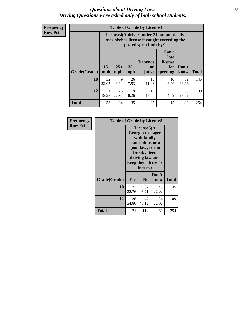#### *Questions about Driving Laws* **63** *Driving Questions were asked only of high school students.*

**Frequency Row Pct**

| <b>Table of Grade by License4</b> |             |                                                                                                                                                                                                                                                                                |             |             |            |             |     |  |  |  |
|-----------------------------------|-------------|--------------------------------------------------------------------------------------------------------------------------------------------------------------------------------------------------------------------------------------------------------------------------------|-------------|-------------|------------|-------------|-----|--|--|--|
|                                   |             | License4(A driver under 21 automatically<br>loses his/her license if caught exceeding the<br>posted speet limit by:)<br>Can't<br>lose<br>license<br><b>Depends</b><br>$15+$<br>$25+$<br>$35+$<br>Don't<br>for<br>on<br><b>Total</b><br>mph<br>speeding<br>know<br>mph<br>judge |             |             |            |             |     |  |  |  |
| Grade(Grade)                      | mph         |                                                                                                                                                                                                                                                                                |             |             |            |             |     |  |  |  |
| 10                                | 32<br>22.07 | 9<br>6.21                                                                                                                                                                                                                                                                      | 26<br>17.93 | 16<br>11.03 | 10<br>6.90 | 52<br>35.86 | 145 |  |  |  |
| 12                                | 21<br>19.27 | 25<br>22.94                                                                                                                                                                                                                                                                    | 9<br>8.26   | 19<br>17.43 | 5<br>4.59  | 30<br>27.52 | 109 |  |  |  |
| <b>Total</b>                      | 53          | 34                                                                                                                                                                                                                                                                             | 35          | 35          | 15         | 82          | 254 |  |  |  |

| Frequency      | <b>Table of Grade by License5</b> |                                                                                                                                                             |                |               |       |
|----------------|-----------------------------------|-------------------------------------------------------------------------------------------------------------------------------------------------------------|----------------|---------------|-------|
| <b>Row Pct</b> |                                   | License5(A)<br>Georgia teenager<br>with family<br>connections or a<br>good lawyer can<br>break a teen<br>driving law and<br>keep their driver's<br>license) |                |               |       |
|                | Grade(Grade)                      | Yes                                                                                                                                                         | N <sub>0</sub> | Don't<br>know | Total |
|                | 10                                | 33<br>22.76                                                                                                                                                 | 67<br>46.21    | 45<br>31.03   | 145   |
|                | 12                                | 38<br>34.86                                                                                                                                                 | 47<br>43.12    | 24<br>22.02   | 109   |
|                | Total                             | 71                                                                                                                                                          | 114            | 69            | 254   |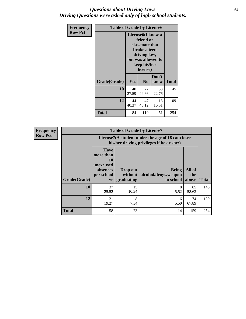#### *Questions about Driving Laws* **64** *Driving Questions were asked only of high school students.*

| <b>Frequency</b> | <b>Table of Grade by License6</b> |                                                                                                                                                 |                |               |              |
|------------------|-----------------------------------|-------------------------------------------------------------------------------------------------------------------------------------------------|----------------|---------------|--------------|
| <b>Row Pct</b>   |                                   | License <sub>6</sub> (I know a<br>friend or<br>classmate that<br>broke a teen<br>driving law,<br>but was allowed to<br>keep his/her<br>license) |                |               |              |
|                  | Grade(Grade)                      | Yes                                                                                                                                             | N <sub>0</sub> | Don't<br>know | <b>Total</b> |
|                  | 10                                | 40<br>27.59                                                                                                                                     | 72<br>49.66    | 33<br>22.76   | 145          |
|                  | 12                                | 44<br>40.37                                                                                                                                     | 47<br>43.12    | 18<br>16.51   | 109          |
|                  | <b>Total</b>                      | 84                                                                                                                                              | 119            | 51            | 254          |

| <b>Frequency</b> | <b>Table of Grade by License7</b> |                                                                             |                                                                                               |                                                   |                        |              |  |
|------------------|-----------------------------------|-----------------------------------------------------------------------------|-----------------------------------------------------------------------------------------------|---------------------------------------------------|------------------------|--------------|--|
| <b>Row Pct</b>   |                                   |                                                                             | License7(A student under the age of 18 cam loser<br>his/her driving privileges if he or she:) |                                                   |                        |              |  |
|                  | Grade(Grade)                      | <b>Have</b><br>more than<br>10<br>unexcused<br>absences<br>per school<br>yr | Drop out<br>without  <br>graduating                                                           | <b>Bring</b><br>alcohol/drugs/weapon<br>to school | All of<br>the<br>above | <b>Total</b> |  |
|                  | <b>10</b>                         | 37<br>25.52                                                                 | 15<br>10.34                                                                                   | 8<br>5.52                                         | 85<br>58.62            | 145          |  |
|                  | 12                                | 21<br>19.27                                                                 | 8<br>7.34                                                                                     | 6<br>5.50                                         | 74<br>67.89            | 109          |  |
|                  | <b>Total</b>                      | 58                                                                          | 23                                                                                            | 14                                                | 159                    | 254          |  |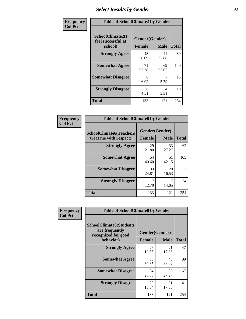# *Select Results by Gender* **65**

| Frequency      | <b>Table of SchoolClimate2 by Gender</b>          |                                 |             |              |  |
|----------------|---------------------------------------------------|---------------------------------|-------------|--------------|--|
| <b>Col Pct</b> | SchoolClimate2(I<br>feel successful at<br>school) | Gender(Gender)<br><b>Female</b> | <b>Male</b> | <b>Total</b> |  |
|                | <b>Strongly Agree</b>                             | 48<br>36.09                     | 41<br>33.88 | 89           |  |
|                | <b>Somewhat Agree</b>                             | 71<br>53.38                     | 69<br>57.02 | 140          |  |
|                | <b>Somewhat Disagree</b>                          | 8<br>6.02                       | 5.79        | 15           |  |
|                | <b>Strongly Disagree</b>                          | 6<br>4.51                       | 4<br>3.31   | 10           |  |
|                | <b>Total</b>                                      | 133                             | 121         | 254          |  |

| <b>Frequency</b> | <b>Table of SchoolClimate6 by Gender</b>                 |                |             |              |  |
|------------------|----------------------------------------------------------|----------------|-------------|--------------|--|
| <b>Col Pct</b>   | <b>SchoolClimate6(Teachers</b><br>treat me with respect) | Gender(Gender) |             |              |  |
|                  |                                                          | Female         | <b>Male</b> | <b>Total</b> |  |
|                  | <b>Strongly Agree</b>                                    | 29<br>21.80    | 33<br>27.27 | 62           |  |
|                  | <b>Somewhat Agree</b>                                    | 54<br>40.60    | 51<br>42.15 | 105          |  |
|                  | <b>Somewhat Disagree</b>                                 | 33<br>24.81    | 20<br>16.53 | 53           |  |
|                  | <b>Strongly Disagree</b>                                 | 17<br>12.78    | 17<br>14.05 | 34           |  |
|                  | <b>Total</b>                                             | 133            | 121         | 254          |  |

| Frequency      | <b>Table of SchoolClimate8 by Gender</b>                                |                |             |              |  |
|----------------|-------------------------------------------------------------------------|----------------|-------------|--------------|--|
| <b>Col Pct</b> | <b>SchoolClimate8(Students</b><br>are frequently<br>recognized for good | Gender(Gender) |             |              |  |
|                | behavior)                                                               | <b>Female</b>  | <b>Male</b> | <b>Total</b> |  |
|                | <b>Strongly Agree</b>                                                   | 26<br>19.55    | 21<br>17.36 | 47           |  |
|                | <b>Somewhat Agree</b>                                                   | 53<br>39.85    | 46<br>38.02 | 99           |  |
|                | <b>Somewhat Disagree</b>                                                | 34<br>25.56    | 33<br>27.27 | 67           |  |
|                | <b>Strongly Disagree</b>                                                | 20<br>15.04    | 21<br>17.36 | 41           |  |
|                | <b>Total</b>                                                            | 133            | 121         | 254          |  |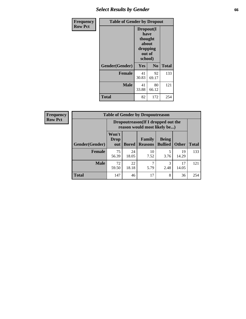# *Select Results by Gender* **66**

| <b>Frequency</b> | <b>Table of Gender by Dropout</b> |                                                                        |                |              |
|------------------|-----------------------------------|------------------------------------------------------------------------|----------------|--------------|
| <b>Row Pct</b>   |                                   | Dropout(I<br>have<br>thought<br>about<br>dropping<br>out of<br>school) |                |              |
|                  | Gender(Gender)                    | Yes                                                                    | N <sub>0</sub> | <b>Total</b> |
|                  | <b>Female</b>                     | 41<br>30.83                                                            | 92<br>69.17    | 133          |
|                  | <b>Male</b>                       | 41<br>33.88                                                            | 80<br>66.12    | 121          |
|                  | <b>Total</b>                      | 82                                                                     | 172            | 254          |

| <b>Frequency</b> | <b>Table of Gender by Dropoutreason</b> |                             |                                                                     |                          |                                |              |              |
|------------------|-----------------------------------------|-----------------------------|---------------------------------------------------------------------|--------------------------|--------------------------------|--------------|--------------|
| <b>Row Pct</b>   |                                         |                             | Dropoutreason (If I dropped out the<br>reason would most likely be) |                          |                                |              |              |
|                  | <b>Gender</b> (Gender)                  | Won't<br><b>Drop</b><br>out | <b>Bored</b>                                                        | Family<br><b>Reasons</b> | <b>Being</b><br><b>Bullied</b> | <b>Other</b> | <b>Total</b> |
|                  | Female                                  | 75<br>56.39                 | 24<br>18.05                                                         | 10<br>7.52               | 5<br>3.76                      | 19<br>14.29  | 133          |
|                  | <b>Male</b>                             | 72<br>59.50                 | 22<br>18.18                                                         | ┑<br>5.79                | 3<br>2.48                      | 17<br>14.05  | 121          |
|                  | <b>Total</b>                            | 147                         | 46                                                                  | 17                       | 8                              | 36           | 254          |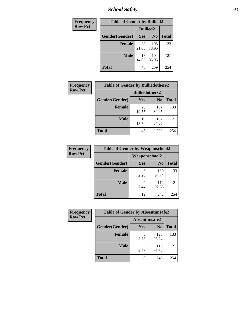*School Safety* **67**

| Frequency      | <b>Table of Gender by Bullied2</b> |                 |                |              |  |
|----------------|------------------------------------|-----------------|----------------|--------------|--|
| <b>Row Pct</b> |                                    | <b>Bullied2</b> |                |              |  |
|                | Gender(Gender)                     | Yes             | N <sub>0</sub> | <b>Total</b> |  |
|                | <b>Female</b>                      | 28<br>21.05     | 105<br>78.95   | 133          |  |
|                | <b>Male</b>                        | 17<br>14.05     | 104<br>85.95   | 121          |  |
|                | <b>Total</b>                       | 45              | 209            | 254          |  |

| Frequency      | <b>Table of Gender by Bulliedothers2</b> |                       |                |              |
|----------------|------------------------------------------|-----------------------|----------------|--------------|
| <b>Row Pct</b> |                                          | <b>Bulliedothers2</b> |                |              |
|                | Gender(Gender)                           | Yes                   | N <sub>0</sub> | <b>Total</b> |
|                | <b>Female</b>                            | 26<br>19.55           | 107<br>80.45   | 133          |
|                | <b>Male</b>                              | 19<br>15.70           | 102<br>84.30   | 121          |
|                | <b>Total</b>                             | 45                    | 209            | 254          |

| Frequency      | <b>Table of Gender by Weaponschool2</b> |                      |                |              |  |
|----------------|-----------------------------------------|----------------------|----------------|--------------|--|
| <b>Row Pct</b> |                                         | <b>Weaponschool2</b> |                |              |  |
|                | Gender(Gender)                          | <b>Yes</b>           | N <sub>0</sub> | <b>Total</b> |  |
|                | <b>Female</b>                           | 3<br>2.26            | 130<br>97.74   | 133          |  |
|                | <b>Male</b>                             | 9<br>7.44            | 112<br>92.56   | 121          |  |
|                | <b>Total</b>                            | 12                   | 242            | 254          |  |

| Frequency      | <b>Table of Gender by Absentunsafe2</b> |               |                |              |  |
|----------------|-----------------------------------------|---------------|----------------|--------------|--|
| <b>Row Pct</b> |                                         | Absentunsafe2 |                |              |  |
|                | Gender(Gender)                          | Yes           | N <sub>0</sub> | <b>Total</b> |  |
|                | <b>Female</b>                           | 3.76          | 128<br>96.24   | 133          |  |
|                | <b>Male</b>                             | 2.48          | 118<br>97.52   | 121          |  |
|                | <b>Total</b>                            | 8             | 246            | 254          |  |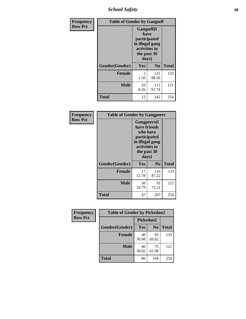*School Safety* **68**

| Frequency      | <b>Table of Gender by Gangself</b> |                                                                                                        |              |              |  |
|----------------|------------------------------------|--------------------------------------------------------------------------------------------------------|--------------|--------------|--|
| <b>Row Pct</b> |                                    | <b>Gangself</b> (I<br>have<br>participated<br>in illegal gang<br>activities in<br>the past 30<br>days) |              |              |  |
|                | Gender(Gender)                     | Yes                                                                                                    | $\bf No$     | <b>Total</b> |  |
|                | <b>Female</b>                      | 2<br>1.50                                                                                              | 131<br>98.50 | 133          |  |
|                | <b>Male</b>                        | 10<br>8.26                                                                                             | 111<br>91.74 | 121          |  |
|                | <b>Total</b>                       | 12                                                                                                     | 242          | 254          |  |

| Frequency      | <b>Table of Gender by Gangpeers</b> |                                                                                                                             |                |              |
|----------------|-------------------------------------|-----------------------------------------------------------------------------------------------------------------------------|----------------|--------------|
| <b>Row Pct</b> |                                     | <b>Gangpeers</b> (I<br>have friends<br>who have<br>participated<br>in illegal gang<br>activities in<br>the past 30<br>days) |                |              |
|                | Gender(Gender)                      | Yes                                                                                                                         | N <sub>0</sub> | <b>Total</b> |
|                | <b>Female</b>                       | 17<br>12.78                                                                                                                 | 116<br>87.22   | 133          |
|                | <b>Male</b>                         | 30<br>24.79                                                                                                                 | 91<br>75.21    | 121          |
|                | <b>Total</b>                        | 47                                                                                                                          | 207            | 254          |

| Frequency      | <b>Table of Gender by Pickedon2</b> |             |                |              |
|----------------|-------------------------------------|-------------|----------------|--------------|
| <b>Row Pct</b> |                                     | Pickedon2   |                |              |
|                | Gender(Gender)                      | Yes         | N <sub>0</sub> | <b>Total</b> |
|                | <b>Female</b>                       | 40<br>30.08 | 93<br>69.92    | 133          |
|                | <b>Male</b>                         | 46<br>38.02 | 75<br>61.98    | 121          |
|                | <b>Total</b>                        | 86          | 168            | 254          |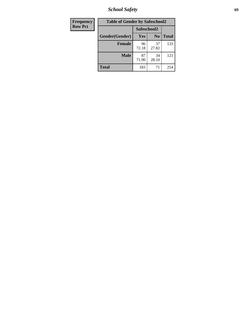*School Safety* **69**

| Frequency      | <b>Table of Gender by Safeschool2</b> |             |                |              |
|----------------|---------------------------------------|-------------|----------------|--------------|
| <b>Row Pct</b> |                                       | Safeschool2 |                |              |
|                | Gender(Gender)                        | <b>Yes</b>  | N <sub>0</sub> | <b>Total</b> |
|                | <b>Female</b>                         | 96<br>72.18 | 37<br>27.82    | 133          |
|                | <b>Male</b>                           | 87<br>71.90 | 34<br>28.10    | 121          |
|                | <b>Total</b>                          | 183         | 71             | 254          |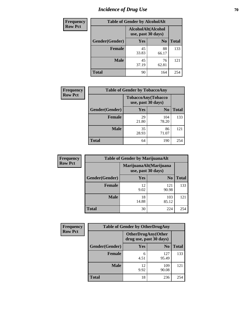# *Incidence of Drug Use* **70**

| <b>Frequency</b> | <b>Table of Gender by AlcoholAlt</b> |                                          |                |              |  |
|------------------|--------------------------------------|------------------------------------------|----------------|--------------|--|
| <b>Row Pct</b>   |                                      | AlcoholAlt(Alcohol<br>use, past 30 days) |                |              |  |
|                  | Gender(Gender)                       | Yes                                      | N <sub>0</sub> | <b>Total</b> |  |
|                  | <b>Female</b>                        | 45<br>33.83                              | 88<br>66.17    | 133          |  |
|                  | <b>Male</b>                          | 45<br>37.19                              | 76<br>62.81    | 121          |  |
|                  | <b>Total</b>                         | 90                                       | 164            | 254          |  |

| <b>Frequency</b> | <b>Table of Gender by TobaccoAny</b> |                                          |                |              |
|------------------|--------------------------------------|------------------------------------------|----------------|--------------|
| <b>Row Pct</b>   |                                      | TobaccoAny(Tobacco<br>use, past 30 days) |                |              |
|                  | Gender(Gender)                       | Yes                                      | N <sub>0</sub> | <b>Total</b> |
|                  | <b>Female</b>                        | 29<br>21.80                              | 104<br>78.20   | 133          |
|                  | Male                                 | 35<br>28.93                              | 86<br>71.07    | 121          |
|                  | <b>Total</b>                         | 64                                       | 190            | 254          |

| <b>Frequency</b> |                | <b>Table of Gender by MarijuanaAlt</b> |                        |              |
|------------------|----------------|----------------------------------------|------------------------|--------------|
| <b>Row Pct</b>   |                | use, past 30 days)                     | MarijuanaAlt(Marijuana |              |
|                  | Gender(Gender) | <b>Yes</b>                             | N <sub>0</sub>         | <b>Total</b> |
|                  | <b>Female</b>  | 12<br>9.02                             | 121<br>90.98           | 133          |
|                  | <b>Male</b>    | 18<br>14.88                            | 103<br>85.12           | 121          |
|                  | <b>Total</b>   | 30                                     | 224                    | 254          |

| <b>Frequency</b> | <b>Table of Gender by OtherDrugAny</b> |                                                       |                |              |
|------------------|----------------------------------------|-------------------------------------------------------|----------------|--------------|
| <b>Row Pct</b>   |                                        | <b>OtherDrugAny</b> (Other<br>drug use, past 30 days) |                |              |
|                  | Gender(Gender)                         | <b>Yes</b>                                            | N <sub>0</sub> | <b>Total</b> |
|                  | <b>Female</b>                          | 6<br>4.51                                             | 127<br>95.49   | 133          |
|                  | <b>Male</b>                            | 12<br>9.92                                            | 109<br>90.08   | 121          |
|                  | <b>Total</b>                           | 18                                                    | 236            | 254          |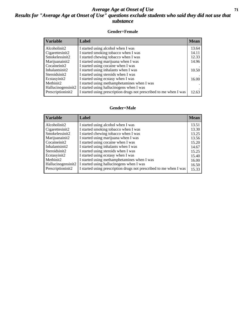#### *Average Age at Onset of Use* **71** *Results for "Average Age at Onset of Use" questions exclude students who said they did not use that substance*

#### **Gender=Female**

| <b>Variable</b>                 | Label                                                              | <b>Mean</b> |
|---------------------------------|--------------------------------------------------------------------|-------------|
| Alcoholinit2                    | I started using alcohol when I was                                 | 13.64       |
| Cigarettesinit2                 | I started smoking tobacco when I was                               | 14.11       |
| Smokelessinit2                  | I started chewing tobacco when I was                               | 12.33       |
| Marijuanainit2                  | I started using marijuana when I was                               | 14.96       |
| Cocaineinit2                    | I started using cocaine when I was                                 |             |
| Inhalantsinit2                  | I started using inhalants when I was                               | 10.50       |
| Steroidsinit2                   | I started using steroids when I was                                |             |
| Ecstasyinit2                    | I started using ecstasy when I was                                 | 16.00       |
| Methinit2                       | I started using methamphetamines when I was                        |             |
| Hallucinogensinit2              | I started using hallucinogens when I was                           |             |
| Prescription in it <sub>2</sub> | I started using prescription drugs not prescribed to me when I was | 12.63       |

#### **Gender=Male**

| <b>Variable</b>    | Label                                                              | <b>Mean</b> |
|--------------------|--------------------------------------------------------------------|-------------|
| Alcoholinit2       | I started using alcohol when I was                                 | 13.51       |
| Cigarettesinit2    | I started smoking tobacco when I was                               | 13.30       |
| Smokelessinit2     | I started chewing tobacco when I was                               | 13.25       |
| Marijuanainit2     | I started using marijuana when I was                               | 13.56       |
| Cocaineinit2       | I started using cocaine when I was                                 | 15.20       |
| Inhalantsinit2     | I started using inhalants when I was                               | 14.67       |
| Steroidsinit2      | I started using steroids when I was                                | 15.25       |
| Ecstasyinit2       | I started using ecstasy when I was                                 | 15.40       |
| Methinit2          | I started using methamphetamines when I was                        | 16.00       |
| Hallucinogensinit2 | I started using hallucinogens when I was                           | 16.50       |
| Prescriptioninit2  | I started using prescription drugs not prescribed to me when I was | 15.33       |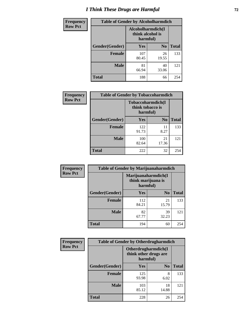# *I Think These Drugs are Harmful* **72**

| <b>Frequency</b> | <b>Table of Gender by Alcoholharmdich</b> |                                       |                |              |
|------------------|-------------------------------------------|---------------------------------------|----------------|--------------|
| <b>Row Pct</b>   |                                           | Alcoholharmdich(I<br>think alcohol is | harmful)       |              |
|                  | Gender(Gender)                            | Yes                                   | N <sub>0</sub> | <b>Total</b> |
|                  | Female                                    | 107<br>80.45                          | 26<br>19.55    | 133          |
|                  | <b>Male</b>                               | 81<br>66.94                           | 40<br>33.06    | 121          |
|                  | <b>Total</b>                              | 188                                   | 66             | 254          |

| Frequency      | <b>Table of Gender by Tobaccoharmdich</b> |                  |                               |              |
|----------------|-------------------------------------------|------------------|-------------------------------|--------------|
| <b>Row Pct</b> |                                           | think tobacco is | Tobaccoharmdich(I<br>harmful) |              |
|                | Gender(Gender)                            | <b>Yes</b>       | N <sub>0</sub>                | <b>Total</b> |
|                | <b>Female</b>                             | 122<br>91.73     | 11<br>8.27                    | 133          |
|                | <b>Male</b>                               | 100<br>82.64     | 21<br>17.36                   | 121          |
|                | <b>Total</b>                              | 222              | 32                            | 254          |

| Frequency      | <b>Table of Gender by Marijuanaharmdich</b> |                                                       |                |              |  |
|----------------|---------------------------------------------|-------------------------------------------------------|----------------|--------------|--|
| <b>Row Pct</b> |                                             | Marijuanaharmdich(I<br>think marijuana is<br>harmful) |                |              |  |
|                | Gender(Gender)                              | <b>Yes</b>                                            | N <sub>0</sub> | <b>Total</b> |  |
|                | <b>Female</b>                               | 112<br>84.21                                          | 21<br>15.79    | 133          |  |
|                | <b>Male</b>                                 | 82<br>67.77                                           | 39<br>32.23    | 121          |  |
|                | <b>Total</b>                                | 194                                                   | 60             | 254          |  |

| Frequency      | <b>Table of Gender by Otherdrugharmdich</b> |                                                          |                |              |
|----------------|---------------------------------------------|----------------------------------------------------------|----------------|--------------|
| <b>Row Pct</b> |                                             | Otherdrugharmdich(I<br>think other drugs are<br>harmful) |                |              |
|                | Gender(Gender)                              | <b>Yes</b>                                               | N <sub>0</sub> | <b>Total</b> |
|                | <b>Female</b>                               | 125<br>93.98                                             | 8<br>6.02      | 133          |
|                | <b>Male</b>                                 | 103<br>85.12                                             | 18<br>14.88    | 121          |
|                | <b>Total</b>                                | 228                                                      | 26             | 254          |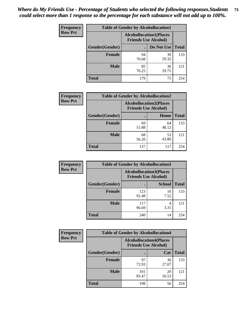| <b>Frequency</b> | <b>Table of Gender by Alcohollocation1</b> |                                                               |             |              |
|------------------|--------------------------------------------|---------------------------------------------------------------|-------------|--------------|
| <b>Row Pct</b>   |                                            | <b>Alcohollocation1(Places</b><br><b>Friends Use Alcohol)</b> |             |              |
|                  | Gender(Gender)                             |                                                               | Do Not Use  | <b>Total</b> |
|                  | <b>Female</b>                              | 94<br>70.68                                                   | 39<br>29.32 | 133          |
|                  | <b>Male</b>                                | 85<br>70.25                                                   | 36<br>29.75 | 121          |
|                  | <b>Total</b>                               | 179                                                           | 75          | 254          |

| <b>Frequency</b> |                | <b>Table of Gender by Alcohollocation2</b> |                                                               |              |  |
|------------------|----------------|--------------------------------------------|---------------------------------------------------------------|--------------|--|
| <b>Row Pct</b>   |                |                                            | <b>Alcohollocation2(Places</b><br><b>Friends Use Alcohol)</b> |              |  |
|                  | Gender(Gender) |                                            | Home                                                          | <b>Total</b> |  |
|                  | <b>Female</b>  | 69<br>51.88                                | 64<br>48.12                                                   | 133          |  |
|                  | <b>Male</b>    | 68<br>56.20                                | 53<br>43.80                                                   | 121          |  |
|                  | <b>Total</b>   | 137                                        | 117                                                           | 254          |  |

| Frequency      | <b>Table of Gender by Alcohollocation3</b> |                                                               |               |              |
|----------------|--------------------------------------------|---------------------------------------------------------------|---------------|--------------|
| <b>Row Pct</b> |                                            | <b>Alcohollocation3(Places</b><br><b>Friends Use Alcohol)</b> |               |              |
|                | Gender(Gender)                             |                                                               | <b>School</b> | <b>Total</b> |
|                | <b>Female</b>                              | 123<br>92.48                                                  | 10<br>7.52    | 133          |
|                | <b>Male</b>                                | 117<br>96.69                                                  | 4<br>3.31     | 121          |
|                | <b>Total</b>                               | 240                                                           | 14            | 254          |

| Frequency      |                        | <b>Table of Gender by Alcohollocation4</b>                    |             |              |  |
|----------------|------------------------|---------------------------------------------------------------|-------------|--------------|--|
| <b>Row Pct</b> |                        | <b>Alcohollocation4(Places</b><br><b>Friends Use Alcohol)</b> |             |              |  |
|                | <b>Gender</b> (Gender) |                                                               | Car         | <b>Total</b> |  |
|                | <b>Female</b>          | 97<br>72.93                                                   | 36<br>27.07 | 133          |  |
|                | <b>Male</b>            | 101<br>83.47                                                  | 20<br>16.53 | 121          |  |
|                | <b>Total</b>           | 198                                                           | 56          | 254          |  |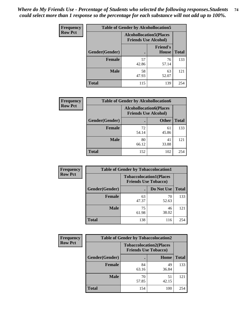| <b>Frequency</b> | <b>Table of Gender by Alcohollocation5</b> |                                                                |                                 |              |
|------------------|--------------------------------------------|----------------------------------------------------------------|---------------------------------|--------------|
| <b>Row Pct</b>   |                                            | <b>Alcohollocation5</b> (Places<br><b>Friends Use Alcohol)</b> |                                 |              |
|                  | Gender(Gender)                             | $\bullet$                                                      | <b>Friend's</b><br><b>House</b> | <b>Total</b> |
|                  | <b>Female</b>                              | 57<br>42.86                                                    | 76<br>57.14                     | 133          |
|                  | <b>Male</b>                                | 58<br>47.93                                                    | 63<br>52.07                     | 121          |
|                  | <b>Total</b>                               | 115                                                            | 139                             | 254          |

| Frequency      | <b>Table of Gender by Alcohollocation6</b> |                                                               |              |              |
|----------------|--------------------------------------------|---------------------------------------------------------------|--------------|--------------|
| <b>Row Pct</b> |                                            | <b>Alcohollocation6(Places</b><br><b>Friends Use Alcohol)</b> |              |              |
|                | Gender(Gender)                             |                                                               | <b>Other</b> | <b>Total</b> |
|                | <b>Female</b>                              | 72<br>54.14                                                   | 61<br>45.86  | 133          |
|                | <b>Male</b>                                | 80<br>66.12                                                   | 41<br>33.88  | 121          |
|                | <b>Total</b>                               | 152                                                           | 102          | 254          |

| Frequency      | <b>Table of Gender by Tobaccolocation1</b> |                                                               |             |              |  |
|----------------|--------------------------------------------|---------------------------------------------------------------|-------------|--------------|--|
| <b>Row Pct</b> |                                            | <b>Tobaccolocation1(Places</b><br><b>Friends Use Tobacco)</b> |             |              |  |
|                | Gender(Gender)                             |                                                               | Do Not Use  | <b>Total</b> |  |
|                | <b>Female</b>                              | 63<br>47.37                                                   | 70<br>52.63 | 133          |  |
|                | <b>Male</b>                                | 75<br>61.98                                                   | 46<br>38.02 | 121          |  |
|                | <b>Total</b>                               | 138                                                           | 116         | 254          |  |

| <b>Frequency</b> |                | <b>Table of Gender by Tobaccolocation2</b>                    |             |              |
|------------------|----------------|---------------------------------------------------------------|-------------|--------------|
| <b>Row Pct</b>   |                | <b>Tobaccolocation2(Places</b><br><b>Friends Use Tobacco)</b> |             |              |
|                  | Gender(Gender) |                                                               | Home        | <b>Total</b> |
|                  | Female         | 84<br>63.16                                                   | 49<br>36.84 | 133          |
|                  | <b>Male</b>    | 70<br>57.85                                                   | 51<br>42.15 | 121          |
|                  | <b>Total</b>   | 154                                                           | 100         | 254          |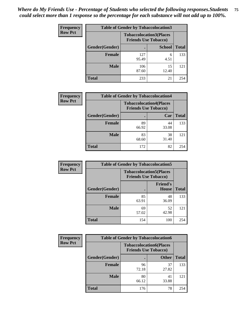| <b>Frequency</b> |                | <b>Table of Gender by Tobaccolocation3</b> |                                |              |
|------------------|----------------|--------------------------------------------|--------------------------------|--------------|
| <b>Row Pct</b>   |                | <b>Friends Use Tobacco)</b>                | <b>Tobaccolocation3(Places</b> |              |
|                  | Gender(Gender) |                                            | <b>School</b>                  | <b>Total</b> |
|                  | Female         | 127<br>95.49                               | 6<br>4.51                      | 133          |
|                  | <b>Male</b>    | 106<br>87.60                               | 15<br>12.40                    | 121          |
|                  | <b>Total</b>   | 233                                        | 21                             | 254          |

| <b>Frequency</b> | <b>Table of Gender by Tobaccolocation4</b> |                                                               |             |              |
|------------------|--------------------------------------------|---------------------------------------------------------------|-------------|--------------|
| <b>Row Pct</b>   |                                            | <b>Tobaccolocation4(Places</b><br><b>Friends Use Tobacco)</b> |             |              |
|                  | Gender(Gender)                             |                                                               | Car         | <b>Total</b> |
|                  | Female                                     | 89<br>66.92                                                   | 44<br>33.08 | 133          |
|                  | <b>Male</b>                                | 83<br>68.60                                                   | 38<br>31.40 | 121          |
|                  | <b>Total</b>                               | 172                                                           | 82          | 254          |

| <b>Frequency</b> | <b>Table of Gender by Tobaccolocation5</b> |                                                               |                                 |              |
|------------------|--------------------------------------------|---------------------------------------------------------------|---------------------------------|--------------|
| <b>Row Pct</b>   |                                            | <b>Tobaccolocation5(Places</b><br><b>Friends Use Tobacco)</b> |                                 |              |
|                  | Gender(Gender)                             |                                                               | <b>Friend's</b><br><b>House</b> | <b>Total</b> |
|                  | <b>Female</b>                              | 85<br>63.91                                                   | 48<br>36.09                     | 133          |
|                  | <b>Male</b>                                | 69<br>57.02                                                   | 52<br>42.98                     | 121          |
|                  | <b>Total</b>                               | 154                                                           | 100                             | 254          |

| <b>Frequency</b> | <b>Table of Gender by Tobaccolocation6</b> |                                                               |              |              |
|------------------|--------------------------------------------|---------------------------------------------------------------|--------------|--------------|
| <b>Row Pct</b>   |                                            | <b>Tobaccolocation6(Places</b><br><b>Friends Use Tobacco)</b> |              |              |
|                  | Gender(Gender)                             |                                                               | <b>Other</b> | <b>Total</b> |
|                  | Female                                     | 96<br>72.18                                                   | 37<br>27.82  | 133          |
|                  | <b>Male</b>                                | 80<br>66.12                                                   | 41<br>33.88  | 121          |
|                  | <b>Total</b>                               | 176                                                           | 78           | 254          |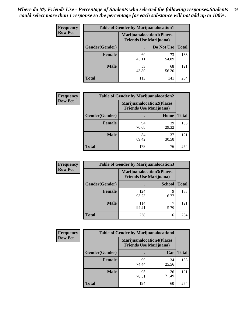| <b>Frequency</b> | <b>Table of Gender by Marijuanalocation1</b> |                                |                                  |              |
|------------------|----------------------------------------------|--------------------------------|----------------------------------|--------------|
| <b>Row Pct</b>   |                                              | <b>Friends Use Marijuana</b> ) | <b>Marijuanalocation1(Places</b> |              |
|                  | Gender(Gender)                               |                                | Do Not Use                       | <b>Total</b> |
|                  | <b>Female</b>                                | 60<br>45.11                    | 73<br>54.89                      | 133          |
|                  | <b>Male</b>                                  | 53<br>43.80                    | 68<br>56.20                      | 121          |
|                  | <b>Total</b>                                 | 113                            | 141                              | 254          |

| <b>Frequency</b> | <b>Table of Gender by Marijuanalocation2</b> |                                                                    |             |              |  |
|------------------|----------------------------------------------|--------------------------------------------------------------------|-------------|--------------|--|
| <b>Row Pct</b>   |                                              | <b>Marijuanalocation2(Places</b><br><b>Friends Use Marijuana</b> ) |             |              |  |
|                  | Gender(Gender)                               |                                                                    | Home        | <b>Total</b> |  |
|                  | <b>Female</b>                                | 94<br>70.68                                                        | 39<br>29.32 | 133          |  |
|                  | <b>Male</b>                                  | 84<br>69.42                                                        | 37<br>30.58 | 121          |  |
|                  | <b>Total</b>                                 | 178                                                                | 76          | 254          |  |

| Frequency      |                | <b>Table of Gender by Marijuanalocation3</b>                       |               |              |
|----------------|----------------|--------------------------------------------------------------------|---------------|--------------|
| <b>Row Pct</b> |                | <b>Marijuanalocation3(Places</b><br><b>Friends Use Marijuana</b> ) |               |              |
|                | Gender(Gender) |                                                                    | <b>School</b> | <b>Total</b> |
|                | Female         | 124<br>93.23                                                       | 9<br>6.77     | 133          |
|                | <b>Male</b>    | 114<br>94.21                                                       | 5.79          | 121          |
|                | <b>Total</b>   | 238                                                                | 16            | 254          |

| <b>Frequency</b> | <b>Table of Gender by Marijuanalocation4</b> |                                |                                  |              |
|------------------|----------------------------------------------|--------------------------------|----------------------------------|--------------|
| <b>Row Pct</b>   |                                              | <b>Friends Use Marijuana</b> ) | <b>Marijuanalocation4(Places</b> |              |
|                  | Gender(Gender)                               |                                | Car                              | <b>Total</b> |
|                  | <b>Female</b>                                | 99<br>74.44                    | 34<br>25.56                      | 133          |
|                  | <b>Male</b>                                  | 95<br>78.51                    | 26<br>21.49                      | 121          |
|                  | <b>Total</b>                                 | 194                            | 60                               | 254          |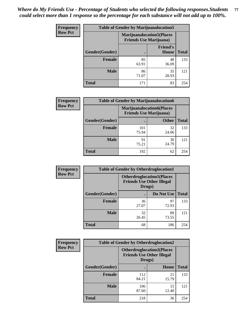| <b>Frequency</b> | <b>Table of Gender by Marijuanalocation5</b> |                                                                     |                                 |              |
|------------------|----------------------------------------------|---------------------------------------------------------------------|---------------------------------|--------------|
| <b>Row Pct</b>   |                                              | <b>Marijuanalocation5</b> (Places<br><b>Friends Use Marijuana</b> ) |                                 |              |
|                  | Gender(Gender)                               |                                                                     | <b>Friend's</b><br><b>House</b> | <b>Total</b> |
|                  | <b>Female</b>                                | 85<br>63.91                                                         | 48<br>36.09                     | 133          |
|                  | <b>Male</b>                                  | 86<br>71.07                                                         | 35<br>28.93                     | 121          |
|                  | <b>Total</b>                                 | 171                                                                 | 83                              | 254          |

| <b>Frequency</b> | <b>Table of Gender by Marijuanalocation6</b> |                                |                                  |              |  |
|------------------|----------------------------------------------|--------------------------------|----------------------------------|--------------|--|
| <b>Row Pct</b>   |                                              | <b>Friends Use Marijuana</b> ) | <b>Marijuanalocation6(Places</b> |              |  |
|                  | <b>Gender</b> (Gender)                       |                                | <b>Other</b>                     | <b>Total</b> |  |
|                  | <b>Female</b>                                | 101<br>75.94                   | 32<br>24.06                      | 133          |  |
|                  | <b>Male</b>                                  | 91<br>75.21                    | 30<br>24.79                      | 121          |  |
|                  | <b>Total</b>                                 | 192                            | 62                               | 254          |  |

| <b>Frequency</b> | <b>Table of Gender by Otherdruglocation1</b> |                                                                                |             |              |
|------------------|----------------------------------------------|--------------------------------------------------------------------------------|-------------|--------------|
| <b>Row Pct</b>   |                                              | <b>Otherdruglocation1(Places</b><br><b>Friends Use Other Illegal</b><br>Drugs) |             |              |
|                  | <b>Gender</b> (Gender)                       |                                                                                | Do Not Use  | <b>Total</b> |
|                  | <b>Female</b>                                | 36<br>27.07                                                                    | 97<br>72.93 | 133          |
|                  | <b>Male</b>                                  | 32<br>26.45                                                                    | 89<br>73.55 | 121          |
|                  | <b>Total</b>                                 | 68                                                                             | 186         | 254          |

| Frequency      | <b>Table of Gender by Otherdruglocation2</b> |                                                                                |             |              |
|----------------|----------------------------------------------|--------------------------------------------------------------------------------|-------------|--------------|
| <b>Row Pct</b> |                                              | <b>Otherdruglocation2(Places</b><br><b>Friends Use Other Illegal</b><br>Drugs) |             |              |
|                | Gender(Gender)                               |                                                                                | Home        | <b>Total</b> |
|                | <b>Female</b>                                | 112<br>84.21                                                                   | 21<br>15.79 | 133          |
|                | <b>Male</b>                                  | 106<br>87.60                                                                   | 15<br>12.40 | 121          |
|                | <b>Total</b>                                 | 218                                                                            | 36          | 254          |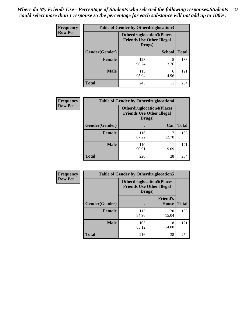| Frequency      | <b>Table of Gender by Otherdruglocation3</b> |                                                                                |               |              |
|----------------|----------------------------------------------|--------------------------------------------------------------------------------|---------------|--------------|
| <b>Row Pct</b> |                                              | <b>Otherdruglocation3(Places</b><br><b>Friends Use Other Illegal</b><br>Drugs) |               |              |
|                | Gender(Gender)                               |                                                                                | <b>School</b> | <b>Total</b> |
|                | <b>Female</b>                                | 128<br>96.24                                                                   | 3.76          | 133          |
|                | <b>Male</b>                                  | 115<br>95.04                                                                   | 6<br>4.96     | 121          |
|                | <b>Total</b>                                 | 243                                                                            | 11            | 254          |

| <b>Frequency</b> | <b>Table of Gender by Otherdruglocation4</b>                                   |              |             |              |
|------------------|--------------------------------------------------------------------------------|--------------|-------------|--------------|
| <b>Row Pct</b>   | <b>Otherdruglocation4(Places</b><br><b>Friends Use Other Illegal</b><br>Drugs) |              |             |              |
|                  | Gender(Gender)                                                                 |              | Car         | <b>Total</b> |
|                  | <b>Female</b>                                                                  | 116<br>87.22 | 17<br>12.78 | 133          |
|                  | <b>Male</b>                                                                    | 110<br>90.91 | 11<br>9.09  | 121          |
|                  | <b>Total</b>                                                                   | 226          | 28          | 254          |

| Frequency      | <b>Table of Gender by Otherdruglocation5</b> |              |                                                                                |              |
|----------------|----------------------------------------------|--------------|--------------------------------------------------------------------------------|--------------|
| <b>Row Pct</b> |                                              |              | <b>Otherdruglocation5(Places</b><br><b>Friends Use Other Illegal</b><br>Drugs) |              |
|                | Gender(Gender)                               |              | <b>Friend's</b><br><b>House</b>                                                | <b>Total</b> |
|                | <b>Female</b>                                | 113<br>84.96 | 20<br>15.04                                                                    | 133          |
|                | <b>Male</b>                                  | 103<br>85.12 | 18<br>14.88                                                                    | 121          |
|                | <b>Total</b>                                 | 216          | 38                                                                             | 254          |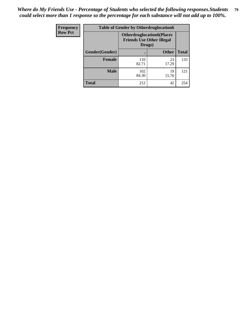| Frequency      | <b>Table of Gender by Otherdruglocation6</b> |                                            |                                  |              |
|----------------|----------------------------------------------|--------------------------------------------|----------------------------------|--------------|
| <b>Row Pct</b> |                                              | <b>Friends Use Other Illegal</b><br>Drugs) | <b>Otherdruglocation6(Places</b> |              |
|                | Gender(Gender)                               |                                            | <b>Other</b>                     | <b>Total</b> |
|                | <b>Female</b>                                | 110<br>82.71                               | 23<br>17.29                      | 133          |
|                | <b>Male</b>                                  | 102<br>84.30                               | 19<br>15.70                      | 121          |
|                | <b>Total</b>                                 | 212                                        | 42                               | 254          |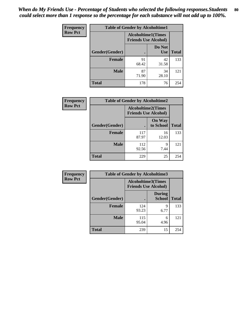| <b>Frequency</b> | <b>Table of Gender by Alcoholtime1</b> |                                                          |                      |              |
|------------------|----------------------------------------|----------------------------------------------------------|----------------------|--------------|
| <b>Row Pct</b>   |                                        | <b>Alcoholtime1(Times</b><br><b>Friends Use Alcohol)</b> |                      |              |
|                  | Gender(Gender)                         | $\bullet$                                                | Do Not<br><b>Use</b> | <b>Total</b> |
|                  | <b>Female</b>                          | 91<br>68.42                                              | 42<br>31.58          | 133          |
|                  | <b>Male</b>                            | 87<br>71.90                                              | 34<br>28.10          | 121          |
|                  | <b>Total</b>                           | 178                                                      | 76                   | 254          |

| Frequency      | <b>Table of Gender by Alcoholtime2</b> |                                                          |                            |              |
|----------------|----------------------------------------|----------------------------------------------------------|----------------------------|--------------|
| <b>Row Pct</b> |                                        | <b>Alcoholtime2(Times</b><br><b>Friends Use Alcohol)</b> |                            |              |
|                | Gender(Gender)                         |                                                          | <b>On Way</b><br>to School | <b>Total</b> |
|                | <b>Female</b>                          | 117<br>87.97                                             | 16<br>12.03                | 133          |
|                | <b>Male</b>                            | 112<br>92.56                                             | 9<br>7.44                  | 121          |
|                | Total                                  | 229                                                      | 25                         | 254          |

| Frequency      | <b>Table of Gender by Alcoholtime3</b> |                                                          |                                |              |
|----------------|----------------------------------------|----------------------------------------------------------|--------------------------------|--------------|
| <b>Row Pct</b> |                                        | <b>Alcoholtime3(Times</b><br><b>Friends Use Alcohol)</b> |                                |              |
|                | Gender(Gender)                         |                                                          | <b>During</b><br><b>School</b> | <b>Total</b> |
|                | <b>Female</b>                          | 124<br>93.23                                             | 9<br>6.77                      | 133          |
|                | <b>Male</b>                            | 115<br>95.04                                             | 6<br>4.96                      | 121          |
|                | <b>Total</b>                           | 239                                                      | 15                             | 254          |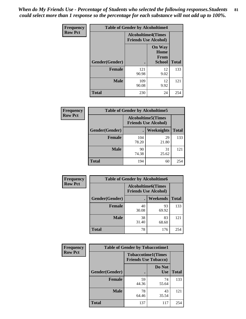*When do My Friends Use - Percentage of Students who selected the following responses.Students could select more than 1 response so the percentage for each substance will not add up to 100%.* **81**

| <b>Frequency</b> | <b>Table of Gender by Alcoholtime4</b> |                           |                                                |              |
|------------------|----------------------------------------|---------------------------|------------------------------------------------|--------------|
| <b>Row Pct</b>   |                                        | <b>Alcoholtime4(Times</b> | <b>Friends Use Alcohol)</b>                    |              |
|                  | Gender(Gender)                         |                           | <b>On Way</b><br>Home<br>From<br><b>School</b> | <b>Total</b> |
|                  | <b>Female</b>                          | 121<br>90.98              | 12<br>9.02                                     | 133          |
|                  | <b>Male</b>                            | 109<br>90.08              | 12<br>9.92                                     | 121          |
|                  | <b>Total</b>                           | 230                       | 24                                             | 254          |

| <b>Frequency</b> |                |                                                          | <b>Table of Gender by Alcoholtime5</b> |              |
|------------------|----------------|----------------------------------------------------------|----------------------------------------|--------------|
| <b>Row Pct</b>   |                | <b>Alcoholtime5(Times</b><br><b>Friends Use Alcohol)</b> |                                        |              |
|                  | Gender(Gender) |                                                          | <b>Weeknights</b>                      | <b>Total</b> |
|                  | <b>Female</b>  | 104<br>78.20                                             | 29<br>21.80                            | 133          |
|                  | <b>Male</b>    | 90<br>74.38                                              | 31<br>25.62                            | 121          |
|                  | <b>Total</b>   | 194                                                      | 60                                     | 254          |

| <b>Frequency</b> | <b>Table of Gender by Alcoholtime6</b> |             |                                                          |              |
|------------------|----------------------------------------|-------------|----------------------------------------------------------|--------------|
| <b>Row Pct</b>   |                                        |             | <b>Alcoholtime6(Times</b><br><b>Friends Use Alcohol)</b> |              |
|                  | Gender(Gender)                         |             | <b>Weekends</b>                                          | <b>Total</b> |
|                  | Female                                 | 40<br>30.08 | 93<br>69.92                                              | 133          |
|                  | <b>Male</b>                            | 38<br>31.40 | 83<br>68.60                                              | 121          |
|                  | <b>Total</b>                           | 78          | 176                                                      | 254          |

| <b>Frequency</b> | <b>Table of Gender by Tobaccotime1</b> |                                                          |                      |              |
|------------------|----------------------------------------|----------------------------------------------------------|----------------------|--------------|
| <b>Row Pct</b>   |                                        | <b>Tobaccotime1(Times</b><br><b>Friends Use Tobacco)</b> |                      |              |
|                  | Gender(Gender)                         |                                                          | Do Not<br><b>Use</b> | <b>Total</b> |
|                  | <b>Female</b>                          | 59<br>44.36                                              | 74<br>55.64          | 133          |
|                  | <b>Male</b>                            | 78<br>64.46                                              | 43<br>35.54          | 121          |
|                  | <b>Total</b>                           | 137                                                      | 117                  | 254          |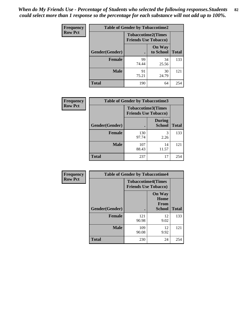| <b>Frequency</b> | <b>Table of Gender by Tobaccotime2</b> |                                                          |                            |              |
|------------------|----------------------------------------|----------------------------------------------------------|----------------------------|--------------|
| <b>Row Pct</b>   |                                        | <b>Tobaccotime2(Times</b><br><b>Friends Use Tobacco)</b> |                            |              |
|                  | Gender(Gender)                         |                                                          | <b>On Way</b><br>to School | <b>Total</b> |
|                  | <b>Female</b>                          | 99<br>74.44                                              | 34<br>25.56                | 133          |
|                  | <b>Male</b>                            | 91<br>75.21                                              | 30<br>24.79                | 121          |
|                  | <b>Total</b>                           | 190                                                      | 64                         | 254          |

| <b>Frequency</b> | <b>Table of Gender by Tobaccotime3</b> |                                                          |                                |              |
|------------------|----------------------------------------|----------------------------------------------------------|--------------------------------|--------------|
| <b>Row Pct</b>   |                                        | <b>Tobaccotime3(Times</b><br><b>Friends Use Tobacco)</b> |                                |              |
|                  | Gender(Gender)                         |                                                          | <b>During</b><br><b>School</b> | <b>Total</b> |
|                  | <b>Female</b>                          | 130<br>97.74                                             | 3<br>2.26                      | 133          |
|                  | <b>Male</b>                            | 107<br>88.43                                             | 14<br>11.57                    | 121          |
|                  | <b>Total</b>                           | 237                                                      | 17                             | 254          |

| Frequency      | <b>Table of Gender by Tobaccotime4</b> |                                                          |                                                       |              |
|----------------|----------------------------------------|----------------------------------------------------------|-------------------------------------------------------|--------------|
| <b>Row Pct</b> |                                        | <b>Tobaccotime4(Times</b><br><b>Friends Use Tobacco)</b> |                                                       |              |
|                | Gender(Gender)                         |                                                          | <b>On Way</b><br>Home<br><b>From</b><br><b>School</b> | <b>Total</b> |
|                | <b>Female</b>                          | 121<br>90.98                                             | 12<br>9.02                                            | 133          |
|                | <b>Male</b>                            | 109<br>90.08                                             | 12<br>9.92                                            | 121          |
|                | <b>Total</b>                           | 230                                                      | 24                                                    | 254          |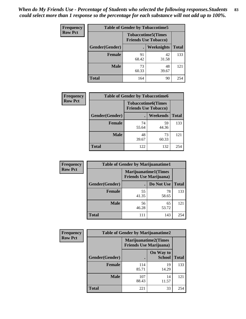| <b>Frequency</b> | <b>Table of Gender by Tobaccotime5</b> |             |                                                           |              |  |
|------------------|----------------------------------------|-------------|-----------------------------------------------------------|--------------|--|
| <b>Row Pct</b>   |                                        |             | <b>Tobaccotime5</b> (Times<br><b>Friends Use Tobacco)</b> |              |  |
|                  | Gender(Gender)                         |             | Weeknights                                                | <b>Total</b> |  |
|                  | <b>Female</b>                          | 91<br>68.42 | 42<br>31.58                                               | 133          |  |
|                  | <b>Male</b>                            | 73<br>60.33 | 48<br>39.67                                               | 121          |  |
|                  | <b>Total</b>                           | 164         | 90                                                        | 254          |  |

| <b>Frequency</b> | <b>Table of Gender by Tobaccotime6</b> |                                                          |                 |              |
|------------------|----------------------------------------|----------------------------------------------------------|-----------------|--------------|
| <b>Row Pct</b>   |                                        | <b>Tobaccotime6(Times</b><br><b>Friends Use Tobacco)</b> |                 |              |
|                  | Gender(Gender)                         |                                                          | <b>Weekends</b> | <b>Total</b> |
|                  | Female                                 | 74<br>55.64                                              | 59<br>44.36     | 133          |
|                  | <b>Male</b>                            | 48<br>39.67                                              | 73<br>60.33     | 121          |
|                  | <b>Total</b>                           | 122                                                      | 132             | 254          |

| <b>Frequency</b> | <b>Table of Gender by Marijuanatime1</b> |                                |                             |              |
|------------------|------------------------------------------|--------------------------------|-----------------------------|--------------|
| <b>Row Pct</b>   |                                          | <b>Friends Use Marijuana</b> ) | <b>Marijuanatime1(Times</b> |              |
|                  | Gender(Gender)                           |                                | Do Not Use                  | <b>Total</b> |
|                  | <b>Female</b>                            | 55<br>41.35                    | 78<br>58.65                 | 133          |
|                  | <b>Male</b>                              | 56<br>46.28                    | 65<br>53.72                 | 121          |
|                  | <b>Total</b>                             | 111                            | 143                         | 254          |

| <b>Frequency</b> | <b>Table of Gender by Marijuanatime2</b> |                                                               |                            |              |
|------------------|------------------------------------------|---------------------------------------------------------------|----------------------------|--------------|
| <b>Row Pct</b>   |                                          | <b>Marijuanatime2(Times</b><br><b>Friends Use Marijuana</b> ) |                            |              |
|                  | Gender(Gender)                           |                                                               | On Way to<br><b>School</b> | <b>Total</b> |
|                  | Female                                   | 114<br>85.71                                                  | 19<br>14.29                | 133          |
|                  | <b>Male</b>                              | 107<br>88.43                                                  | 14<br>11.57                | 121          |
|                  | <b>Total</b>                             | 221                                                           | 33                         | 254          |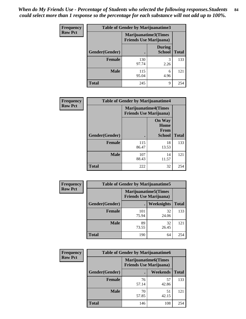*When do My Friends Use - Percentage of Students who selected the following responses.Students could select more than 1 response so the percentage for each substance will not add up to 100%.* **84**

| <b>Frequency</b> | Table of Gender by Marijuanatime3 |                                                        |                                |              |
|------------------|-----------------------------------|--------------------------------------------------------|--------------------------------|--------------|
| <b>Row Pct</b>   |                                   | Marijuanatime3(Times<br><b>Friends Use Marijuana</b> ) |                                |              |
|                  | Gender(Gender)                    |                                                        | <b>During</b><br><b>School</b> | <b>Total</b> |
|                  | <b>Female</b>                     | 130<br>97.74                                           | 3<br>2.26                      | 133          |
|                  | <b>Male</b>                       | 115<br>95.04                                           | 6<br>4.96                      | 121          |
|                  | <b>Total</b>                      | 245                                                    | 9                              | 254          |

| Frequency      | <b>Table of Gender by Marijuanatime4</b> |              |                                                               |              |
|----------------|------------------------------------------|--------------|---------------------------------------------------------------|--------------|
| <b>Row Pct</b> |                                          |              | <b>Marijuanatime4(Times</b><br><b>Friends Use Marijuana</b> ) |              |
|                |                                          |              | <b>On Way</b><br>Home<br>From                                 |              |
|                | <b>Gender</b> (Gender)                   |              | <b>School</b>                                                 | <b>Total</b> |
|                | <b>Female</b>                            | 115<br>86.47 | 18<br>13.53                                                   | 133          |
|                | <b>Male</b>                              | 107<br>88.43 | 14<br>11.57                                                   | 121          |
|                | <b>Total</b>                             | 222          | 32                                                            | 254          |

| Frequency      | <b>Table of Gender by Marijuanatime5</b> |                                                                |             |              |  |
|----------------|------------------------------------------|----------------------------------------------------------------|-------------|--------------|--|
| <b>Row Pct</b> |                                          | <b>Marijuanatime5</b> (Times<br><b>Friends Use Marijuana</b> ) |             |              |  |
|                | Gender(Gender)                           |                                                                | Weeknights  | <b>Total</b> |  |
|                | <b>Female</b>                            | 101<br>75.94                                                   | 32<br>24.06 | 133          |  |
|                | <b>Male</b>                              | 89<br>73.55                                                    | 32<br>26.45 | 121          |  |
|                | <b>Total</b>                             | 190                                                            | 64          | 254          |  |

| <b>Frequency</b> | <b>Table of Gender by Marijuanatime6</b> |                                                               |                 |              |  |
|------------------|------------------------------------------|---------------------------------------------------------------|-----------------|--------------|--|
| <b>Row Pct</b>   |                                          | <b>Marijuanatime6(Times</b><br><b>Friends Use Marijuana</b> ) |                 |              |  |
|                  | Gender(Gender)                           |                                                               | <b>Weekends</b> | <b>Total</b> |  |
|                  | <b>Female</b>                            | 76<br>57.14                                                   | 57<br>42.86     | 133          |  |
|                  | <b>Male</b>                              | 70<br>57.85                                                   | 51<br>42.15     | 121          |  |
|                  | <b>Total</b>                             | 146                                                           | 108             | 254          |  |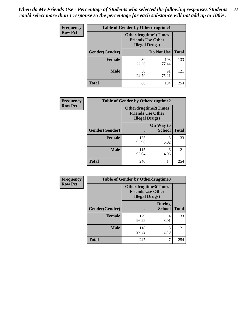*When do My Friends Use - Percentage of Students who selected the following responses.Students could select more than 1 response so the percentage for each substance will not add up to 100%.* **85**

| <b>Frequency</b> | <b>Table of Gender by Otherdrugtime1</b> |                        |                                                         |     |
|------------------|------------------------------------------|------------------------|---------------------------------------------------------|-----|
| <b>Row Pct</b>   |                                          | <b>Illegal Drugs</b> ) | <b>Otherdrugtime1(Times</b><br><b>Friends Use Other</b> |     |
|                  | Gender(Gender)                           |                        | Do Not Use   Total                                      |     |
|                  | <b>Female</b>                            | 30<br>22.56            | 103<br>77.44                                            | 133 |
|                  | <b>Male</b>                              | 30<br>24.79            | 91<br>75.21                                             | 121 |
|                  | <b>Total</b>                             | 60                     | 194                                                     | 254 |

| Frequency      | <b>Table of Gender by Otherdrugtime2</b> |                                                    |                             |              |
|----------------|------------------------------------------|----------------------------------------------------|-----------------------------|--------------|
| <b>Row Pct</b> |                                          | <b>Friends Use Other</b><br><b>Illegal Drugs</b> ) | <b>Otherdrugtime2(Times</b> |              |
|                | Gender(Gender)                           |                                                    | On Way to<br><b>School</b>  | <b>Total</b> |
|                | <b>Female</b>                            | 125<br>93.98                                       | 8<br>6.02                   | 133          |
|                | <b>Male</b>                              | 115<br>95.04                                       | 6<br>4.96                   | 121          |
|                | <b>Total</b>                             | 240                                                | 14                          | 254          |

| Frequency      | <b>Table of Gender by Otherdrugtime3</b> |                        |                                                         |              |
|----------------|------------------------------------------|------------------------|---------------------------------------------------------|--------------|
| <b>Row Pct</b> |                                          | <b>Illegal Drugs</b> ) | <b>Otherdrugtime3(Times</b><br><b>Friends Use Other</b> |              |
|                | Gender(Gender)                           |                        | <b>During</b><br><b>School</b>                          | <b>Total</b> |
|                | <b>Female</b>                            | 129<br>96.99           | 4<br>3.01                                               | 133          |
|                | <b>Male</b>                              | 118<br>97.52           | 3<br>2.48                                               | 121          |
|                | <b>Total</b>                             | 247                    | 7                                                       | 254          |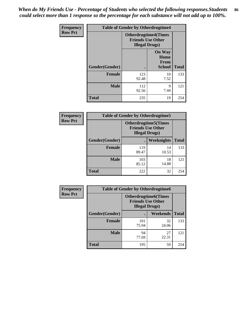*When do My Friends Use - Percentage of Students who selected the following responses.Students could select more than 1 response so the percentage for each substance will not add up to 100%.* **86**

| <b>Frequency</b> | <b>Table of Gender by Otherdrugtime4</b> |                                                                                   |                                                |              |
|------------------|------------------------------------------|-----------------------------------------------------------------------------------|------------------------------------------------|--------------|
| <b>Row Pct</b>   |                                          | <b>Otherdrugtime4(Times</b><br><b>Friends Use Other</b><br><b>Illegal Drugs</b> ) |                                                |              |
|                  | Gender(Gender)                           |                                                                                   | <b>On Way</b><br>Home<br><b>From</b><br>School | <b>Total</b> |
|                  | <b>Female</b>                            | 123<br>92.48                                                                      | 10<br>7.52                                     | 133          |
|                  | <b>Male</b>                              | 112<br>92.56                                                                      | 9<br>7.44                                      | 121          |
|                  | <b>Total</b>                             | 235                                                                               | 19                                             | 254          |

| Frequency      | <b>Table of Gender by Otherdrugtime5</b> |                                                                                    |                   |              |
|----------------|------------------------------------------|------------------------------------------------------------------------------------|-------------------|--------------|
| <b>Row Pct</b> |                                          | <b>Otherdrugtime5</b> (Times<br><b>Friends Use Other</b><br><b>Illegal Drugs</b> ) |                   |              |
|                | Gender(Gender)                           |                                                                                    | <b>Weeknights</b> | <b>Total</b> |
|                | <b>Female</b>                            | 119<br>89.47                                                                       | 14<br>10.53       | 133          |
|                | <b>Male</b>                              | 103<br>85.12                                                                       | 18<br>14.88       | 121          |
|                | <b>Total</b>                             | 222                                                                                | 32                | 254          |

| Frequency      | <b>Table of Gender by Otherdrugtime6</b> |                                                                                   |             |              |  |
|----------------|------------------------------------------|-----------------------------------------------------------------------------------|-------------|--------------|--|
| <b>Row Pct</b> |                                          | <b>Otherdrugtime6(Times</b><br><b>Friends Use Other</b><br><b>Illegal Drugs</b> ) |             |              |  |
|                | Gender(Gender)                           |                                                                                   | Weekends    | <b>Total</b> |  |
|                | <b>Female</b>                            | 101<br>75.94                                                                      | 32<br>24.06 | 133          |  |
|                | <b>Male</b>                              | 94<br>77.69                                                                       | 27<br>22.31 | 121          |  |
|                | <b>Total</b>                             | 195                                                                               | 59          | 254          |  |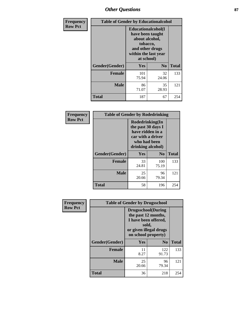## *Other Questions* **87**

| <b>Frequency</b> | <b>Table of Gender by Educationalcohol</b> |                                                                                                                                       |                |              |  |
|------------------|--------------------------------------------|---------------------------------------------------------------------------------------------------------------------------------------|----------------|--------------|--|
| <b>Row Pct</b>   |                                            | <b>Educationalcohol</b> (I<br>have been taught<br>about alcohol,<br>tobacco,<br>and other drugs<br>within the last year<br>at school) |                |              |  |
|                  | Gender(Gender)                             | <b>Yes</b>                                                                                                                            | N <sub>0</sub> | <b>Total</b> |  |
|                  | <b>Female</b>                              | 101<br>75.94                                                                                                                          | 32<br>24.06    | 133          |  |
|                  | <b>Male</b>                                | 86<br>71.07                                                                                                                           | 35<br>28.93    | 121          |  |
|                  | <b>Total</b>                               | 187                                                                                                                                   | 67             | 254          |  |

| Frequency      | <b>Table of Gender by Rodedrinking</b> |                                                                                                                     |                |              |  |
|----------------|----------------------------------------|---------------------------------------------------------------------------------------------------------------------|----------------|--------------|--|
| <b>Row Pct</b> |                                        | Rodedrinking(In<br>the past 30 days I<br>have ridden in a<br>car with a driver<br>who had been<br>drinking alcohol) |                |              |  |
|                | Gender(Gender)                         | Yes                                                                                                                 | N <sub>0</sub> | <b>Total</b> |  |
|                | <b>Female</b>                          | 33<br>24.81                                                                                                         | 100<br>75.19   | 133          |  |
|                | <b>Male</b>                            | 25<br>20.66                                                                                                         | 96<br>79.34    | 121          |  |
|                | <b>Total</b>                           | 58                                                                                                                  | 196            | 254          |  |

| Frequency      | <b>Table of Gender by Drugsschool</b> |                                                                                                                                     |                |              |  |
|----------------|---------------------------------------|-------------------------------------------------------------------------------------------------------------------------------------|----------------|--------------|--|
| <b>Row Pct</b> |                                       | <b>Drugsschool</b> (During<br>the past 12 months,<br>I have been offered,<br>sold,<br>or given illegal drugs<br>on school property) |                |              |  |
|                | Gender(Gender)                        | Yes                                                                                                                                 | N <sub>0</sub> | <b>Total</b> |  |
|                | <b>Female</b>                         | 11<br>8.27                                                                                                                          | 122<br>91.73   | 133          |  |
|                | <b>Male</b>                           | 25<br>20.66                                                                                                                         | 96<br>79.34    | 121          |  |
|                | <b>Total</b>                          | 36                                                                                                                                  | 218            | 254          |  |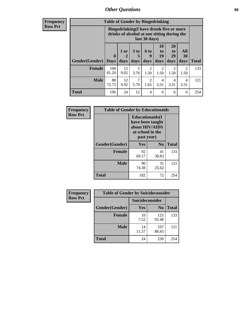### *Other Questions* **88**

**Frequency Row Pct**

| <b>Table of Gender by Bingedrinking</b> |                         |                                                                                                         |                   |                        |                        |                               |                        |              |
|-----------------------------------------|-------------------------|---------------------------------------------------------------------------------------------------------|-------------------|------------------------|------------------------|-------------------------------|------------------------|--------------|
|                                         |                         | Bingedrinking(I have drunk five or more<br>drinks of alcohol at one sitting during the<br>last 30 days) |                   |                        |                        |                               |                        |              |
| <b>Gender</b> (Gender)                  | $\bf{0}$<br><b>Davs</b> | 1 or<br>2<br>days                                                                                       | 3 to<br>5<br>days | 6 to<br>9<br>days      | 10<br>to<br>19<br>days | <b>20</b><br>to<br>29<br>days | All<br>30<br>days      | <b>Total</b> |
| <b>Female</b>                           | 108<br>81.20            | 12<br>9.02                                                                                              | 5<br>3.76         | $\mathfrak{D}$<br>1.50 | $\mathfrak{D}$<br>1.50 | 2<br>1.50                     | $\mathfrak{D}$<br>1.50 | 133          |
| <b>Male</b>                             | 88<br>72.73             | 12<br>9.92                                                                                              | 7<br>5.79         | $\mathfrak{D}$<br>1.65 | 4<br>3.31              | 4<br>3.31                     | $\overline{4}$<br>3.31 | 121          |
| <b>Total</b>                            | 196                     | 24                                                                                                      | 12                | 4                      | 6                      | 6                             | 6                      | 254          |

| Frequency      | <b>Table of Gender by Educationaids</b> |                                                                                                 |             |              |  |
|----------------|-----------------------------------------|-------------------------------------------------------------------------------------------------|-------------|--------------|--|
| <b>Row Pct</b> |                                         | <b>Educationaids</b> (I<br>have been taught<br>about HIV/AIDS<br>at school in the<br>past year) |             |              |  |
|                | Gender(Gender)                          | Yes                                                                                             | $\bf N_0$   | <b>Total</b> |  |
|                | <b>Female</b>                           | 92<br>69.17                                                                                     | 41<br>30.83 | 133          |  |
|                | <b>Male</b>                             | 90<br>74.38                                                                                     | 31<br>25.62 | 121          |  |
|                | <b>Total</b>                            | 182                                                                                             | 72          | 254          |  |

| <b>Frequency</b> | <b>Table of Gender by Suicideconsider</b> |                 |                |              |  |
|------------------|-------------------------------------------|-----------------|----------------|--------------|--|
| <b>Row Pct</b>   |                                           | Suicideconsider |                |              |  |
|                  | Gender(Gender)                            | Yes             | N <sub>0</sub> | <b>Total</b> |  |
|                  | <b>Female</b>                             | 10<br>7.52      | 123<br>92.48   | 133          |  |
|                  | <b>Male</b>                               | 14<br>11.57     | 107<br>88.43   | 121          |  |
|                  | <b>Total</b>                              | 24              | 230            | 254          |  |